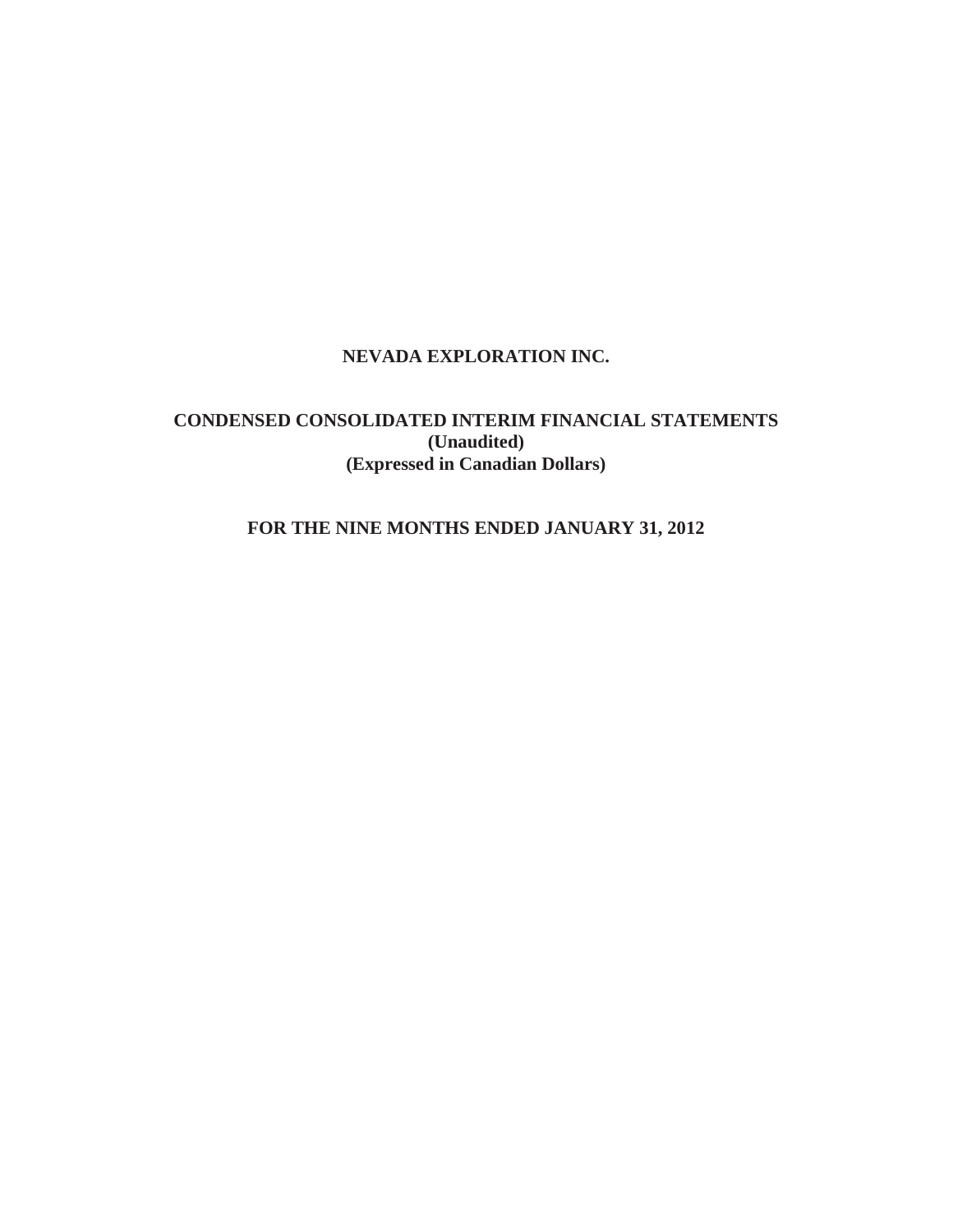# **NEVADA EXPLORATION INC.**

# **CONDENSED CONSOLIDATED INTERIM FINANCIAL STATEMENTS (Unaudited) (Expressed in Canadian Dollars)**

# **FOR THE NINE MONTHS ENDED JANUARY 31, 2012**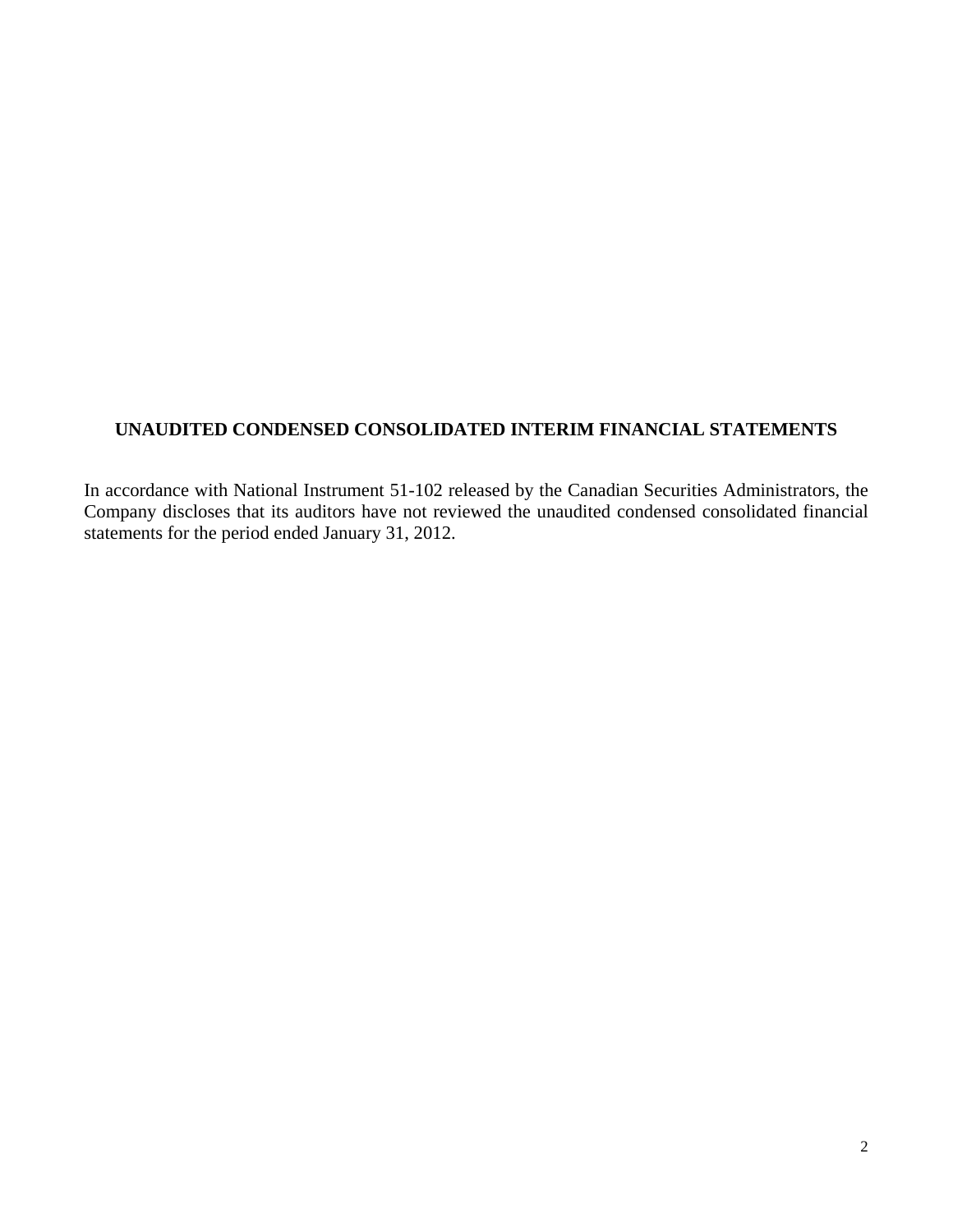# **UNAUDITED CONDENSED CONSOLIDATED INTERIM FINANCIAL STATEMENTS**

In accordance with National Instrument 51-102 released by the Canadian Securities Administrators, the Company discloses that its auditors have not reviewed the unaudited condensed consolidated financial statements for the period ended January 31, 2012.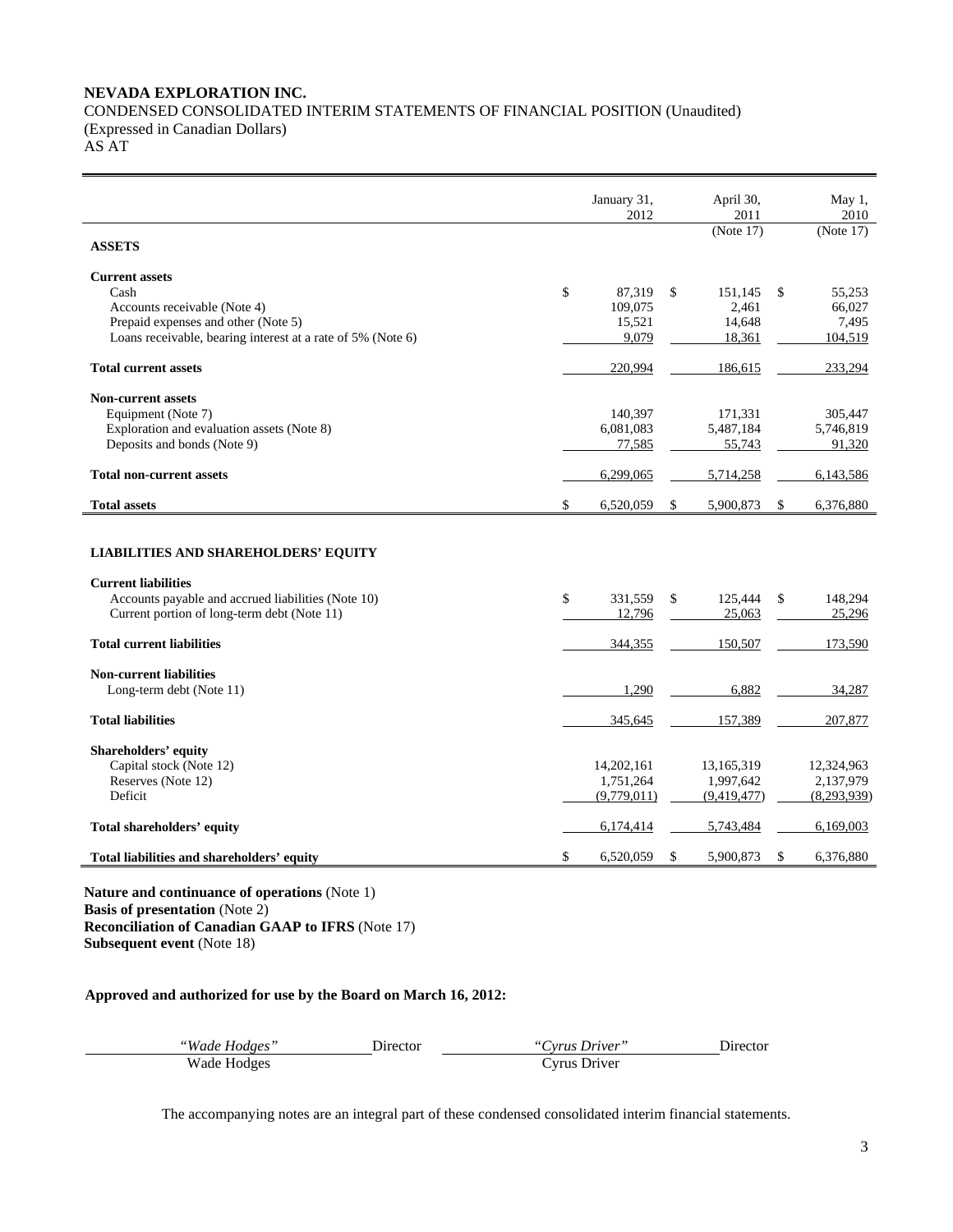## **NEVADA EXPLORATION INC.**  CONDENSED CONSOLIDATED INTERIM STATEMENTS OF FINANCIAL POSITION (Unaudited) (Expressed in Canadian Dollars)

AS AT

|                                                                                                                                                                                | January 31,<br>2012                         |              | April 30,<br>2011                           |              | May 1,<br>2010                              |
|--------------------------------------------------------------------------------------------------------------------------------------------------------------------------------|---------------------------------------------|--------------|---------------------------------------------|--------------|---------------------------------------------|
| <b>ASSETS</b>                                                                                                                                                                  |                                             |              | (Note 17)                                   |              | (Note 17)                                   |
| <b>Current assets</b><br>Cash<br>Accounts receivable (Note 4)<br>Prepaid expenses and other (Note 5)<br>Loans receivable, bearing interest at a rate of 5% (Note 6)            | \$<br>87,319<br>109,075<br>15,521<br>9,079  | $\mathbb{S}$ | 151.145<br>2,461<br>14,648<br>18,361        | $\mathbb{S}$ | 55,253<br>66,027<br>7,495<br>104,519        |
| <b>Total current assets</b>                                                                                                                                                    | 220,994                                     |              | 186,615                                     |              | 233,294                                     |
| <b>Non-current assets</b><br>Equipment (Note 7)<br>Exploration and evaluation assets (Note 8)<br>Deposits and bonds (Note 9)<br><b>Total non-current assets</b>                | 140,397<br>6,081,083<br>77,585<br>6,299,065 |              | 171,331<br>5,487,184<br>55,743<br>5,714,258 |              | 305,447<br>5,746,819<br>91,320<br>6,143,586 |
| <b>Total assets</b>                                                                                                                                                            | \$<br>6,520,059                             | \$           | 5,900,873                                   | $\mathbb{S}$ | 6,376,880                                   |
| <b>LIABILITIES AND SHAREHOLDERS' EQUITY</b><br><b>Current liabilities</b><br>Accounts payable and accrued liabilities (Note 10)<br>Current portion of long-term debt (Note 11) | \$<br>331,559<br>12,796                     | \$           | 125,444<br>25,063                           | \$           | 148,294<br>25,296                           |
| <b>Total current liabilities</b>                                                                                                                                               | 344,355                                     |              | 150,507                                     |              | 173,590                                     |
| <b>Non-current liabilities</b><br>Long-term debt (Note 11)                                                                                                                     | 1,290                                       |              | 6,882                                       |              | 34,287                                      |
| <b>Total liabilities</b>                                                                                                                                                       | 345,645                                     |              | 157,389                                     |              | 207,877                                     |
| <b>Shareholders' equity</b><br>Capital stock (Note 12)<br>Reserves (Note 12)<br>Deficit                                                                                        | 14,202,161<br>1,751,264<br>(9,779,011)      |              | 13,165,319<br>1,997,642<br>(9.419.477)      |              | 12,324,963<br>2,137,979<br>(8, 293, 939)    |
| Total shareholders' equity                                                                                                                                                     | 6,174,414                                   |              | 5,743,484                                   |              | 6,169,003                                   |
| Total liabilities and shareholders' equity                                                                                                                                     | \$<br>6,520,059                             | \$           | 5,900,873                                   | \$           | 6,376,880                                   |

**Nature and continuance of operations** (Note 1) **Basis of presentation** (Note 2) **Reconciliation of Canadian GAAP to IFRS** (Note 17) **Subsequent event** (Note 18)

## **Approved and authorized for use by the Board on March 16, 2012:**

| "Wade Hodges" | Jirector | "Cyrus Driver" | <b>Director</b> |
|---------------|----------|----------------|-----------------|
| Wade Hodges   |          | Cyrus Driver   |                 |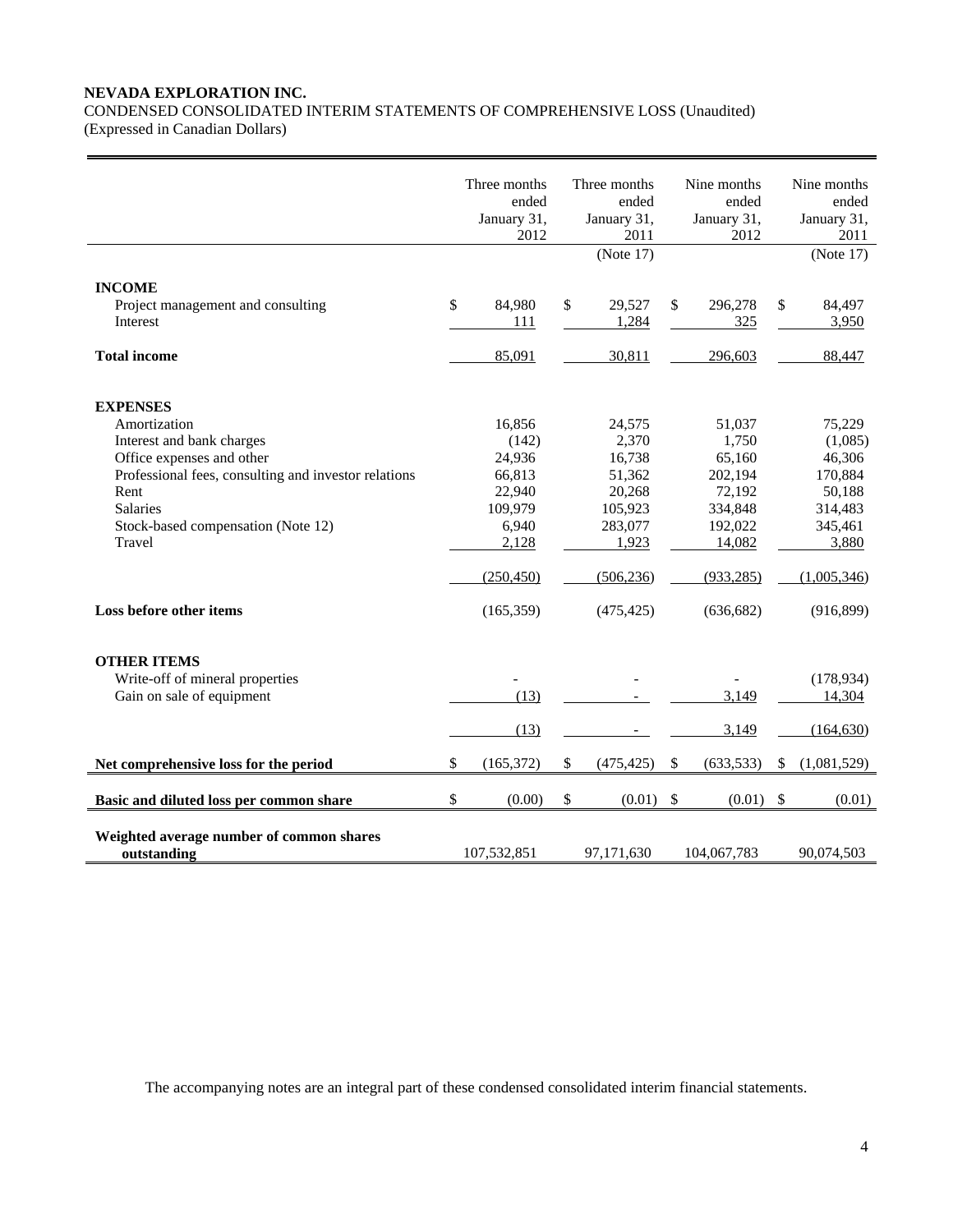## **NEVADA EXPLORATION INC.**

CONDENSED CONSOLIDATED INTERIM STATEMENTS OF COMPREHENSIVE LOSS (Unaudited) (Expressed in Canadian Dollars)

| <b>INCOME</b><br>Project management and consulting<br>Interest                                                                                                                                                               | \$<br>Three months<br>ended<br>January 31,<br>2012<br>84,980<br>111                      | \$           | Three months<br>ended<br>January 31,<br>2011<br>(Note 17)<br>29,527<br>1,284               | \$                        | Nine months<br>ended<br>January 31,<br>2012<br>296,278<br>325                                | \$<br>Nine months<br>ended<br>January 31,<br>2011<br>(Note 17)<br>84,497<br>3,950              |
|------------------------------------------------------------------------------------------------------------------------------------------------------------------------------------------------------------------------------|------------------------------------------------------------------------------------------|--------------|--------------------------------------------------------------------------------------------|---------------------------|----------------------------------------------------------------------------------------------|------------------------------------------------------------------------------------------------|
| <b>Total income</b>                                                                                                                                                                                                          | 85,091                                                                                   |              | 30,811                                                                                     |                           | 296,603                                                                                      | 88,447                                                                                         |
| <b>EXPENSES</b><br>Amortization<br>Interest and bank charges<br>Office expenses and other<br>Professional fees, consulting and investor relations<br>Rent<br><b>Salaries</b><br>Stock-based compensation (Note 12)<br>Travel | 16,856<br>(142)<br>24,936<br>66,813<br>22,940<br>109,979<br>6,940<br>2,128<br>(250, 450) |              | 24,575<br>2,370<br>16,738<br>51,362<br>20,268<br>105,923<br>283,077<br>1,923<br>(506, 236) |                           | 51,037<br>1,750<br>65,160<br>202,194<br>72,192<br>334,848<br>192,022<br>14,082<br>(933, 285) | 75,229<br>(1,085)<br>46,306<br>170,884<br>50,188<br>314,483<br>345,461<br>3,880<br>(1,005,346) |
| Loss before other items                                                                                                                                                                                                      | (165, 359)                                                                               |              | (475, 425)                                                                                 |                           | (636, 682)                                                                                   | (916, 899)                                                                                     |
| <b>OTHER ITEMS</b><br>Write-off of mineral properties<br>Gain on sale of equipment                                                                                                                                           | (13)<br>(13)                                                                             |              |                                                                                            |                           | 3,149<br>3,149                                                                               | (178, 934)<br>14,304<br>(164, 630)                                                             |
| Net comprehensive loss for the period                                                                                                                                                                                        | \$<br>(165, 372)                                                                         | \$           | (475, 425)                                                                                 | $\boldsymbol{\mathsf{S}}$ | (633, 533)                                                                                   | \$<br>(1,081,529)                                                                              |
| Basic and diluted loss per common share                                                                                                                                                                                      | \$<br>(0.00)                                                                             | $\mathbb{S}$ | (0.01)                                                                                     | \$                        | (0.01)                                                                                       | \$<br>(0.01)                                                                                   |
| Weighted average number of common shares<br>outstanding                                                                                                                                                                      | 107,532,851                                                                              |              | 97,171,630                                                                                 |                           | 104,067,783                                                                                  | 90,074,503                                                                                     |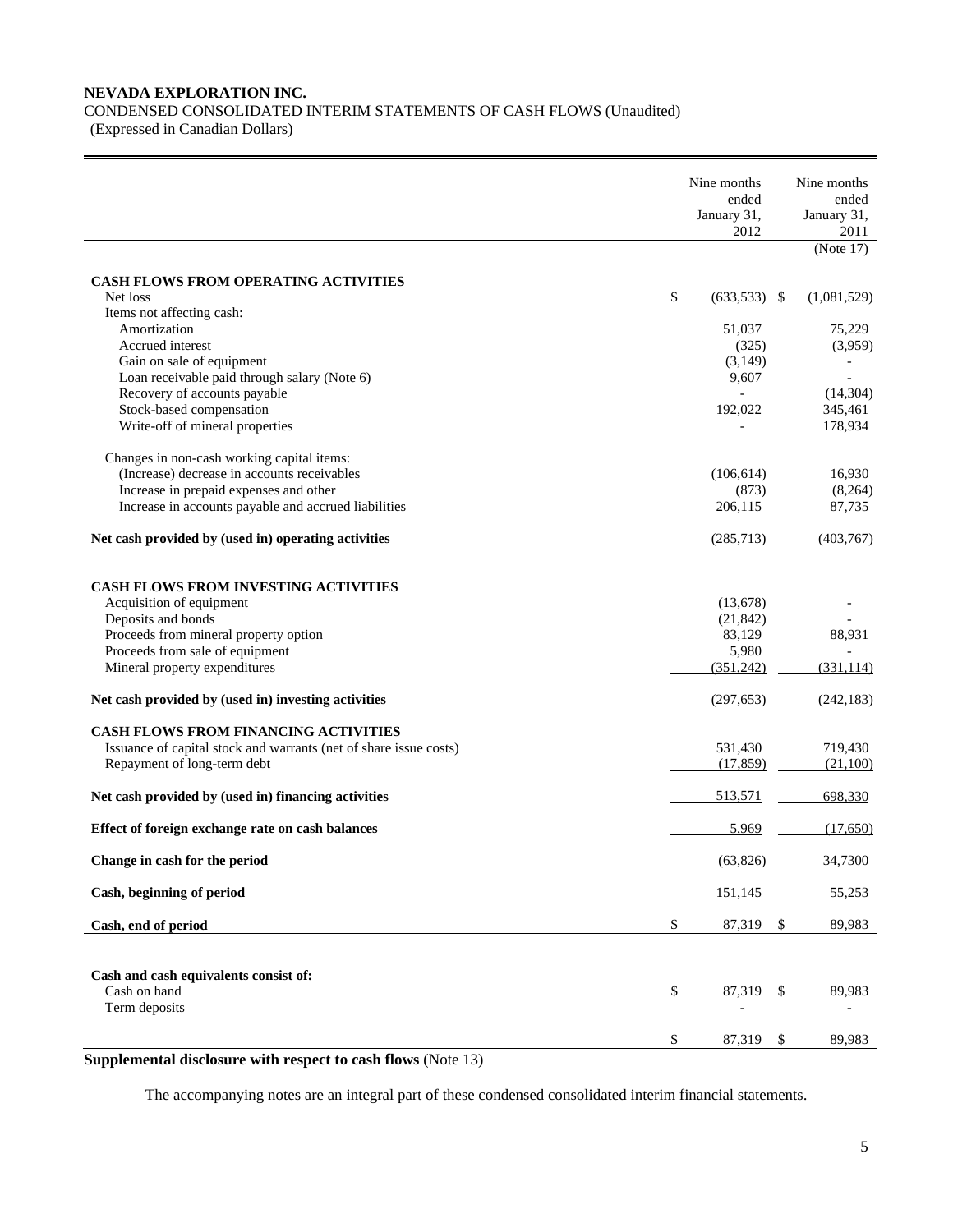## **NEVADA EXPLORATION INC.**

CONDENSED CONSOLIDATED INTERIM STATEMENTS OF CASH FLOWS (Unaudited)

(Expressed in Canadian Dollars)

|                                                                                                                                                                                                                                           | Nine months<br>ended<br>January 31,<br>2012           | Nine months<br>ended<br>January 31,<br>2011<br>(Note 17)                         |
|-------------------------------------------------------------------------------------------------------------------------------------------------------------------------------------------------------------------------------------------|-------------------------------------------------------|----------------------------------------------------------------------------------|
| <b>CASH FLOWS FROM OPERATING ACTIVITIES</b><br>Net loss                                                                                                                                                                                   | \$<br>$(633,533)$ \$                                  | (1,081,529)                                                                      |
| Items not affecting cash:<br>Amortization<br>Accrued interest<br>Gain on sale of equipment<br>Loan receivable paid through salary (Note 6)<br>Recovery of accounts payable<br>Stock-based compensation<br>Write-off of mineral properties | 51,037<br>(325)<br>(3,149)<br>9,607<br>192,022        | 75,229<br>(3,959)<br>$\overline{\phantom{a}}$<br>(14, 304)<br>345,461<br>178,934 |
| Changes in non-cash working capital items:<br>(Increase) decrease in accounts receivables<br>Increase in prepaid expenses and other<br>Increase in accounts payable and accrued liabilities                                               | (106, 614)<br>(873)<br>206,115                        | 16,930<br>(8,264)<br>87,735                                                      |
| Net cash provided by (used in) operating activities                                                                                                                                                                                       | (285,713)                                             | (403,767)                                                                        |
| <b>CASH FLOWS FROM INVESTING ACTIVITIES</b><br>Acquisition of equipment<br>Deposits and bonds<br>Proceeds from mineral property option<br>Proceeds from sale of equipment<br>Mineral property expenditures                                | (13,678)<br>(21, 842)<br>83,129<br>5,980<br>(351,242) | 88,931<br>(331, 114)                                                             |
| Net cash provided by (used in) investing activities                                                                                                                                                                                       | (297, 653)                                            | (242, 183)                                                                       |
| CASH FLOWS FROM FINANCING ACTIVITIES<br>Issuance of capital stock and warrants (net of share issue costs)<br>Repayment of long-term debt                                                                                                  | 531,430<br>(17, 859)                                  | 719,430<br>(21,100)                                                              |
| Net cash provided by (used in) financing activities                                                                                                                                                                                       | 513,571                                               | 698,330                                                                          |
| Effect of foreign exchange rate on cash balances                                                                                                                                                                                          | 5,969                                                 | (17,650)                                                                         |
| Change in cash for the period                                                                                                                                                                                                             | (63, 826)                                             | 34,7300                                                                          |
| Cash, beginning of period                                                                                                                                                                                                                 | 151,145                                               | 55,253                                                                           |
| Cash, end of period                                                                                                                                                                                                                       | \$<br>87,319                                          | \$<br>89,983                                                                     |
| Cash and cash equivalents consist of:<br>Cash on hand<br>Term deposits                                                                                                                                                                    | \$<br>87,319                                          | \$<br>89,983                                                                     |
|                                                                                                                                                                                                                                           | \$<br>87,319                                          | \$<br>89,983                                                                     |

**Supplemental disclosure with respect to cash flows** (Note 13)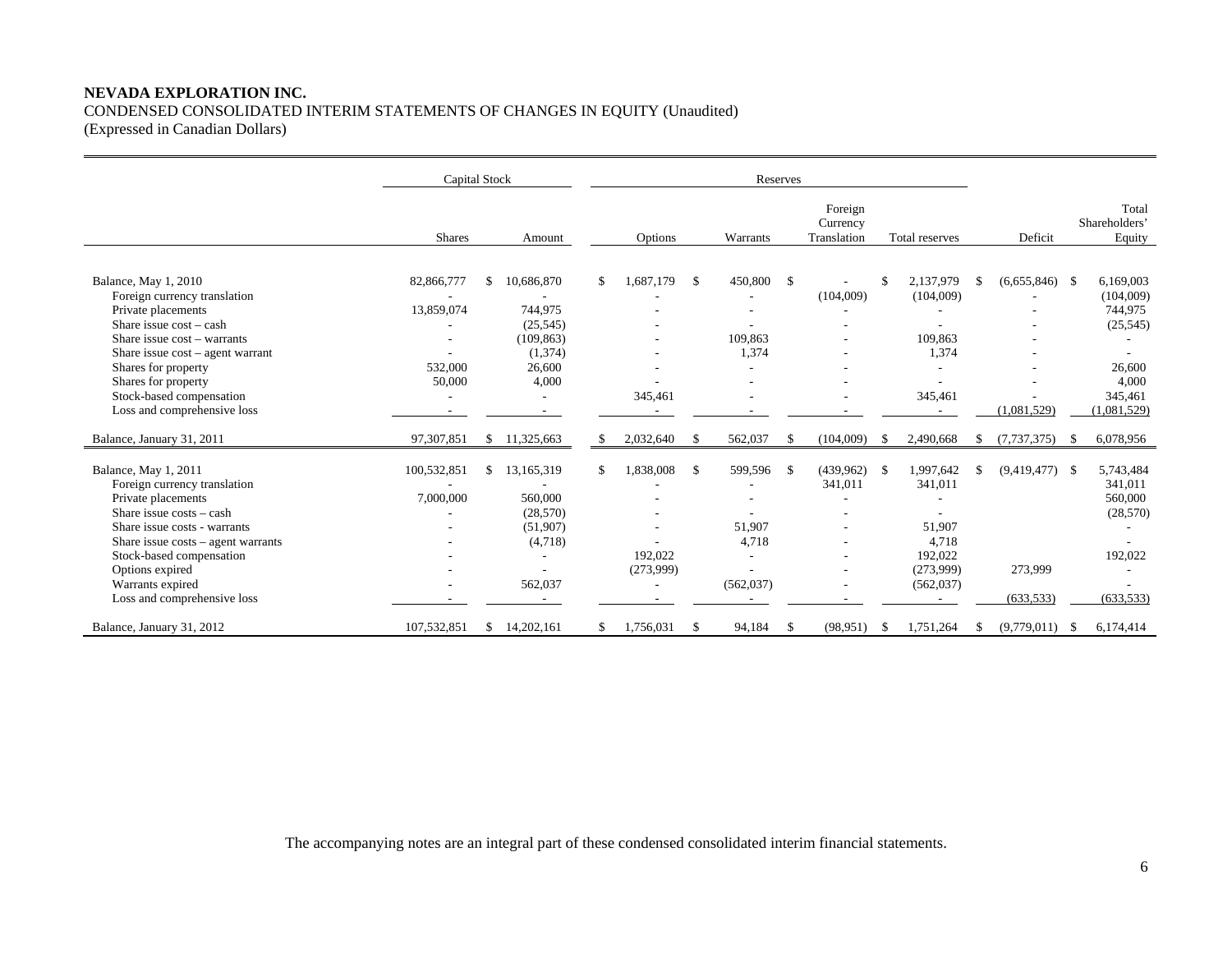## **NEVADA EXPLORATION INC.**  CONDENSED CONSOLIDATED INTERIM STATEMENTS OF CHANGES IN EQUITY (Unaudited) (Expressed in Canadian Dollars)

|                                                                                                                                                                                                                                                                                    | Capital Stock            |     |                                                                      | Reserves |                                        |    |                                                                      |                    |                                    |      |                                                                                                           |    |                                           |      |                                                                       |
|------------------------------------------------------------------------------------------------------------------------------------------------------------------------------------------------------------------------------------------------------------------------------------|--------------------------|-----|----------------------------------------------------------------------|----------|----------------------------------------|----|----------------------------------------------------------------------|--------------------|------------------------------------|------|-----------------------------------------------------------------------------------------------------------|----|-------------------------------------------|------|-----------------------------------------------------------------------|
|                                                                                                                                                                                                                                                                                    | <b>Shares</b>            |     | Amount                                                               |          | Options                                |    | Warrants                                                             |                    | Foreign<br>Currency<br>Translation |      | Total reserves                                                                                            |    | Deficit                                   |      | Total<br>Shareholders'<br>Equity                                      |
| Balance, May 1, 2010<br>Foreign currency translation<br>Private placements<br>Share issue $cost - cash$                                                                                                                                                                            | 82,866,777<br>13,859,074 | \$. | 10,686,870<br>744,975<br>(25, 545)                                   | £.       | 1.687.179                              | -S | 450,800                                                              | $\mathbf{\hat{S}}$ | (104,009)                          |      | 2,137,979<br>(104,009)<br>٠                                                                               | -S | $(6,655,846)$ \$                          |      | 6,169,003<br>(104,009)<br>744,975<br>(25, 545)                        |
| Share issue cost - warrants<br>Share issue cost - agent warrant<br>Shares for property<br>Shares for property<br>Stock-based compensation<br>Loss and comprehensive loss                                                                                                           | 532,000<br>50,000        |     | (109, 863)<br>(1,374)<br>26,600<br>4,000                             |          | 345,461                                |    | 109,863<br>1,374<br>٠                                                |                    |                                    |      | 109,863<br>1,374<br>٠<br>345,461<br>$\overline{\phantom{a}}$                                              |    | (1,081,529)                               |      | 26,600<br>4,000<br>345,461<br>(1,081,529)                             |
| Balance, January 31, 2011                                                                                                                                                                                                                                                          | 97,307,851               |     | \$11,325,663                                                         | S        | 2,032,640                              | -S | 562,037                                                              | \$                 | (104,009)                          |      | 2,490,668                                                                                                 |    | (7, 737, 375)                             | -S   | 6,078,956                                                             |
| Balance, May 1, 2011<br>Foreign currency translation<br>Private placements<br>Share issue $costs - cash$<br>Share issue costs - warrants<br>Share issue $costs - agent warrants$<br>Stock-based compensation<br>Options expired<br>Warrants expired<br>Loss and comprehensive loss | 100,532,851<br>7,000,000 | \$  | 13,165,319<br>560,000<br>(28, 570)<br>(51,907)<br>(4,718)<br>562,037 | \$       | 1,838,008<br>192,022<br>(273,999)<br>٠ | -S | 599,596<br>51,907<br>4,718<br>$\overline{\phantom{a}}$<br>(562, 037) | \$                 | (439,962)<br>341,011               | - \$ | 1,997,642<br>341,011<br>51,907<br>4,718<br>192,022<br>(273,999)<br>(562, 037)<br>$\overline{\phantom{a}}$ | £. | $(9,419,477)$ \$<br>273,999<br>(633, 533) |      | 5,743,484<br>341,011<br>560,000<br>(28, 570)<br>192,022<br>(633, 533) |
| Balance, January 31, 2012                                                                                                                                                                                                                                                          | 107.532.851              | \$. | 14.202.161                                                           |          | 1,756,031                              | .S | 94,184                                                               | <sup>\$</sup>      | (98, 951)                          |      | 1,751,264                                                                                                 |    | (9,779,011)                               | - \$ | 6,174,414                                                             |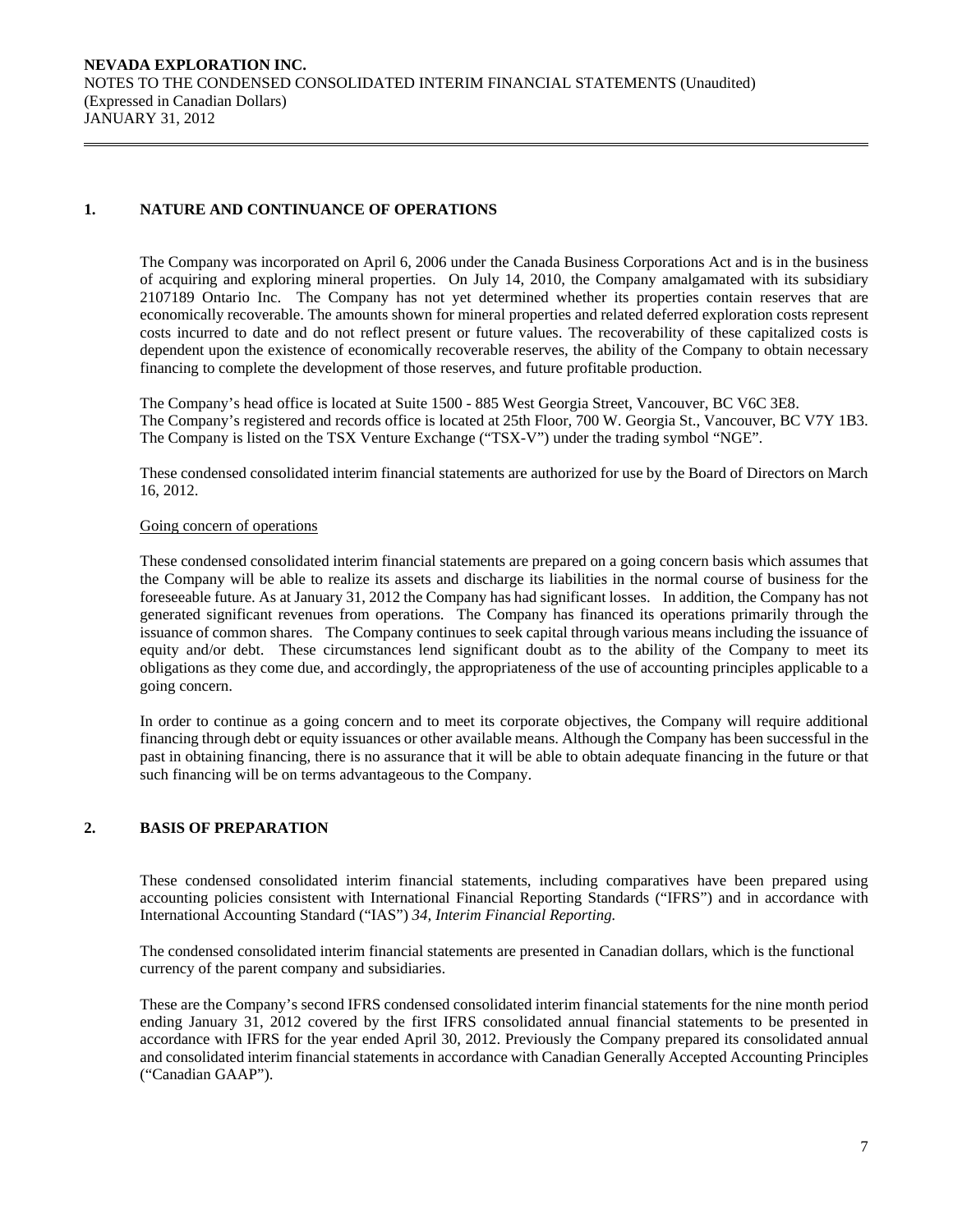## **1. NATURE AND CONTINUANCE OF OPERATIONS**

The Company was incorporated on April 6, 2006 under the Canada Business Corporations Act and is in the business of acquiring and exploring mineral properties. On July 14, 2010, the Company amalgamated with its subsidiary 2107189 Ontario Inc. The Company has not yet determined whether its properties contain reserves that are economically recoverable. The amounts shown for mineral properties and related deferred exploration costs represent costs incurred to date and do not reflect present or future values. The recoverability of these capitalized costs is dependent upon the existence of economically recoverable reserves, the ability of the Company to obtain necessary financing to complete the development of those reserves, and future profitable production.

The Company's head office is located at Suite 1500 - 885 West Georgia Street, Vancouver, BC V6C 3E8. The Company's registered and records office is located at 25th Floor, 700 W. Georgia St., Vancouver, BC V7Y 1B3. The Company is listed on the TSX Venture Exchange ("TSX-V") under the trading symbol "NGE".

 These condensed consolidated interim financial statements are authorized for use by the Board of Directors on March 16, 2012.

## Going concern of operations

These condensed consolidated interim financial statements are prepared on a going concern basis which assumes that the Company will be able to realize its assets and discharge its liabilities in the normal course of business for the foreseeable future. As at January 31, 2012 the Company has had significant losses. In addition, the Company has not generated significant revenues from operations. The Company has financed its operations primarily through the issuance of common shares. The Company continues to seek capital through various means including the issuance of equity and/or debt. These circumstances lend significant doubt as to the ability of the Company to meet its obligations as they come due, and accordingly, the appropriateness of the use of accounting principles applicable to a going concern.

In order to continue as a going concern and to meet its corporate objectives, the Company will require additional financing through debt or equity issuances or other available means. Although the Company has been successful in the past in obtaining financing, there is no assurance that it will be able to obtain adequate financing in the future or that such financing will be on terms advantageous to the Company.

## **2. BASIS OF PREPARATION**

 These condensed consolidated interim financial statements, including comparatives have been prepared using accounting policies consistent with International Financial Reporting Standards ("IFRS") and in accordance with International Accounting Standard ("IAS") *34, Interim Financial Reporting.* 

The condensed consolidated interim financial statements are presented in Canadian dollars, which is the functional currency of the parent company and subsidiaries.

 These are the Company's second IFRS condensed consolidated interim financial statements for the nine month period ending January 31, 2012 covered by the first IFRS consolidated annual financial statements to be presented in accordance with IFRS for the year ended April 30, 2012. Previously the Company prepared its consolidated annual and consolidated interim financial statements in accordance with Canadian Generally Accepted Accounting Principles ("Canadian GAAP").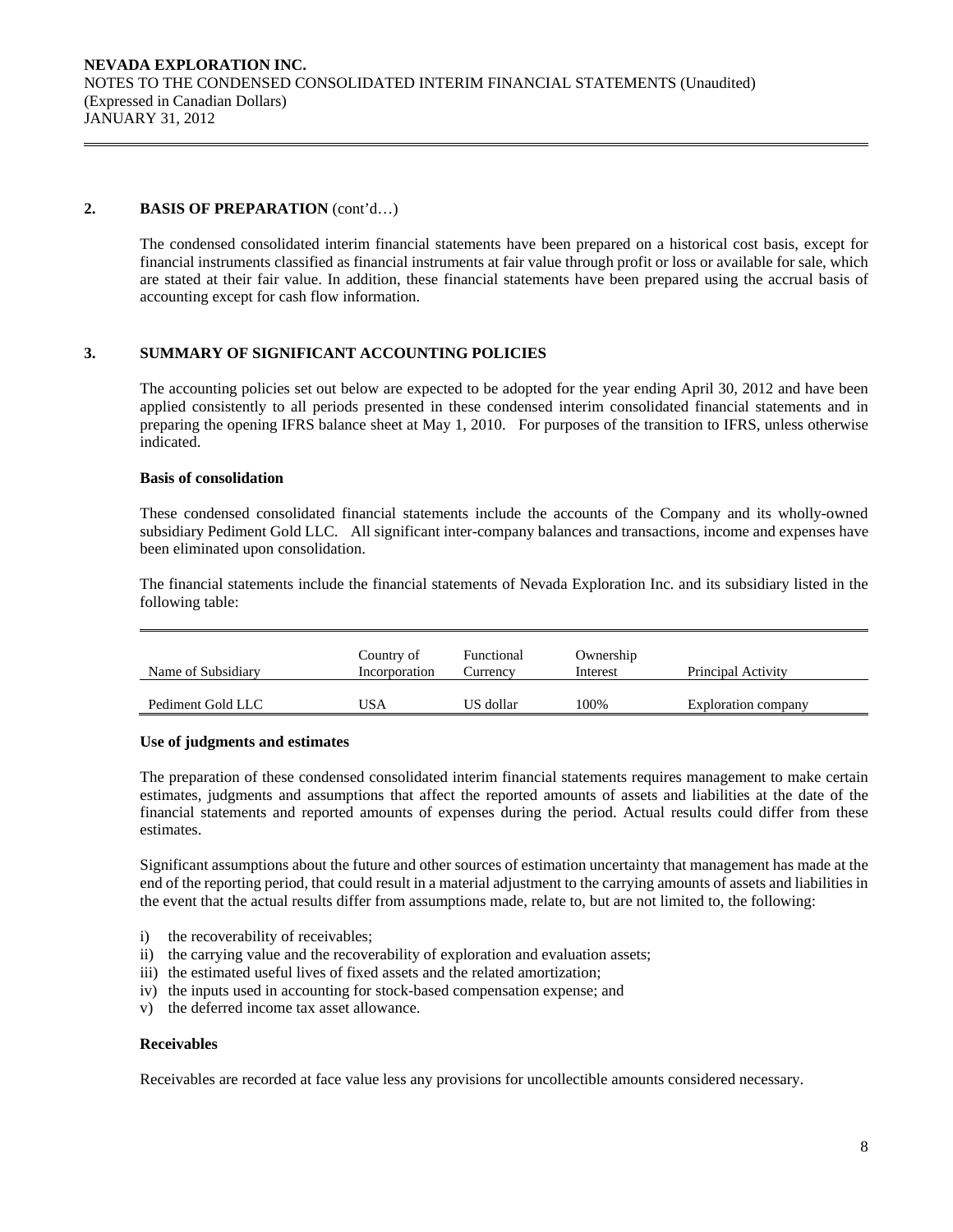## **2. BASIS OF PREPARATION** (cont'd…)

The condensed consolidated interim financial statements have been prepared on a historical cost basis, except for financial instruments classified as financial instruments at fair value through profit or loss or available for sale, which are stated at their fair value. In addition, these financial statements have been prepared using the accrual basis of accounting except for cash flow information.

## **3. SUMMARY OF SIGNIFICANT ACCOUNTING POLICIES**

 The accounting policies set out below are expected to be adopted for the year ending April 30, 2012 and have been applied consistently to all periods presented in these condensed interim consolidated financial statements and in preparing the opening IFRS balance sheet at May 1, 2010. For purposes of the transition to IFRS, unless otherwise indicated.

## **Basis of consolidation**

 These condensed consolidated financial statements include the accounts of the Company and its wholly-owned subsidiary Pediment Gold LLC. All significant inter-company balances and transactions, income and expenses have been eliminated upon consolidation.

The financial statements include the financial statements of Nevada Exploration Inc. and its subsidiary listed in the following table:

| Name of Subsidiary | Country of<br>Incorporation | Functional<br>Currencv | Ownership<br>Interest | Principal Activity  |
|--------------------|-----------------------------|------------------------|-----------------------|---------------------|
| Pediment Gold LLC  | JSA                         | US dollar              | 100%                  | Exploration company |

## **Use of judgments and estimates**

The preparation of these condensed consolidated interim financial statements requires management to make certain estimates, judgments and assumptions that affect the reported amounts of assets and liabilities at the date of the financial statements and reported amounts of expenses during the period. Actual results could differ from these estimates.

 Significant assumptions about the future and other sources of estimation uncertainty that management has made at the end of the reporting period, that could result in a material adjustment to the carrying amounts of assets and liabilities in the event that the actual results differ from assumptions made, relate to, but are not limited to, the following:

- i) the recoverability of receivables;
- ii) the carrying value and the recoverability of exploration and evaluation assets;
- iii) the estimated useful lives of fixed assets and the related amortization;
- iv) the inputs used in accounting for stock-based compensation expense; and
- v) the deferred income tax asset allowance.

## **Receivables**

Receivables are recorded at face value less any provisions for uncollectible amounts considered necessary.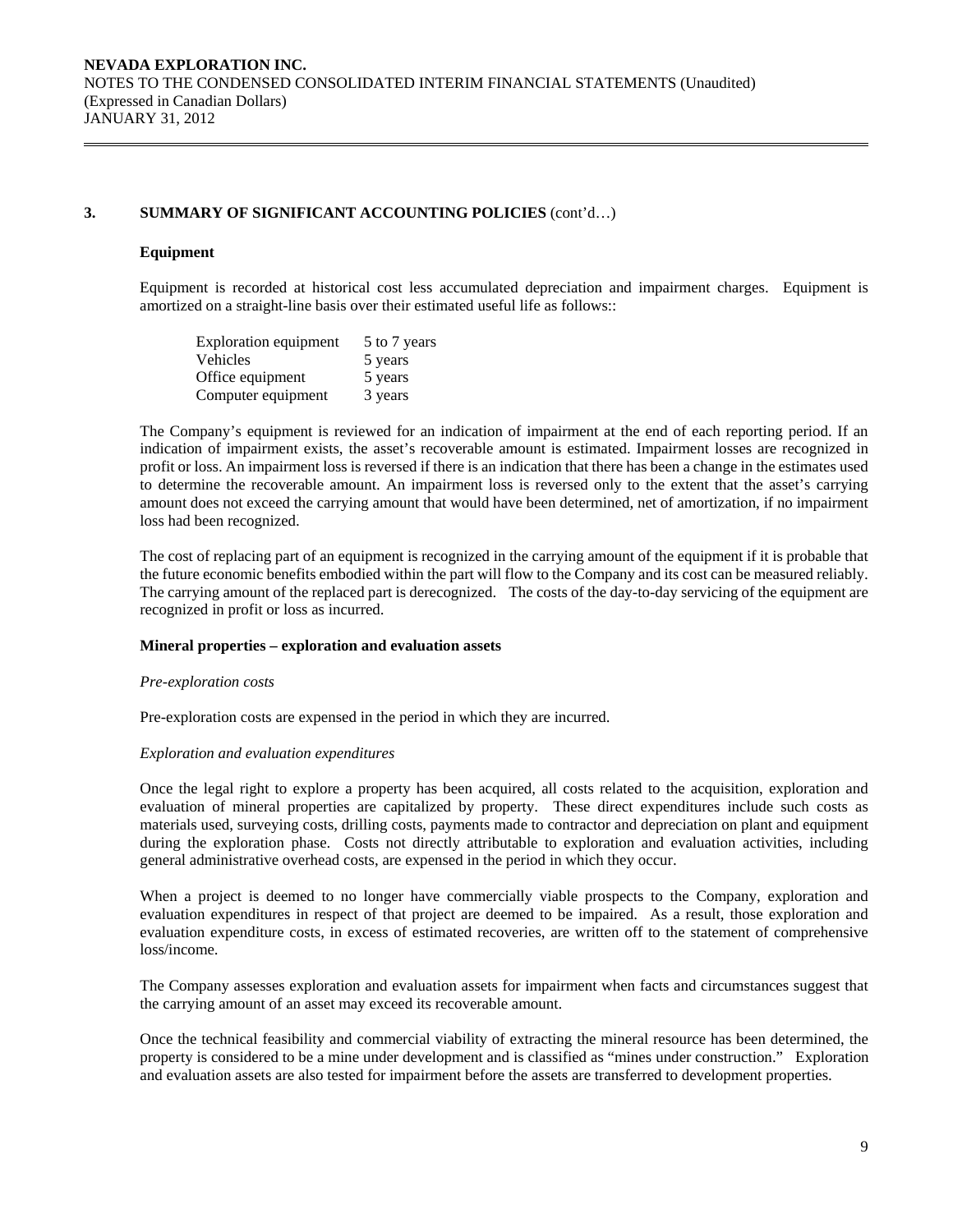#### **Equipment**

Equipment is recorded at historical cost less accumulated depreciation and impairment charges. Equipment is amortized on a straight-line basis over their estimated useful life as follows::

| <b>Exploration equipment</b> | 5 to 7 years |
|------------------------------|--------------|
| Vehicles                     | 5 years      |
| Office equipment             | 5 years      |
| Computer equipment           | 3 years      |

The Company's equipment is reviewed for an indication of impairment at the end of each reporting period. If an indication of impairment exists, the asset's recoverable amount is estimated. Impairment losses are recognized in profit or loss. An impairment loss is reversed if there is an indication that there has been a change in the estimates used to determine the recoverable amount. An impairment loss is reversed only to the extent that the asset's carrying amount does not exceed the carrying amount that would have been determined, net of amortization, if no impairment loss had been recognized.

The cost of replacing part of an equipment is recognized in the carrying amount of the equipment if it is probable that the future economic benefits embodied within the part will flow to the Company and its cost can be measured reliably. The carrying amount of the replaced part is derecognized. The costs of the day-to-day servicing of the equipment are recognized in profit or loss as incurred.

#### **Mineral properties – exploration and evaluation assets**

#### *Pre-exploration costs*

Pre-exploration costs are expensed in the period in which they are incurred.

#### *Exploration and evaluation expenditures*

 Once the legal right to explore a property has been acquired, all costs related to the acquisition, exploration and evaluation of mineral properties are capitalized by property. These direct expenditures include such costs as materials used, surveying costs, drilling costs, payments made to contractor and depreciation on plant and equipment during the exploration phase. Costs not directly attributable to exploration and evaluation activities, including general administrative overhead costs, are expensed in the period in which they occur.

 When a project is deemed to no longer have commercially viable prospects to the Company, exploration and evaluation expenditures in respect of that project are deemed to be impaired. As a result, those exploration and evaluation expenditure costs, in excess of estimated recoveries, are written off to the statement of comprehensive loss/income.

 The Company assesses exploration and evaluation assets for impairment when facts and circumstances suggest that the carrying amount of an asset may exceed its recoverable amount.

 Once the technical feasibility and commercial viability of extracting the mineral resource has been determined, the property is considered to be a mine under development and is classified as "mines under construction." Exploration and evaluation assets are also tested for impairment before the assets are transferred to development properties.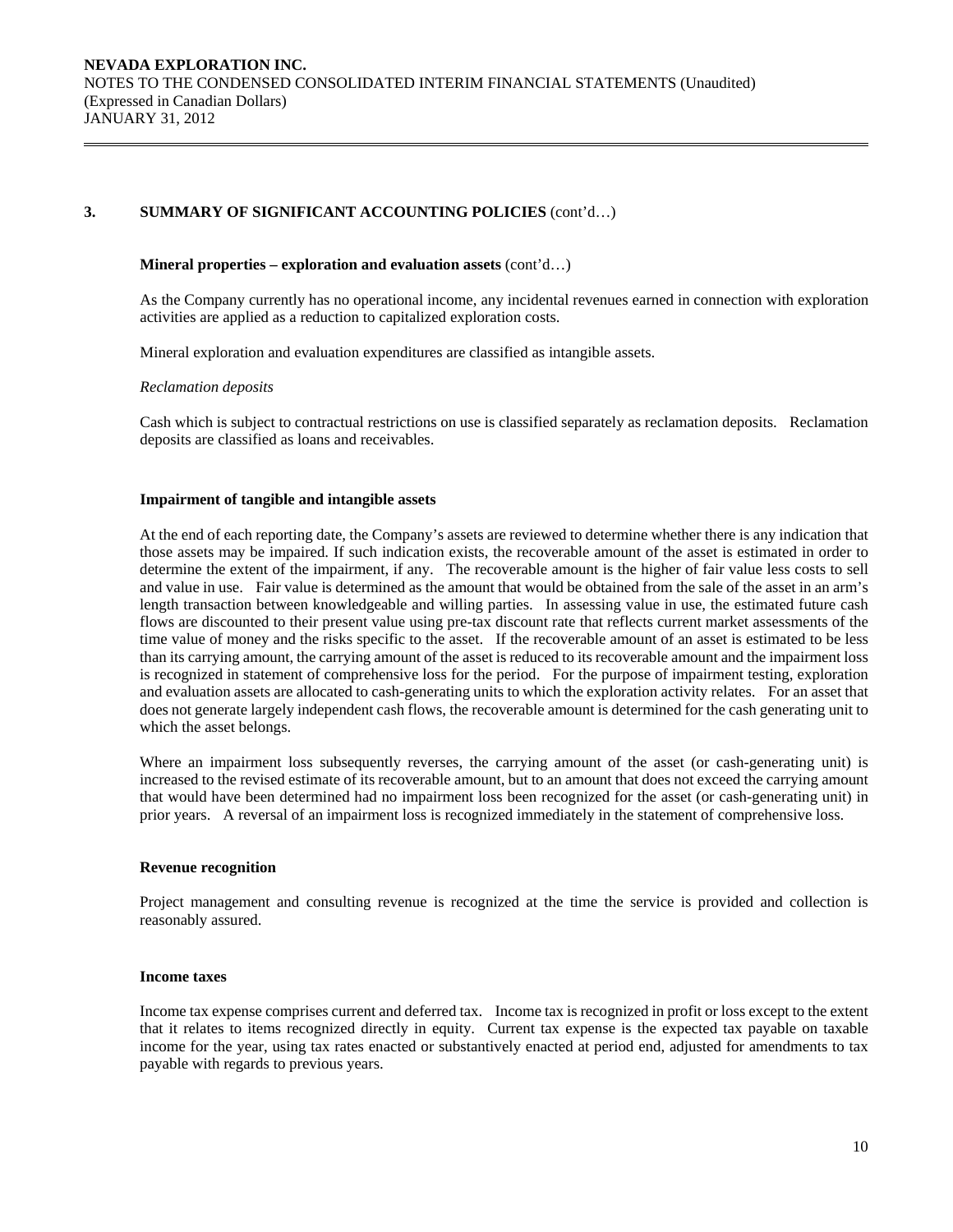#### **Mineral properties – exploration and evaluation assets** (cont'd…)

 As the Company currently has no operational income, any incidental revenues earned in connection with exploration activities are applied as a reduction to capitalized exploration costs.

Mineral exploration and evaluation expenditures are classified as intangible assets.

## *Reclamation deposits*

 Cash which is subject to contractual restrictions on use is classified separately as reclamation deposits. Reclamation deposits are classified as loans and receivables.

## **Impairment of tangible and intangible assets**

At the end of each reporting date, the Company's assets are reviewed to determine whether there is any indication that those assets may be impaired. If such indication exists, the recoverable amount of the asset is estimated in order to determine the extent of the impairment, if any. The recoverable amount is the higher of fair value less costs to sell and value in use. Fair value is determined as the amount that would be obtained from the sale of the asset in an arm's length transaction between knowledgeable and willing parties. In assessing value in use, the estimated future cash flows are discounted to their present value using pre-tax discount rate that reflects current market assessments of the time value of money and the risks specific to the asset. If the recoverable amount of an asset is estimated to be less than its carrying amount, the carrying amount of the asset is reduced to its recoverable amount and the impairment loss is recognized in statement of comprehensive loss for the period. For the purpose of impairment testing, exploration and evaluation assets are allocated to cash-generating units to which the exploration activity relates. For an asset that does not generate largely independent cash flows, the recoverable amount is determined for the cash generating unit to which the asset belongs.

Where an impairment loss subsequently reverses, the carrying amount of the asset (or cash-generating unit) is increased to the revised estimate of its recoverable amount, but to an amount that does not exceed the carrying amount that would have been determined had no impairment loss been recognized for the asset (or cash-generating unit) in prior years. A reversal of an impairment loss is recognized immediately in the statement of comprehensive loss.

#### **Revenue recognition**

Project management and consulting revenue is recognized at the time the service is provided and collection is reasonably assured.

#### **Income taxes**

Income tax expense comprises current and deferred tax. Income tax is recognized in profit or loss except to the extent that it relates to items recognized directly in equity. Current tax expense is the expected tax payable on taxable income for the year, using tax rates enacted or substantively enacted at period end, adjusted for amendments to tax payable with regards to previous years.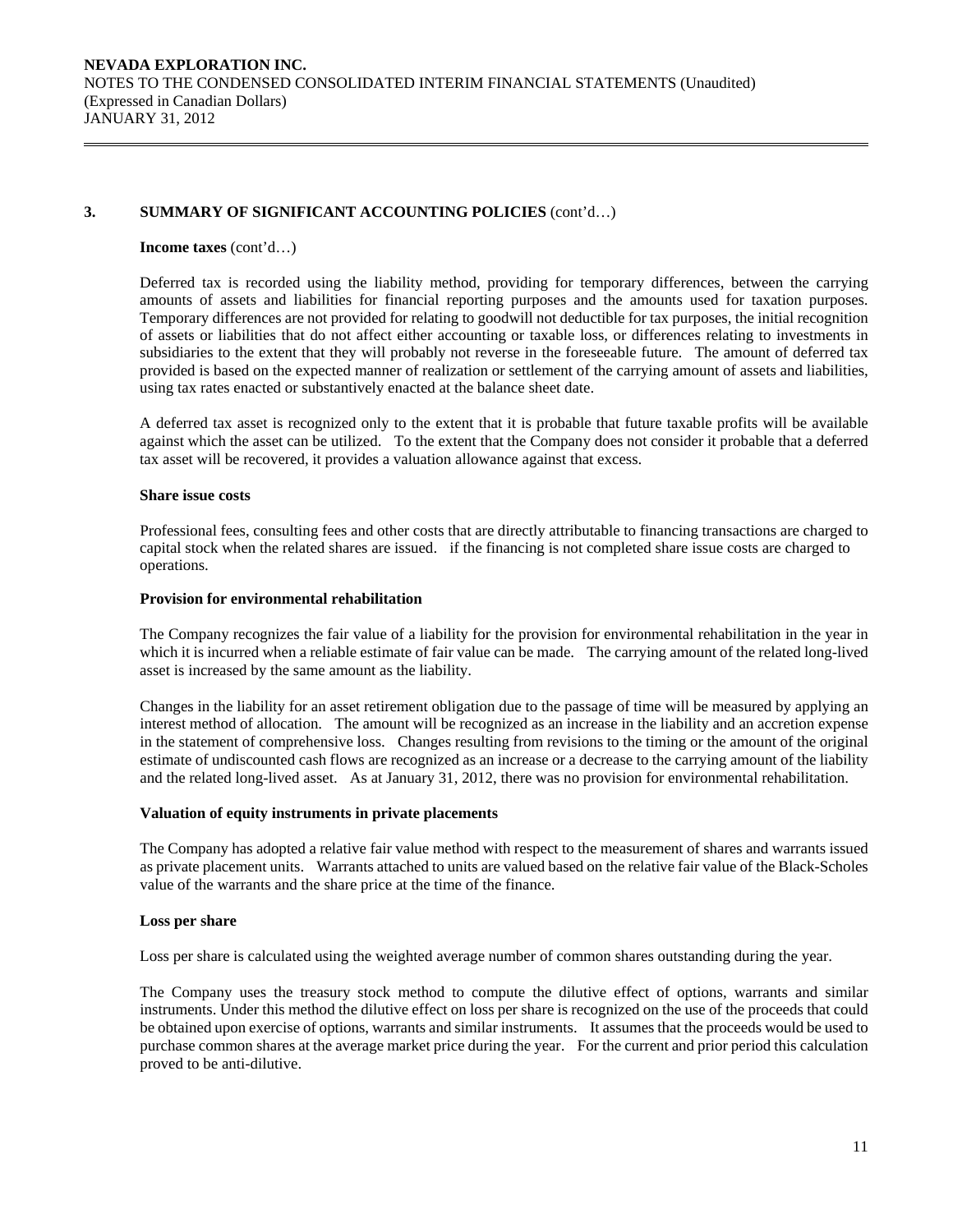#### **Income taxes** (cont'd…)

Deferred tax is recorded using the liability method, providing for temporary differences, between the carrying amounts of assets and liabilities for financial reporting purposes and the amounts used for taxation purposes. Temporary differences are not provided for relating to goodwill not deductible for tax purposes, the initial recognition of assets or liabilities that do not affect either accounting or taxable loss, or differences relating to investments in subsidiaries to the extent that they will probably not reverse in the foreseeable future. The amount of deferred tax provided is based on the expected manner of realization or settlement of the carrying amount of assets and liabilities, using tax rates enacted or substantively enacted at the balance sheet date.

A deferred tax asset is recognized only to the extent that it is probable that future taxable profits will be available against which the asset can be utilized. To the extent that the Company does not consider it probable that a deferred tax asset will be recovered, it provides a valuation allowance against that excess.

#### **Share issue costs**

 Professional fees, consulting fees and other costs that are directly attributable to financing transactions are charged to capital stock when the related shares are issued. if the financing is not completed share issue costs are charged to operations.

### **Provision for environmental rehabilitation**

The Company recognizes the fair value of a liability for the provision for environmental rehabilitation in the year in which it is incurred when a reliable estimate of fair value can be made. The carrying amount of the related long-lived asset is increased by the same amount as the liability.

Changes in the liability for an asset retirement obligation due to the passage of time will be measured by applying an interest method of allocation. The amount will be recognized as an increase in the liability and an accretion expense in the statement of comprehensive loss. Changes resulting from revisions to the timing or the amount of the original estimate of undiscounted cash flows are recognized as an increase or a decrease to the carrying amount of the liability and the related long-lived asset. As at January 31, 2012, there was no provision for environmental rehabilitation.

## **Valuation of equity instruments in private placements**

The Company has adopted a relative fair value method with respect to the measurement of shares and warrants issued as private placement units. Warrants attached to units are valued based on the relative fair value of the Black-Scholes value of the warrants and the share price at the time of the finance.

#### **Loss per share**

Loss per share is calculated using the weighted average number of common shares outstanding during the year.

 The Company uses the treasury stock method to compute the dilutive effect of options, warrants and similar instruments. Under this method the dilutive effect on loss per share is recognized on the use of the proceeds that could be obtained upon exercise of options, warrants and similar instruments. It assumes that the proceeds would be used to purchase common shares at the average market price during the year. For the current and prior period this calculation proved to be anti-dilutive.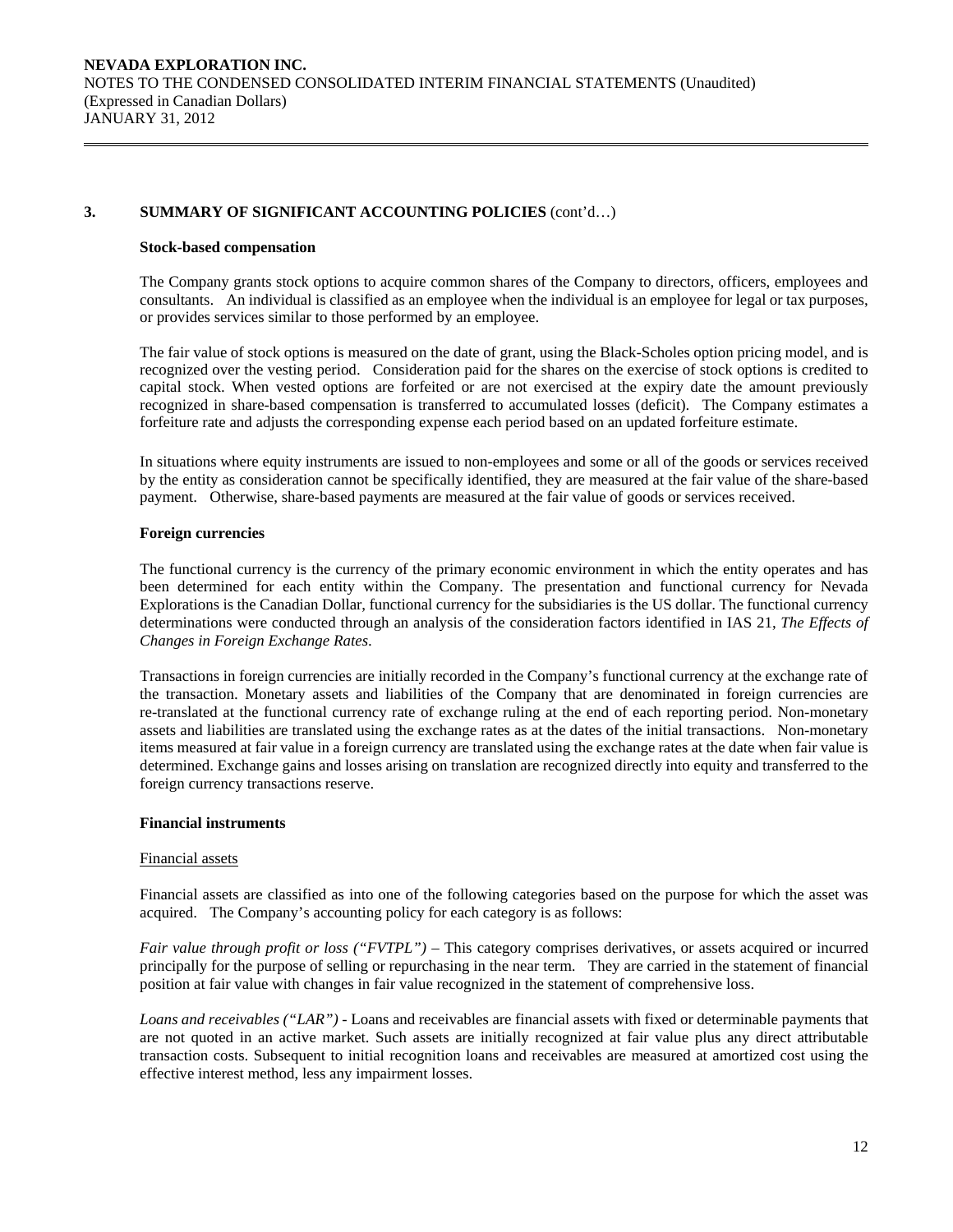#### **Stock-based compensation**

The Company grants stock options to acquire common shares of the Company to directors, officers, employees and consultants. An individual is classified as an employee when the individual is an employee for legal or tax purposes, or provides services similar to those performed by an employee.

The fair value of stock options is measured on the date of grant, using the Black-Scholes option pricing model, and is recognized over the vesting period. Consideration paid for the shares on the exercise of stock options is credited to capital stock. When vested options are forfeited or are not exercised at the expiry date the amount previously recognized in share-based compensation is transferred to accumulated losses (deficit). The Company estimates a forfeiture rate and adjusts the corresponding expense each period based on an updated forfeiture estimate.

In situations where equity instruments are issued to non-employees and some or all of the goods or services received by the entity as consideration cannot be specifically identified, they are measured at the fair value of the share-based payment. Otherwise, share-based payments are measured at the fair value of goods or services received.

## **Foreign currencies**

 The functional currency is the currency of the primary economic environment in which the entity operates and has been determined for each entity within the Company. The presentation and functional currency for Nevada Explorations is the Canadian Dollar, functional currency for the subsidiaries is the US dollar. The functional currency determinations were conducted through an analysis of the consideration factors identified in IAS 21, *The Effects of Changes in Foreign Exchange Rates*.

 Transactions in foreign currencies are initially recorded in the Company's functional currency at the exchange rate of the transaction. Monetary assets and liabilities of the Company that are denominated in foreign currencies are re-translated at the functional currency rate of exchange ruling at the end of each reporting period. Non-monetary assets and liabilities are translated using the exchange rates as at the dates of the initial transactions. Non-monetary items measured at fair value in a foreign currency are translated using the exchange rates at the date when fair value is determined. Exchange gains and losses arising on translation are recognized directly into equity and transferred to the foreign currency transactions reserve.

## **Financial instruments**

#### Financial assets

Financial assets are classified as into one of the following categories based on the purpose for which the asset was acquired. The Company's accounting policy for each category is as follows:

*Fair value through profit or loss ("FVTPL")* – This category comprises derivatives, or assets acquired or incurred principally for the purpose of selling or repurchasing in the near term. They are carried in the statement of financial position at fair value with changes in fair value recognized in the statement of comprehensive loss.

*Loans and receivables ("LAR") -* Loans and receivables are financial assets with fixed or determinable payments that are not quoted in an active market. Such assets are initially recognized at fair value plus any direct attributable transaction costs. Subsequent to initial recognition loans and receivables are measured at amortized cost using the effective interest method, less any impairment losses.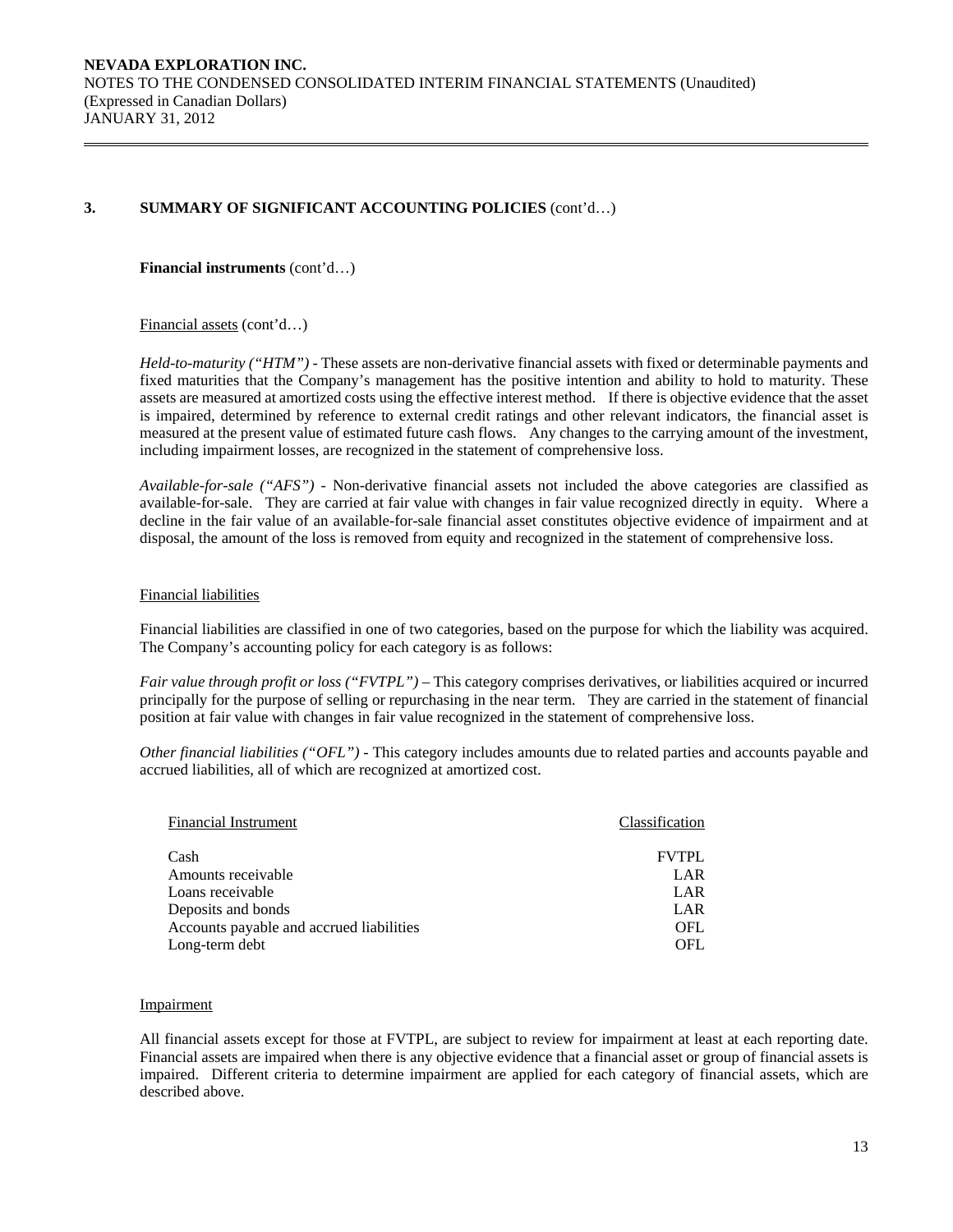#### **Financial instruments** (cont'd…)

Financial assets (cont'd…)

*Held-to-maturity ("HTM") -* These assets are non-derivative financial assets with fixed or determinable payments and fixed maturities that the Company's management has the positive intention and ability to hold to maturity. These assets are measured at amortized costs using the effective interest method. If there is objective evidence that the asset is impaired, determined by reference to external credit ratings and other relevant indicators, the financial asset is measured at the present value of estimated future cash flows. Any changes to the carrying amount of the investment, including impairment losses, are recognized in the statement of comprehensive loss.

*Available-for-sale ("AFS") -* Non-derivative financial assets not included the above categories are classified as available-for-sale. They are carried at fair value with changes in fair value recognized directly in equity. Where a decline in the fair value of an available-for-sale financial asset constitutes objective evidence of impairment and at disposal, the amount of the loss is removed from equity and recognized in the statement of comprehensive loss.

## Financial liabilities

Financial liabilities are classified in one of two categories, based on the purpose for which the liability was acquired. The Company's accounting policy for each category is as follows:

*Fair value through profit or loss ("FVTPL")* – This category comprises derivatives, or liabilities acquired or incurred principally for the purpose of selling or repurchasing in the near term. They are carried in the statement of financial position at fair value with changes in fair value recognized in the statement of comprehensive loss.

*Other financial liabilities ("OFL") -* This category includes amounts due to related parties and accounts payable and accrued liabilities, all of which are recognized at amortized cost.

| <b>Financial Instrument</b>              | Classification |
|------------------------------------------|----------------|
| Cash                                     | <b>FVTPL</b>   |
| Amounts receivable                       | LAR            |
| Loans receivable                         | LAR            |
| Deposits and bonds                       | LAR            |
| Accounts payable and accrued liabilities | <b>OFL</b>     |
| Long-term debt                           | OFL            |

#### Impairment

All financial assets except for those at FVTPL, are subject to review for impairment at least at each reporting date. Financial assets are impaired when there is any objective evidence that a financial asset or group of financial assets is impaired. Different criteria to determine impairment are applied for each category of financial assets, which are described above.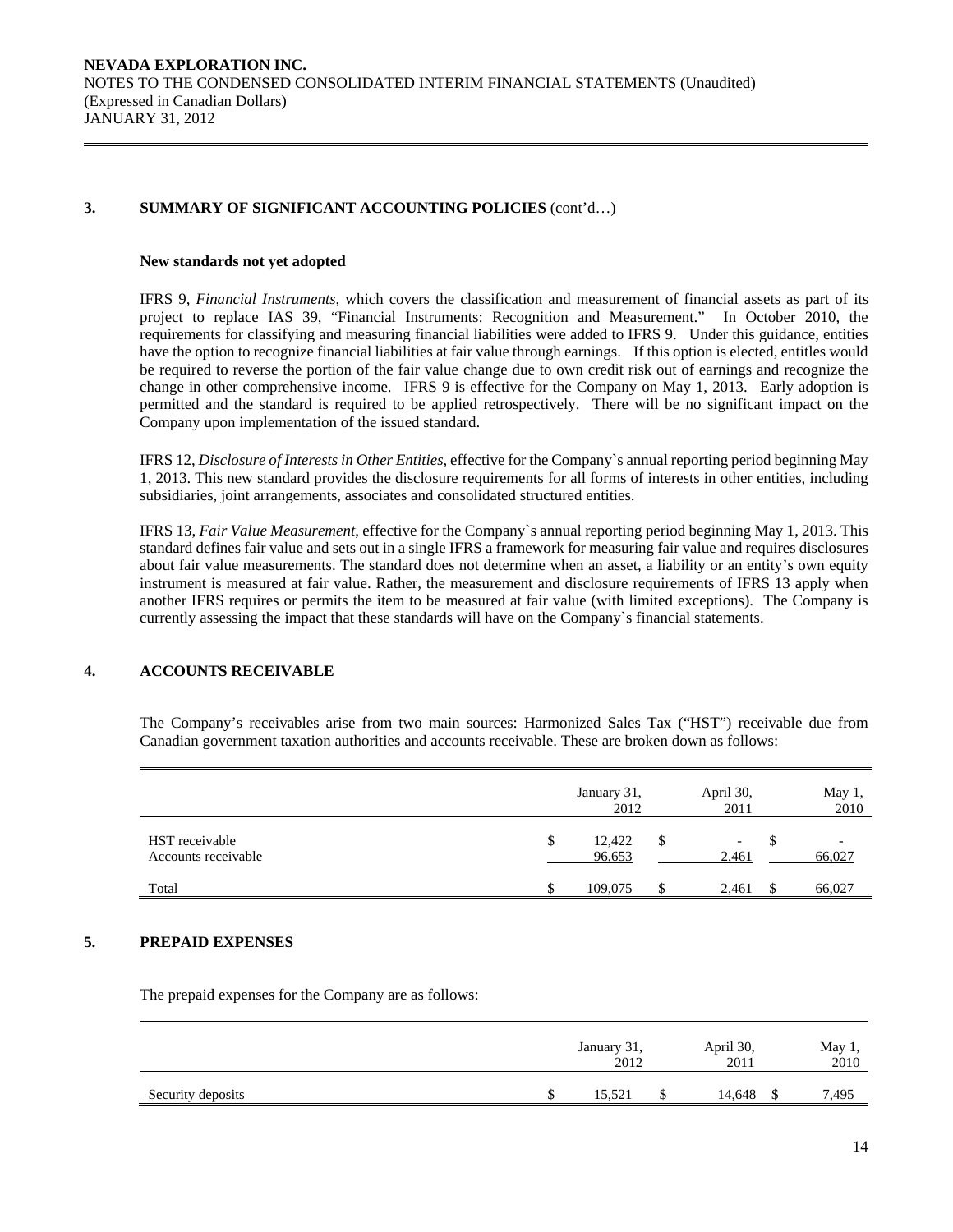#### **New standards not yet adopted**

IFRS 9, *Financial Instruments*, which covers the classification and measurement of financial assets as part of its project to replace IAS 39, "Financial Instruments: Recognition and Measurement." In October 2010, the requirements for classifying and measuring financial liabilities were added to IFRS 9. Under this guidance, entities have the option to recognize financial liabilities at fair value through earnings. If this option is elected, entitles would be required to reverse the portion of the fair value change due to own credit risk out of earnings and recognize the change in other comprehensive income. IFRS 9 is effective for the Company on May 1, 2013. Early adoption is permitted and the standard is required to be applied retrospectively. There will be no significant impact on the Company upon implementation of the issued standard.

IFRS 12, *Disclosure of Interests in Other Entities*, effective for the Company`s annual reporting period beginning May 1, 2013. This new standard provides the disclosure requirements for all forms of interests in other entities, including subsidiaries, joint arrangements, associates and consolidated structured entities.

IFRS 13, *Fair Value Measurement*, effective for the Company`s annual reporting period beginning May 1, 2013. This standard defines fair value and sets out in a single IFRS a framework for measuring fair value and requires disclosures about fair value measurements. The standard does not determine when an asset, a liability or an entity's own equity instrument is measured at fair value. Rather, the measurement and disclosure requirements of IFRS 13 apply when another IFRS requires or permits the item to be measured at fair value (with limited exceptions). The Company is currently assessing the impact that these standards will have on the Company`s financial statements.

## **4. ACCOUNTS RECEIVABLE**

The Company's receivables arise from two main sources: Harmonized Sales Tax ("HST") receivable due from Canadian government taxation authorities and accounts receivable. These are broken down as follows:

|                                       | January 31,<br>2012    |   | April 30,<br>2011                 | May 1,<br>2010 |
|---------------------------------------|------------------------|---|-----------------------------------|----------------|
| HST receivable<br>Accounts receivable | \$<br>12,422<br>96,653 | S | $\overline{\phantom{a}}$<br>2,461 | 66,027         |
| Total                                 | 109,075                | S | 2,461                             | 66,027         |

## **5. PREPAID EXPENSES**

The prepaid expenses for the Company are as follows:

|                   | January 31,<br>2012 | April 30,<br>2011 | May 1,<br>2010 |
|-------------------|---------------------|-------------------|----------------|
| Security deposits | 15,521              | 14,648            | 7,495          |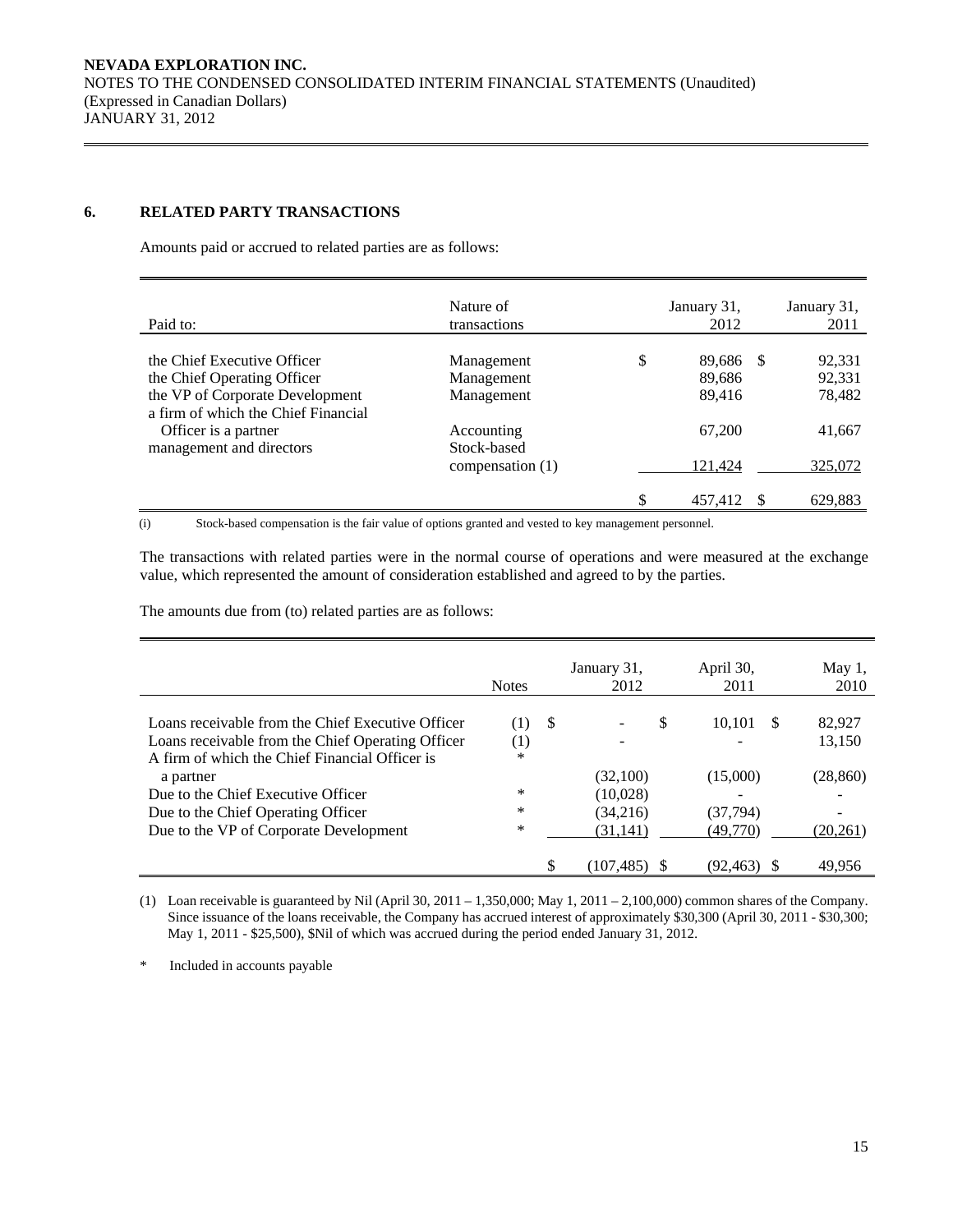## **6. RELATED PARTY TRANSACTIONS**

Amounts paid or accrued to related parties are as follows:

| Paid to:                                                               | Nature of<br>transactions | January 31,<br>2012       | January 31,<br>2011 |
|------------------------------------------------------------------------|---------------------------|---------------------------|---------------------|
| the Chief Executive Officer<br>the Chief Operating Officer             | Management<br>Management  | \$<br>89,686 \$<br>89,686 | 92,331<br>92,331    |
| the VP of Corporate Development<br>a firm of which the Chief Financial | Management                | 89,416                    | 78,482              |
| Officer is a partner<br>management and directors                       | Accounting<br>Stock-based | 67,200                    | 41,667              |
|                                                                        | compensation (1)          | 121,424                   | 325,072             |
|                                                                        |                           | \$<br>457,412             | 629,883             |

(i) Stock-based compensation is the fair value of options granted and vested to key management personnel.

 The transactions with related parties were in the normal course of operations and were measured at the exchange value, which represented the amount of consideration established and agreed to by the parties.

The amounts due from (to) related parties are as follows:

|                                                   | <b>Notes</b> |     | January 31,<br>2012 | April 30,<br>2011  | May $1$ ,<br>2010 |
|---------------------------------------------------|--------------|-----|---------------------|--------------------|-------------------|
|                                                   |              |     |                     |                    |                   |
| Loans receivable from the Chief Executive Officer | (1)          | - S | S                   | <b>S</b><br>10.101 | 82,927            |
| Loans receivable from the Chief Operating Officer | (1)          |     |                     |                    | 13,150            |
| A firm of which the Chief Financial Officer is    | $\ast$       |     |                     |                    |                   |
| a partner                                         |              |     | (32,100)            | (15,000)           | (28, 860)         |
| Due to the Chief Executive Officer                | $\ast$       |     | (10,028)            |                    |                   |
| Due to the Chief Operating Officer                | *            |     | (34,216)            | (37,794)           |                   |
| Due to the VP of Corporate Development            | $\ast$       |     | (31,141)            | (49,770)           | (20,261)          |
|                                                   |              |     |                     |                    |                   |
|                                                   |              |     | (107.485)           | (92.463)           | 49.956            |

(1) Loan receivable is guaranteed by Nil (April 30, 2011 – 1,350,000; May 1, 2011 – 2,100,000) common shares of the Company. Since issuance of the loans receivable, the Company has accrued interest of approximately \$30,300 (April 30, 2011 - \$30,300; May 1, 2011 - \$25,500), \$Nil of which was accrued during the period ended January 31, 2012.

\* Included in accounts payable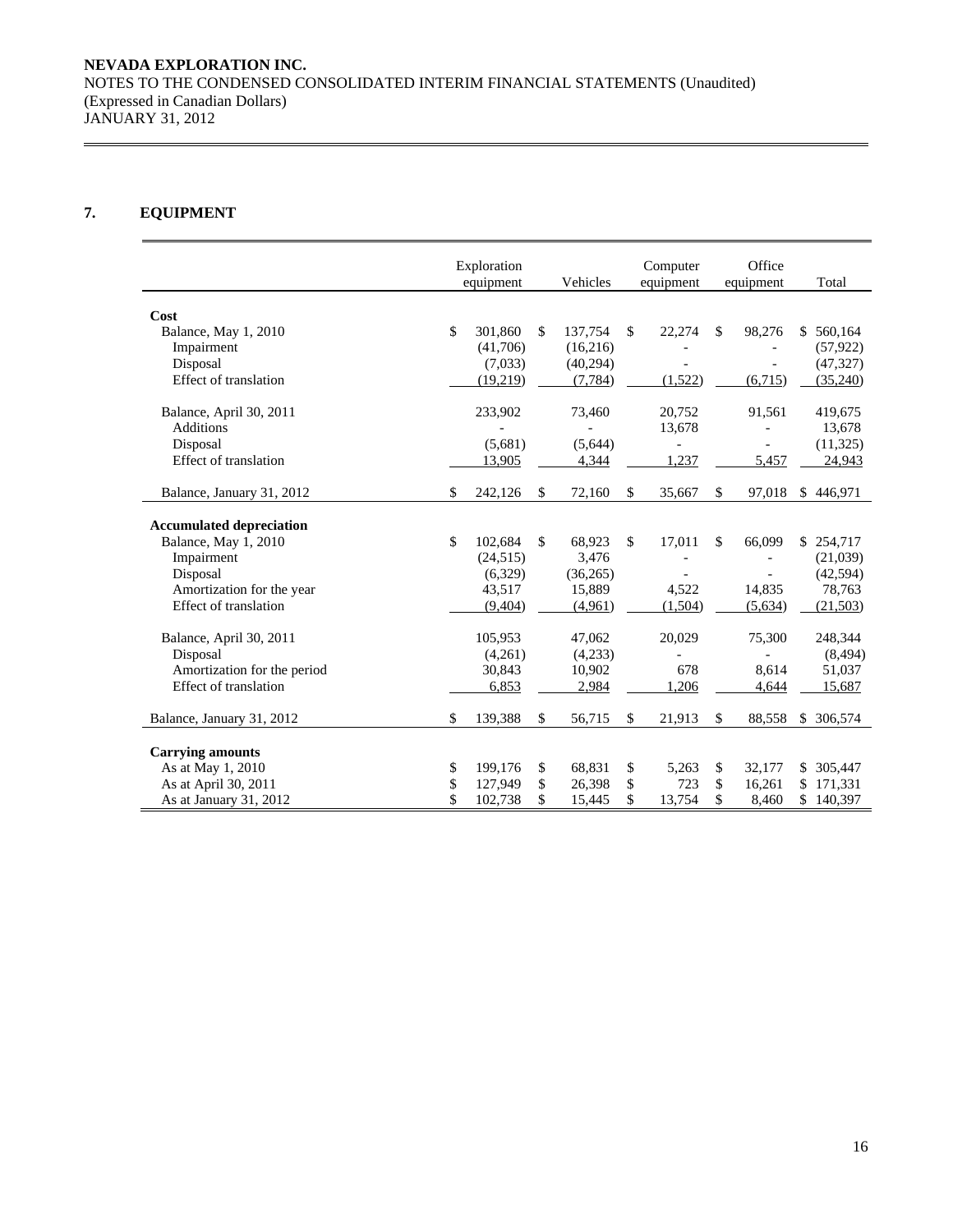## **NEVADA EXPLORATION INC.**  NOTES TO THE CONDENSED CONSOLIDATED INTERIM FINANCIAL STATEMENTS (Unaudited) (Expressed in Canadian Dollars) JANUARY 31, 2012

## **7. EQUIPMENT**

|                                 | Exploration   |               | Computer       | Office                   |    |            |
|---------------------------------|---------------|---------------|----------------|--------------------------|----|------------|
|                                 | equipment     | Vehicles      | equipment      | equipment                |    | Total      |
| Cost                            |               |               |                |                          |    |            |
| Balance, May 1, 2010            | \$<br>301,860 | \$<br>137,754 | \$<br>22,274   | \$<br>98,276             |    | \$560,164  |
| Impairment                      | (41,706)      | (16,216)      |                |                          |    | (57, 922)  |
| Disposal                        | (7,033)       | (40, 294)     |                |                          |    | (47, 327)  |
| Effect of translation           | (19,219)      | (7, 784)      | (1,522)        | (6,715)                  |    | (35,240)   |
|                                 |               |               |                |                          |    |            |
| Balance, April 30, 2011         | 233,902       | 73,460        | 20,752         | 91,561                   |    | 419,675    |
| <b>Additions</b>                |               |               | 13,678         |                          |    | 13,678     |
| Disposal                        | (5,681)       | (5,644)       | $\overline{a}$ | $\overline{\phantom{a}}$ |    | (11, 325)  |
| Effect of translation           | 13,905        | 4,344         | 1,237          | 5,457                    |    | 24,943     |
| Balance, January 31, 2012       | \$<br>242,126 | \$<br>72,160  | \$<br>35,667   | \$<br>97,018             | \$ | 446,971    |
|                                 |               |               |                |                          |    |            |
| <b>Accumulated depreciation</b> | \$            | \$            |                | \$                       |    |            |
| Balance, May 1, 2010            | 102,684       | 68,923        | \$<br>17,011   | 66,099                   |    | \$254,717  |
| Impairment                      | (24, 515)     | 3,476         |                |                          |    | (21,039)   |
| Disposal                        | (6,329)       | (36, 265)     |                |                          |    | (42, 594)  |
| Amortization for the year       | 43,517        | 15,889        | 4,522          | 14,835                   |    | 78,763     |
| Effect of translation           | (9, 404)      | (4,961)       | (1,504)        | (5,634)                  |    | (21, 503)  |
| Balance, April 30, 2011         | 105,953       | 47,062        | 20,029         | 75,300                   |    | 248,344    |
| Disposal                        | (4,261)       | (4,233)       |                |                          |    | (8, 494)   |
| Amortization for the period     | 30,843        | 10,902        | 678            | 8,614                    |    | 51,037     |
| Effect of translation           | 6,853         | 2,984         | 1,206          | 4,644                    |    | 15,687     |
| Balance, January 31, 2012       | \$<br>139,388 | \$<br>56,715  | \$<br>21,913   | \$<br>88,558             | S. | 306,574    |
|                                 |               |               |                |                          |    |            |
| <b>Carrying amounts</b>         |               |               |                |                          |    |            |
| As at May 1, 2010               | \$<br>199,176 | \$<br>68,831  | \$<br>5,263    | \$<br>32,177             |    | \$ 305,447 |
| As at April 30, 2011            | \$<br>127,949 | \$<br>26,398  | \$<br>723      | \$<br>16,261             |    | \$171,331  |
| As at January 31, 2012          | \$<br>102,738 | \$<br>15,445  | \$<br>13,754   | \$<br>8,460              |    | \$140,397  |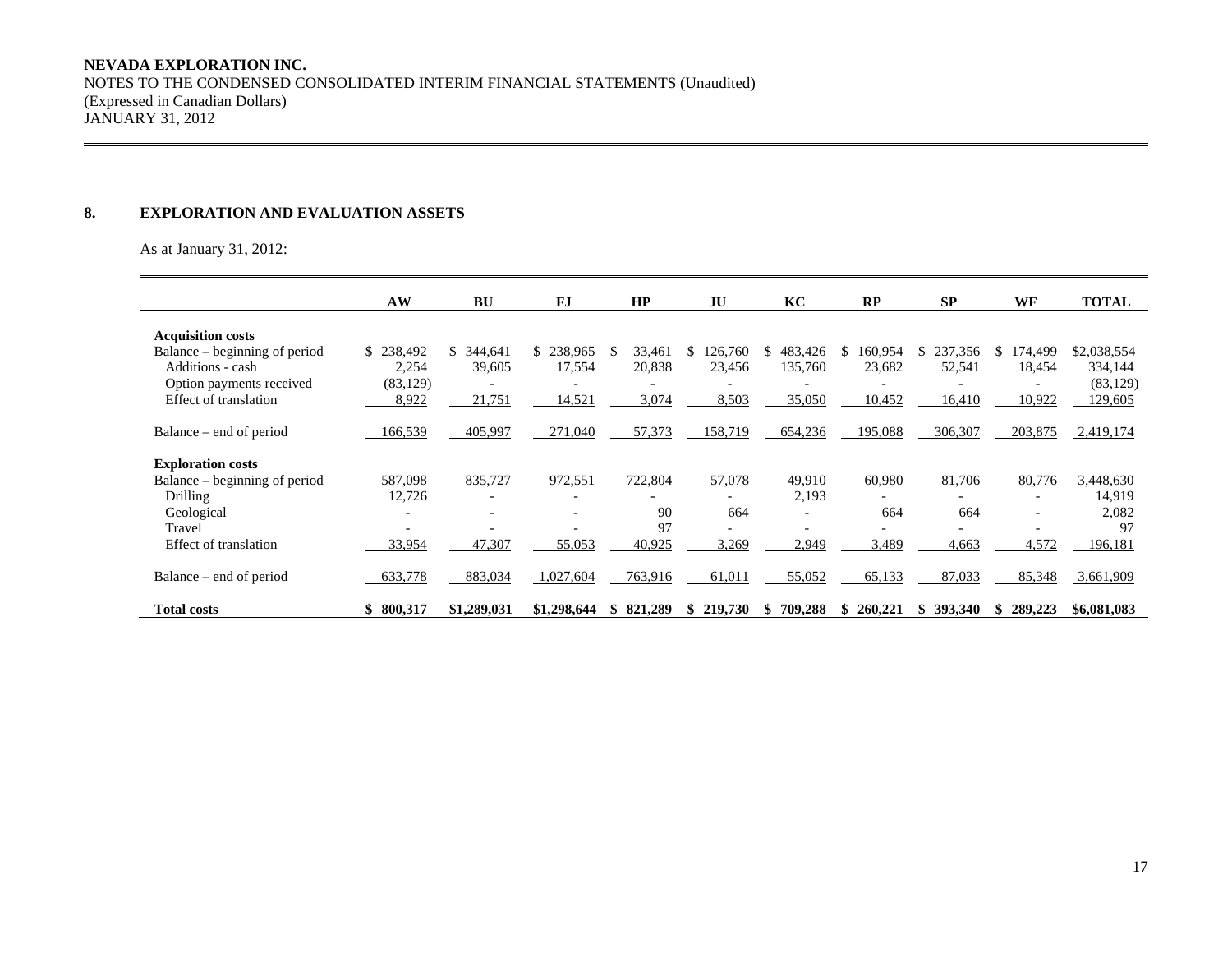## **NEVADA EXPLORATION INC.**

NOTES TO THE CONDENSED CONSOLIDATED INTERIM FINANCIAL STATEMENTS (Unaudited) (Expressed in Canadian Dollars) JANUARY 31, 2012

#### **8. EXPLORATION AND EVALUATION ASSETS**

As at January 31, 2012:

|                               | AW                       | <b>BU</b>   | FJ                       | HP            | JU            | KC                       | RP                       | <b>SP</b>     | WF                       | <b>TOTAL</b> |
|-------------------------------|--------------------------|-------------|--------------------------|---------------|---------------|--------------------------|--------------------------|---------------|--------------------------|--------------|
| <b>Acquisition costs</b>      |                          |             |                          |               |               |                          |                          |               |                          |              |
| Balance – beginning of period | \$238,492                | \$344,641   | 238,965<br>\$            | 33,461<br>\$. | 126,760<br>\$ | 483,426<br>\$            | 160,954<br>S.            | \$237,356     | 174,499<br><sup>\$</sup> | \$2,038,554  |
| Additions - cash              | 2,254                    | 39,605      | 17,554                   | 20,838        | 23,456        | 135,760                  | 23,682                   | 52,541        | 18,454                   | 334,144      |
| Option payments received      | (83, 129)                |             |                          |               |               |                          |                          |               |                          | (83, 129)    |
| Effect of translation         | 8,922                    | 21,751      | 14,521                   | 3,074         | 8,503         | 35,050                   | 10,452                   | 16,410        | 10,922                   | 129,605      |
|                               |                          |             |                          |               |               |                          |                          |               |                          |              |
| Balance – end of period       | 166,539                  | 405,997     | 271,040                  | 57,373        | 158,719       | 654,236                  | 195,088                  | 306,307       | 203,875                  | 2,419,174    |
|                               |                          |             |                          |               |               |                          |                          |               |                          |              |
| <b>Exploration costs</b>      |                          |             |                          |               |               |                          |                          |               |                          |              |
| Balance – beginning of period | 587,098                  | 835,727     | 972,551                  | 722,804       | 57,078        | 49,910                   | 60,980                   | 81,706        | 80,776                   | 3,448,630    |
| Drilling                      | 12,726                   | ۰           | $\overline{\phantom{a}}$ |               |               | 2,193                    | $\overline{\phantom{0}}$ |               | $\overline{\phantom{a}}$ | 14,919       |
| Geological                    |                          | ۰           | $\overline{\phantom{a}}$ | 90            | 664           | $\overline{\phantom{a}}$ | 664                      | 664           | $\overline{\phantom{a}}$ | 2,082        |
| Travel                        | $\overline{\phantom{0}}$ |             | $\overline{\phantom{0}}$ | 97            |               | ۰                        | $\overline{\phantom{a}}$ |               | $\overline{\phantom{0}}$ | 97           |
| Effect of translation         | 33,954                   | 47,307      | 55,053                   | 40,925        | 3,269         | 2,949                    | 3,489                    | 4,663         | 4,572                    | 196,181      |
|                               |                          |             |                          |               |               |                          |                          |               |                          |              |
| Balance – end of period       | 633,778                  | 883,034     | 1,027,604                | 763,916       | 61,011        | 55,052                   | 65,133                   | 87,033        | 85,348                   | 3,661,909    |
|                               |                          |             |                          |               |               |                          |                          |               |                          |              |
| <b>Total costs</b>            | \$800,317                | \$1,289,031 | \$1,298,644              | 821,289<br>\$ | 219,730<br>S. | 709,288<br>S             | 260,221<br>SS.           | 393,340<br>S. | 289,223<br>S             | \$6,081,083  |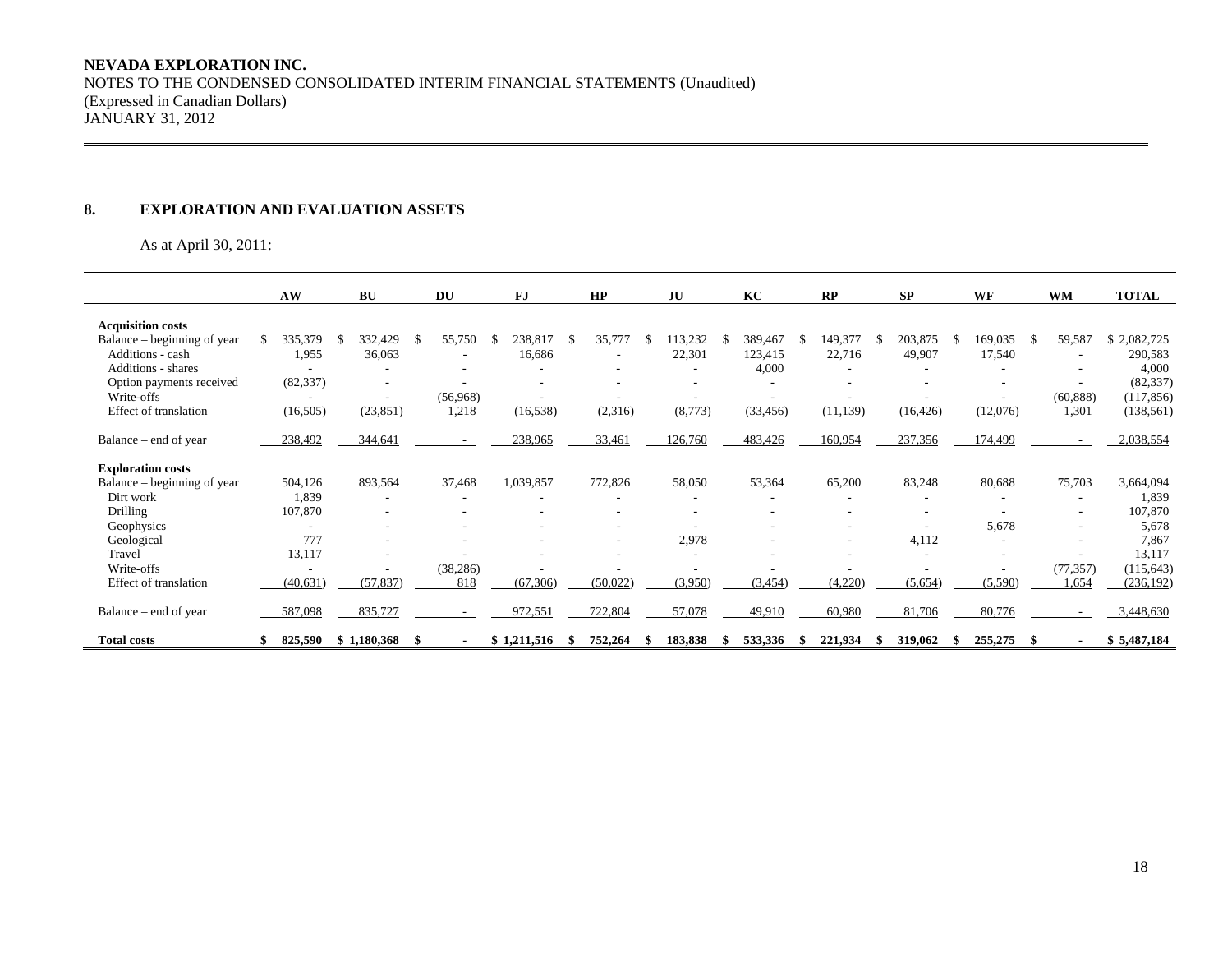## **NEVADA EXPLORATION INC.**  NOTES TO THE CONDENSED CONSOLIDATED INTERIM FINANCIAL STATEMENTS (Unaudited) (Expressed in Canadian Dollars) JANUARY 31, 2012

#### **8. EXPLORATION AND EVALUATION ASSETS**

As at April 30, 2011:

|                             | AW        |     | <b>BU</b>                |    | DU                       |    | FJ          |    | HP       | JU      | KC        |   | RP                       |   | <b>SP</b> | WF       | <b>WM</b>                | <b>TOTAL</b> |
|-----------------------------|-----------|-----|--------------------------|----|--------------------------|----|-------------|----|----------|---------|-----------|---|--------------------------|---|-----------|----------|--------------------------|--------------|
| <b>Acquisition costs</b>    |           |     |                          |    |                          |    |             |    |          |         |           |   |                          |   |           |          |                          |              |
| Balance – beginning of year | 335,379   | - S | 332,429                  | S. | 55,750                   | -S | 238,817     | -S | 35,777   | 113,232 | 389,467   | S | 149,377                  | S | 203,875   | 169,035  | 59,587                   | \$2,082,725  |
| Additions - cash            | 1,955     |     | 36,063                   |    |                          |    | 16,686      |    |          | 22,301  | 123,415   |   | 22,716                   |   | 49,907    | 17,540   |                          | 290,583      |
| <b>Additions - shares</b>   |           |     |                          |    |                          |    |             |    |          |         | 4,000     |   |                          |   |           |          |                          | 4,000        |
| Option payments received    | (82, 337) |     |                          |    |                          |    |             |    |          |         |           |   |                          |   |           |          | $\overline{\phantom{a}}$ | (82, 337)    |
| Write-offs                  |           |     | $\overline{\phantom{a}}$ |    | (56,968)                 |    |             |    |          |         |           |   |                          |   |           |          | (60, 888)                | (117, 856)   |
| Effect of translation       | (16, 505) |     | (23, 851)                |    | 1,218                    |    | (16, 538)   |    | (2,316)  | (8,773) | (33, 456) |   | (11, 139)                |   | (16, 426) | (12,076) | 1,301                    | (138, 561)   |
|                             |           |     |                          |    |                          |    |             |    |          |         |           |   |                          |   |           |          |                          |              |
| Balance – end of year       | 238,492   |     | 344,641                  |    |                          |    | 238,965     |    | 33,461   | 126,760 | 483,426   |   | 160,954                  |   | 237,356   | 174,499  |                          | 2,038,554    |
|                             |           |     |                          |    |                          |    |             |    |          |         |           |   |                          |   |           |          |                          |              |
| <b>Exploration costs</b>    |           |     |                          |    |                          |    |             |    |          |         |           |   |                          |   |           |          |                          |              |
| Balance – beginning of year | 504,126   |     | 893,564                  |    | 37,468                   |    | 1,039,857   |    | 772,826  | 58,050  | 53,364    |   | 65,200                   |   | 83,248    | 80,688   | 75,703                   | 3,664,094    |
| Dirt work                   | 1,839     |     | ۰                        |    | ۰                        |    |             |    |          |         |           |   |                          |   |           |          | ۰                        | 1,839        |
| <b>Drilling</b>             | 107,870   |     |                          |    |                          |    |             |    | ۰        |         |           |   |                          |   |           |          | $\overline{\phantom{a}}$ | 107,870      |
| Geophysics                  |           |     |                          |    |                          |    |             |    |          |         |           |   |                          |   |           | 5,678    |                          | 5,678        |
| Geological                  | 777       |     | $\overline{\phantom{a}}$ |    |                          |    |             |    | ۰        | 2,978   |           |   | $\overline{\phantom{a}}$ |   | 4,112     |          | $\overline{\phantom{a}}$ | 7,867        |
| Travel                      | 13,117    |     |                          |    |                          |    |             |    |          |         |           |   |                          |   |           |          |                          | 13,117       |
| Write-offs                  |           |     |                          |    | (38, 286)                |    |             |    |          |         |           |   |                          |   |           |          | (77, 357)                | (115, 643)   |
| Effect of translation       | (40, 631) |     | (57, 837)                |    | 818                      |    | (67, 306)   |    | (50,022) | (3,950) | (3, 454)  |   | (4,220)                  |   | (5,654)   | (5,590)  | 1,654                    | (236, 192)   |
|                             |           |     |                          |    |                          |    |             |    |          |         |           |   |                          |   |           |          |                          |              |
| Balance – end of year       | 587,098   |     | 835,727                  |    | $\overline{\phantom{a}}$ |    | 972,551     |    | 722,804  | 57,078  | 49,910    |   | 60,980                   |   | 81,706    | 80,776   | $\sim$                   | 3,448,630    |
| <b>Total costs</b>          | 825,590   |     | \$1,180,368              |    |                          |    | \$1,211,516 |    | 752,264  | 183,838 | 533,336   |   | 221,934                  |   | 319,062   | 255,275  |                          | \$5,487,184  |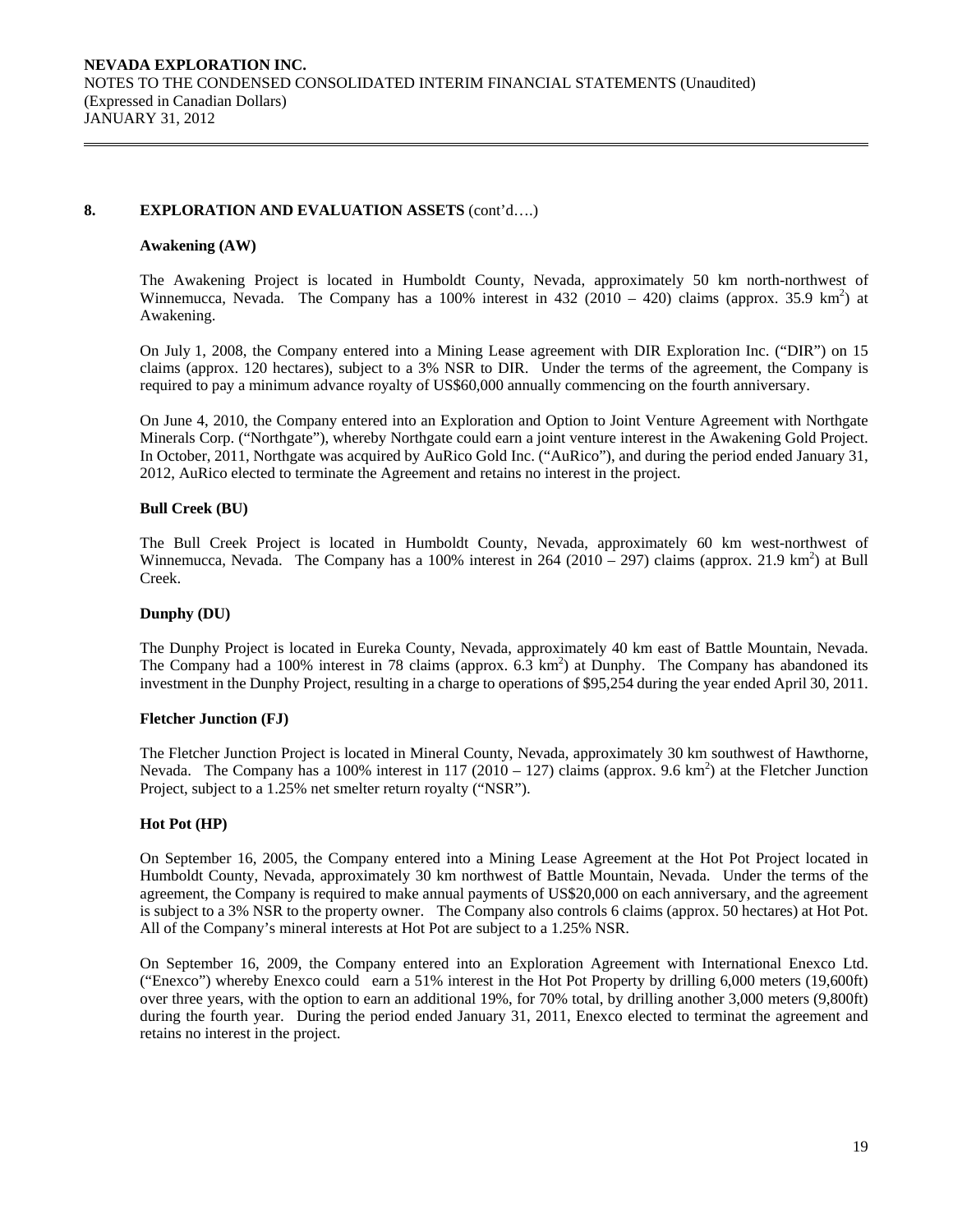## **8. EXPLORATION AND EVALUATION ASSETS** (cont'd….)

#### **Awakening (AW)**

The Awakening Project is located in Humboldt County, Nevada, approximately 50 km north-northwest of Winnemucca, Nevada. The Company has a 100% interest in 432 (2010 – 420) claims (approx. 35.9 km<sup>2</sup>) at Awakening.

On July 1, 2008, the Company entered into a Mining Lease agreement with DIR Exploration Inc. ("DIR") on 15 claims (approx. 120 hectares), subject to a 3% NSR to DIR. Under the terms of the agreement, the Company is required to pay a minimum advance royalty of US\$60,000 annually commencing on the fourth anniversary.

On June 4, 2010, the Company entered into an Exploration and Option to Joint Venture Agreement with Northgate Minerals Corp. ("Northgate"), whereby Northgate could earn a joint venture interest in the Awakening Gold Project. In October, 2011, Northgate was acquired by AuRico Gold Inc. ("AuRico"), and during the period ended January 31, 2012, AuRico elected to terminate the Agreement and retains no interest in the project.

#### **Bull Creek (BU)**

The Bull Creek Project is located in Humboldt County, Nevada, approximately 60 km west-northwest of Winnemucca, Nevada. The Company has a 100% interest in 264 (2010 – 297) claims (approx. 21.9 km<sup>2</sup>) at Bull Creek.

#### **Dunphy (DU)**

The Dunphy Project is located in Eureka County, Nevada, approximately 40 km east of Battle Mountain, Nevada. The Company had a 100% interest in 78 claims (approx.  $6.\overline{3}$  km<sup>2</sup>) at Dunphy. The Company has abandoned its investment in the Dunphy Project, resulting in a charge to operations of \$95,254 during the year ended April 30, 2011.

#### **Fletcher Junction (FJ)**

The Fletcher Junction Project is located in Mineral County, Nevada, approximately 30 km southwest of Hawthorne, Nevada. The Company has a 100% interest in 117 (2010 – 127) claims (approx. 9.6 km<sup>2</sup>) at the Fletcher Junction Project, subject to a 1.25% net smelter return royalty ("NSR").

#### **Hot Pot (HP)**

On September 16, 2005, the Company entered into a Mining Lease Agreement at the Hot Pot Project located in Humboldt County, Nevada, approximately 30 km northwest of Battle Mountain, Nevada. Under the terms of the agreement, the Company is required to make annual payments of US\$20,000 on each anniversary, and the agreement is subject to a 3% NSR to the property owner. The Company also controls 6 claims (approx. 50 hectares) at Hot Pot. All of the Company's mineral interests at Hot Pot are subject to a 1.25% NSR.

On September 16, 2009, the Company entered into an Exploration Agreement with International Enexco Ltd. ("Enexco") whereby Enexco could earn a 51% interest in the Hot Pot Property by drilling 6,000 meters (19,600ft) over three years, with the option to earn an additional 19%, for 70% total, by drilling another 3,000 meters (9,800ft) during the fourth year. During the period ended January 31, 2011, Enexco elected to terminat the agreement and retains no interest in the project.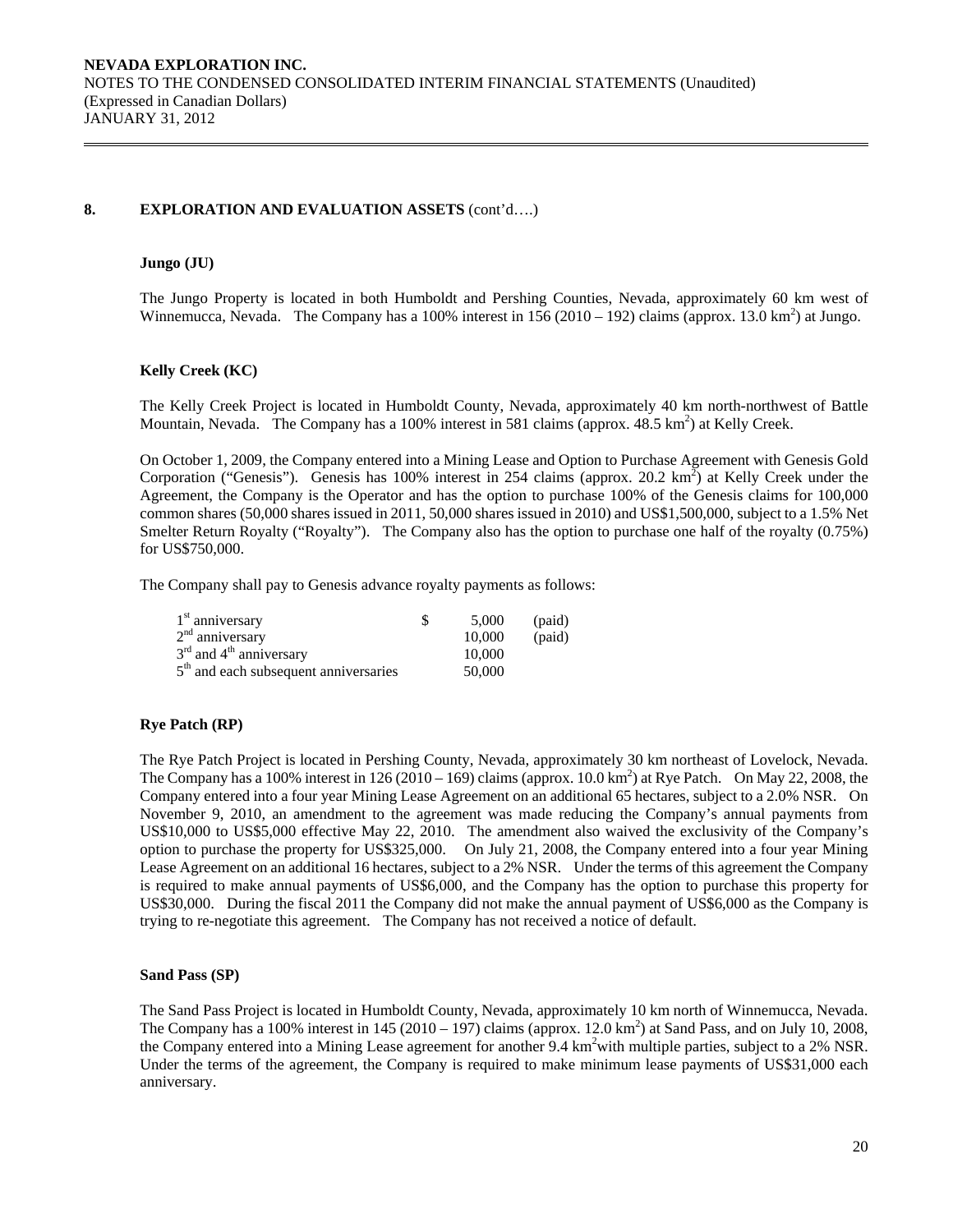## **8. EXPLORATION AND EVALUATION ASSETS** (cont'd….)

## **Jungo (JU)**

The Jungo Property is located in both Humboldt and Pershing Counties, Nevada, approximately 60 km west of Winnemucca, Nevada. The Company has a 100% interest in  $156(2010 - 192)$  claims (approx. 13.0 km<sup>2</sup>) at Jungo.

## **Kelly Creek (KC)**

The Kelly Creek Project is located in Humboldt County, Nevada, approximately 40 km north-northwest of Battle Mountain, Nevada. The Company has a 100% interest in 581 claims (approx. 48.5 km<sup>2</sup>) at Kelly Creek.

On October 1, 2009, the Company entered into a Mining Lease and Option to Purchase Agreement with Genesis Gold Corporation ("Genesis"). Genesis has 100% interest in 254 claims (approx. 20.2 km<sup>2</sup>) at Kelly Creek under the Agreement, the Company is the Operator and has the option to purchase 100% of the Genesis claims for 100,000 common shares (50,000 shares issued in 2011, 50,000 shares issued in 2010) and US\$1,500,000, subject to a 1.5% Net Smelter Return Royalty ("Royalty"). The Company also has the option to purchase one half of the royalty (0.75%) for US\$750,000.

The Company shall pay to Genesis advance royalty payments as follows:

| $1st$ anniversary                       | 5.000  | (paid) |
|-----------------------------------------|--------|--------|
| $2nd$ anniversary                       | 10,000 | (paid) |
| $3rd$ and $4th$ anniversary             | 10,000 |        |
| $5th$ and each subsequent anniversaries | 50,000 |        |

## **Rye Patch (RP)**

The Rye Patch Project is located in Pershing County, Nevada, approximately 30 km northeast of Lovelock, Nevada. The Company has a 100% interest in 126 (2010 – 169) claims (approx. 10.0 km<sup>2</sup>) at Rye Patch. On May 22, 2008, the Company entered into a four year Mining Lease Agreement on an additional 65 hectares, subject to a 2.0% NSR. On November 9, 2010, an amendment to the agreement was made reducing the Company's annual payments from US\$10,000 to US\$5,000 effective May 22, 2010. The amendment also waived the exclusivity of the Company's option to purchase the property for US\$325,000. On July 21, 2008, the Company entered into a four year Mining Lease Agreement on an additional 16 hectares, subject to a 2% NSR. Under the terms of this agreement the Company is required to make annual payments of US\$6,000, and the Company has the option to purchase this property for US\$30,000. During the fiscal 2011 the Company did not make the annual payment of US\$6,000 as the Company is trying to re-negotiate this agreement. The Company has not received a notice of default.

## **Sand Pass (SP)**

The Sand Pass Project is located in Humboldt County, Nevada, approximately 10 km north of Winnemucca, Nevada. The Company has a 100% interest in  $145 (2010 - 197)$  claims (approx.  $12.0 \text{ km}^2$ ) at Sand Pass, and on July 10, 2008, the Company entered into a Mining Lease agreement for another 9.4 km<sup>2</sup> with multiple parties, subject to a 2% NSR. Under the terms of the agreement, the Company is required to make minimum lease payments of US\$31,000 each anniversary.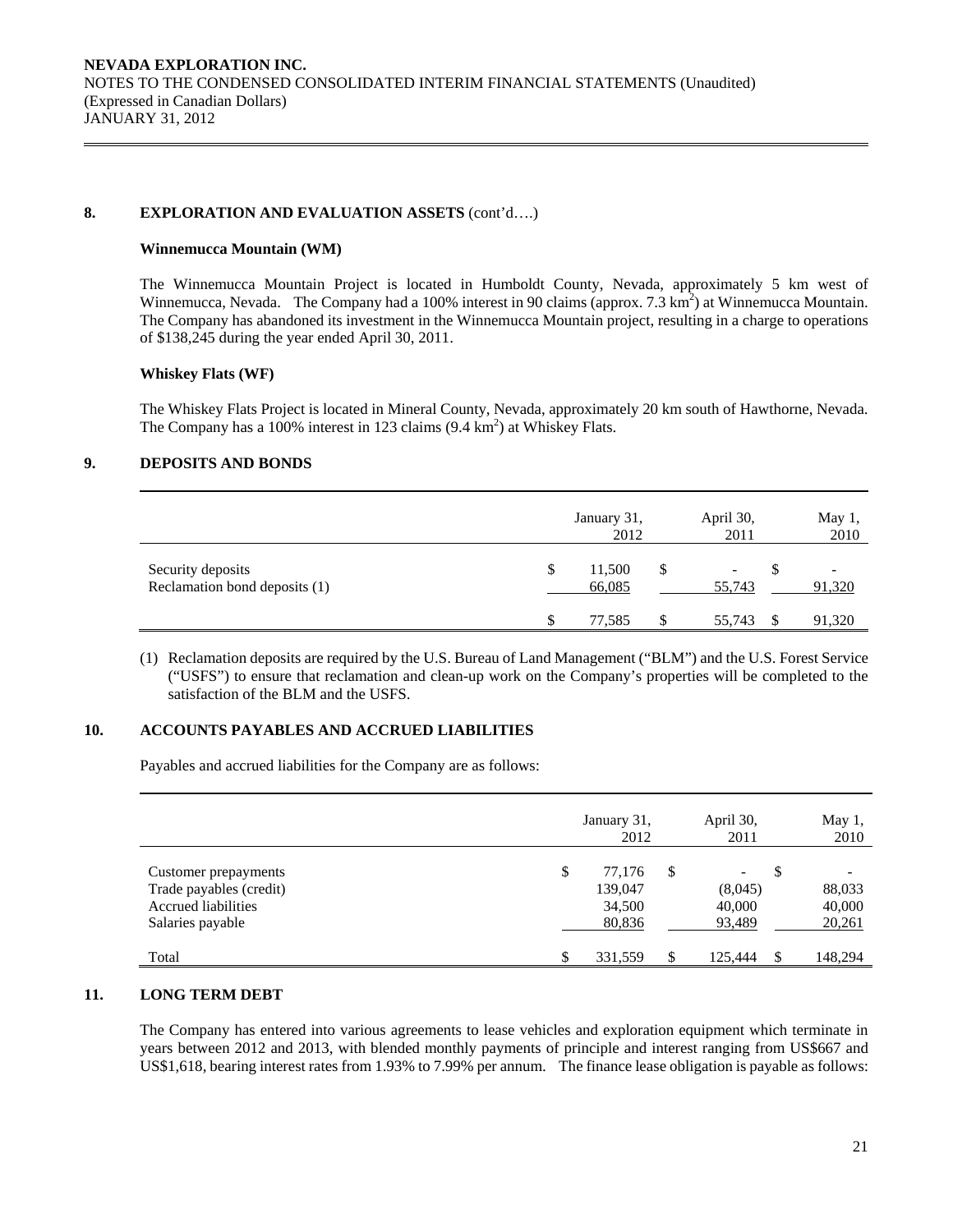## 8. EXPLORATION AND EVALUATION ASSETS  $(cont'd....)$

#### **Winnemucca Mountain (WM)**

The Winnemucca Mountain Project is located in Humboldt County, Nevada, approximately 5 km west of Winnemucca, Nevada. The Company had a 100% interest in 90 claims (approx.  $7.3 \text{ km}^2$ ) at Winnemucca Mountain. The Company has abandoned its investment in the Winnemucca Mountain project, resulting in a charge to operations of \$138,245 during the year ended April 30, 2011.

#### **Whiskey Flats (WF)**

The Whiskey Flats Project is located in Mineral County, Nevada, approximately 20 km south of Hawthorne, Nevada. The Company has a 100% interest in 123 claims  $(9.4 \text{ km}^2)$  at Whiskey Flats.

## **9. DEPOSITS AND BONDS**

|                                                    |   | January 31,<br>2012 |   | April 30,<br>2011 | May 1,<br>2010 |
|----------------------------------------------------|---|---------------------|---|-------------------|----------------|
| Security deposits<br>Reclamation bond deposits (1) | S | 11,500<br>66,085    | S | 55,743            | 91,320         |
|                                                    |   | 77.585              |   | 55,743            | 91,320         |

(1) Reclamation deposits are required by the U.S. Bureau of Land Management ("BLM") and the U.S. Forest Service ("USFS") to ensure that reclamation and clean-up work on the Company's properties will be completed to the satisfaction of the BLM and the USFS.

## **10. ACCOUNTS PAYABLES AND ACCRUED LIABILITIES**

Payables and accrued liabilities for the Company are as follows:

|                                                                                                   | January 31,<br>2012                         | April 30,<br>2011                 | May 1,<br>2010                   |
|---------------------------------------------------------------------------------------------------|---------------------------------------------|-----------------------------------|----------------------------------|
| Customer prepayments<br>Trade payables (credit)<br><b>Accrued liabilities</b><br>Salaries payable | \$<br>77.176<br>139,047<br>34,500<br>80,836 | \$<br>(8,045)<br>40,000<br>93,489 | \$<br>88,033<br>40,000<br>20,261 |
| Total                                                                                             | \$<br>331,559                               | \$<br>125.444                     | 148,294                          |

## **11. LONG TERM DEBT**

The Company has entered into various agreements to lease vehicles and exploration equipment which terminate in years between 2012 and 2013, with blended monthly payments of principle and interest ranging from US\$667 and US\$1,618, bearing interest rates from 1.93% to 7.99% per annum. The finance lease obligation is payable as follows: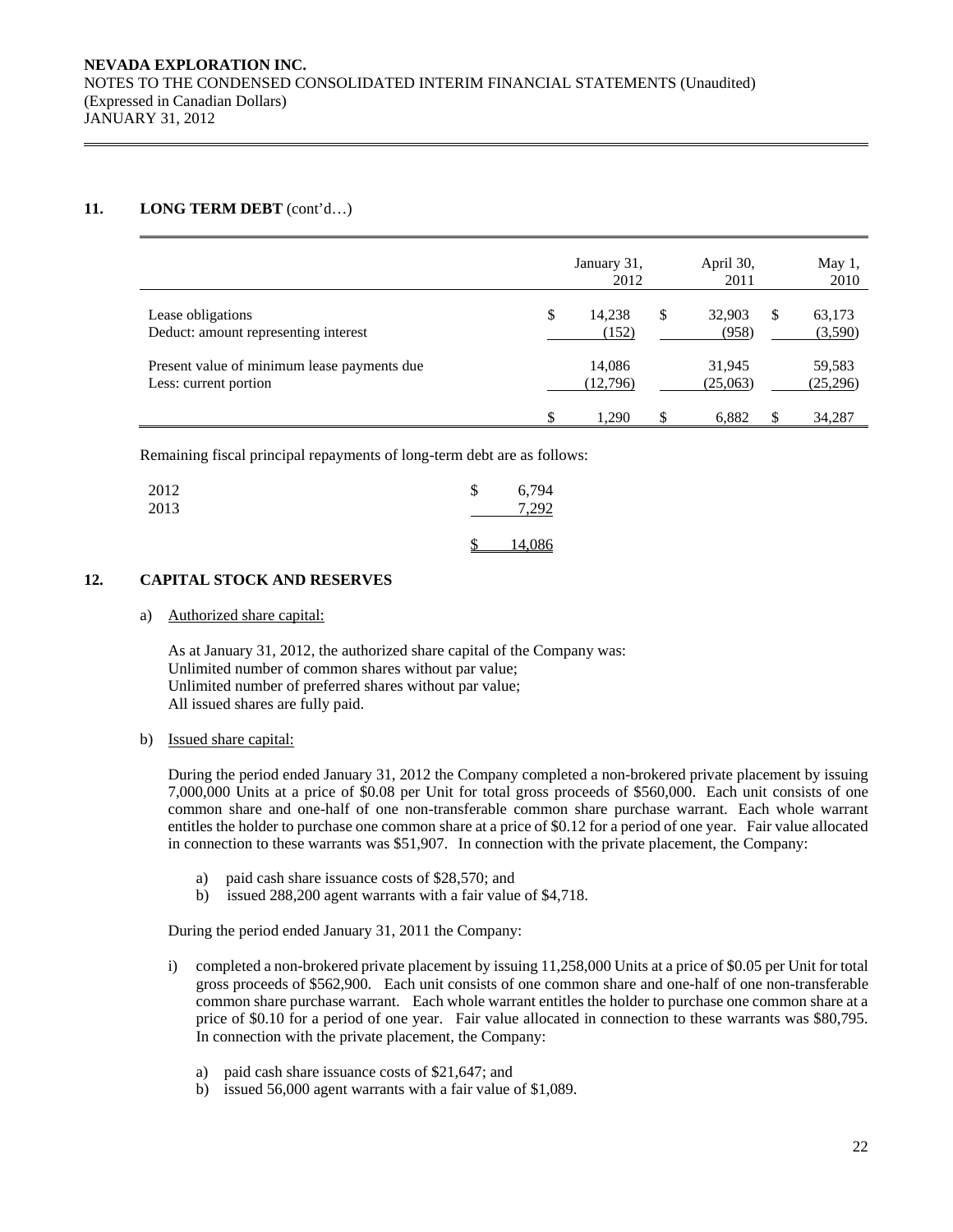## **11. LONG TERM DEBT** (cont'd…)

|                                                                      | January 31,<br>2012   | April 30,<br>2011     |   | May 1,<br>2010     |
|----------------------------------------------------------------------|-----------------------|-----------------------|---|--------------------|
| Lease obligations<br>Deduct: amount representing interest            | \$<br>14.238<br>(152) | \$<br>32.903<br>(958) | S | 63,173<br>(3,590)  |
| Present value of minimum lease payments due<br>Less: current portion | 14,086<br>(12,796)    | 31,945<br>(25,063)    |   | 59,583<br>(25,296) |
|                                                                      | \$<br>1.290           | \$<br>6.882           | S | 34,287             |

Remaining fiscal principal repayments of long-term debt are as follows:

| 2012<br>2013 | \$<br>6,794<br>7,292 |
|--------------|----------------------|
|              | 14,086               |

## **12. CAPITAL STOCK AND RESERVES**

a) Authorized share capital:

As at January 31, 2012, the authorized share capital of the Company was: Unlimited number of common shares without par value; Unlimited number of preferred shares without par value; All issued shares are fully paid.

## b) Issued share capital:

 During the period ended January 31, 2012 the Company completed a non-brokered private placement by issuing 7,000,000 Units at a price of \$0.08 per Unit for total gross proceeds of \$560,000. Each unit consists of one common share and one-half of one non-transferable common share purchase warrant. Each whole warrant entitles the holder to purchase one common share at a price of \$0.12 for a period of one year. Fair value allocated in connection to these warrants was \$51,907. In connection with the private placement, the Company:

- a) paid cash share issuance costs of \$28,570; and
- b) issued 288,200 agent warrants with a fair value of \$4,718.

During the period ended January 31, 2011 the Company:

- i) completed a non-brokered private placement by issuing 11,258,000 Units at a price of \$0.05 per Unit for total gross proceeds of \$562,900. Each unit consists of one common share and one-half of one non-transferable common share purchase warrant. Each whole warrant entitles the holder to purchase one common share at a price of \$0.10 for a period of one year. Fair value allocated in connection to these warrants was \$80,795. In connection with the private placement, the Company:
	- a) paid cash share issuance costs of \$21,647; and
	- b) issued 56,000 agent warrants with a fair value of \$1,089.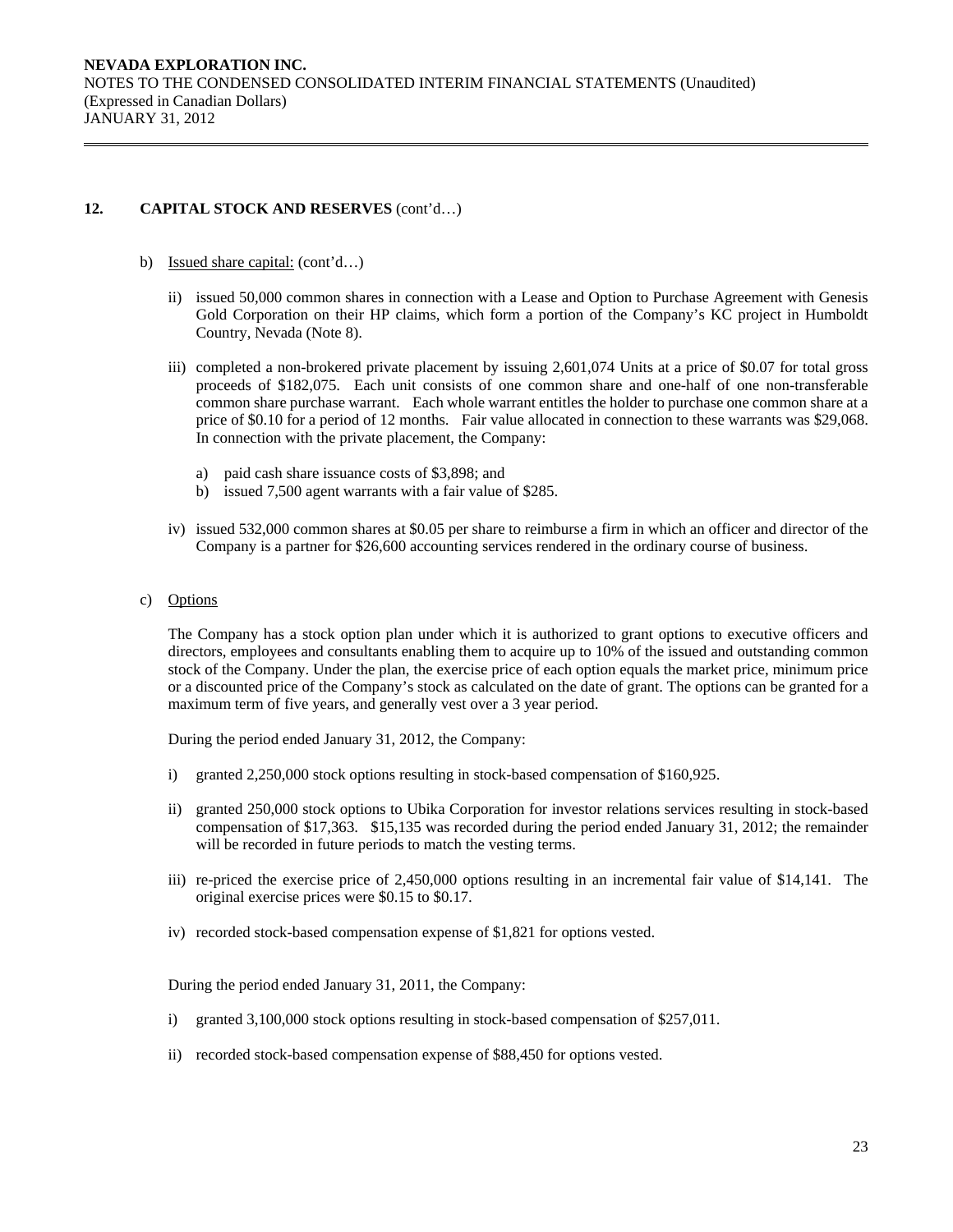- b) Issued share capital: (cont'd…)
	- ii) issued 50,000 common shares in connection with a Lease and Option to Purchase Agreement with Genesis Gold Corporation on their HP claims, which form a portion of the Company's KC project in Humboldt Country, Nevada (Note 8).
	- iii) completed a non-brokered private placement by issuing 2,601,074 Units at a price of \$0.07 for total gross proceeds of \$182,075. Each unit consists of one common share and one-half of one non-transferable common share purchase warrant. Each whole warrant entitles the holder to purchase one common share at a price of \$0.10 for a period of 12 months. Fair value allocated in connection to these warrants was \$29,068. In connection with the private placement, the Company:
		- a) paid cash share issuance costs of \$3,898; and
		- b) issued 7,500 agent warrants with a fair value of \$285.
	- iv) issued 532,000 common shares at \$0.05 per share to reimburse a firm in which an officer and director of the Company is a partner for \$26,600 accounting services rendered in the ordinary course of business.
- c) Options

The Company has a stock option plan under which it is authorized to grant options to executive officers and directors, employees and consultants enabling them to acquire up to 10% of the issued and outstanding common stock of the Company. Under the plan, the exercise price of each option equals the market price, minimum price or a discounted price of the Company's stock as calculated on the date of grant. The options can be granted for a maximum term of five years, and generally vest over a 3 year period.

During the period ended January 31, 2012, the Company:

- i) granted 2,250,000 stock options resulting in stock-based compensation of \$160,925.
- ii) granted 250,000 stock options to Ubika Corporation for investor relations services resulting in stock-based compensation of \$17,363. \$15,135 was recorded during the period ended January 31, 2012; the remainder will be recorded in future periods to match the vesting terms.
- iii) re-priced the exercise price of 2,450,000 options resulting in an incremental fair value of \$14,141. The original exercise prices were \$0.15 to \$0.17.
- iv) recorded stock-based compensation expense of \$1,821 for options vested.

During the period ended January 31, 2011, the Company:

- i) granted 3,100,000 stock options resulting in stock-based compensation of \$257,011.
- ii) recorded stock-based compensation expense of \$88,450 for options vested.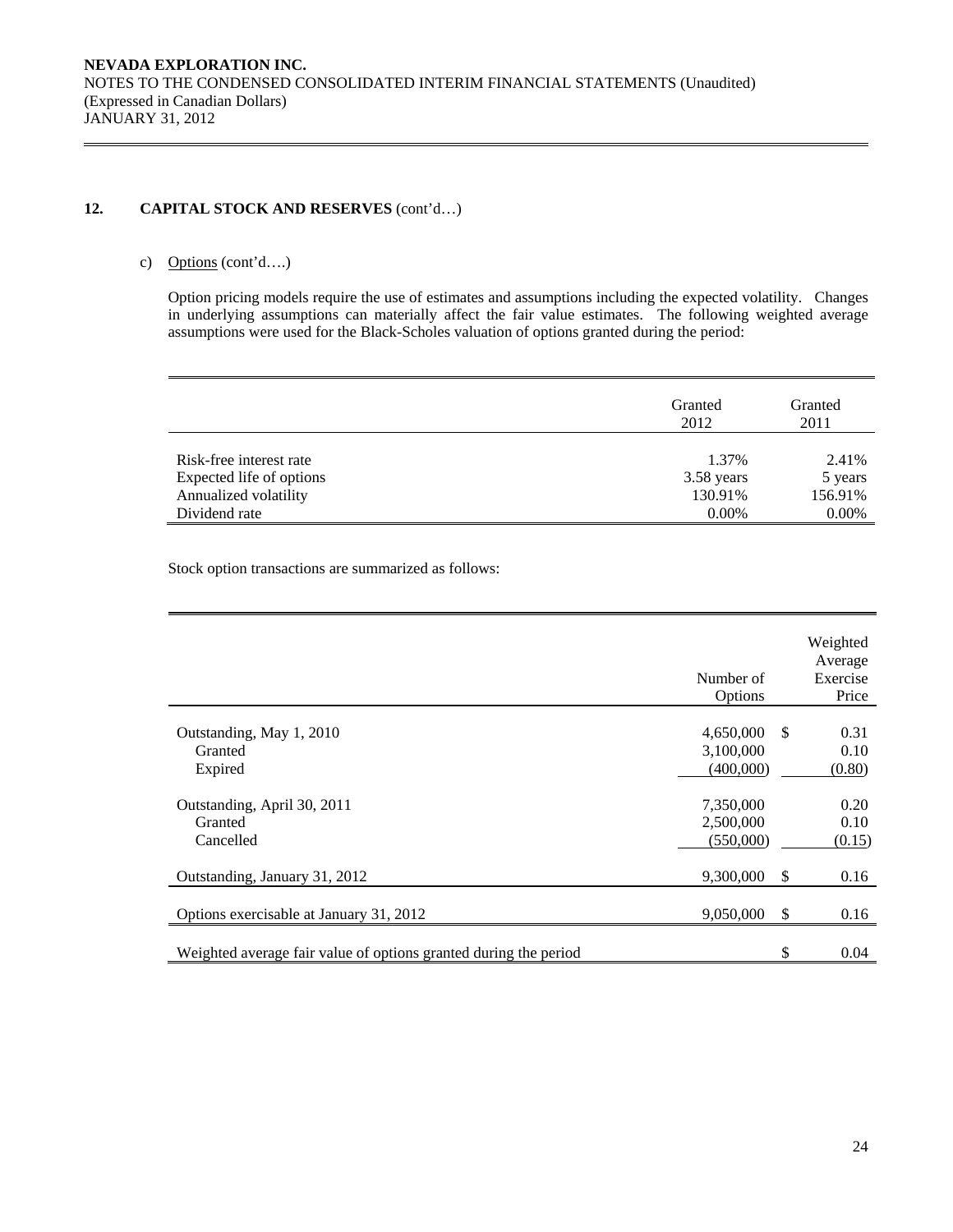## c) Options (cont'd….)

Option pricing models require the use of estimates and assumptions including the expected volatility. Changes in underlying assumptions can materially affect the fair value estimates. The following weighted average assumptions were used for the Black-Scholes valuation of options granted during the period:

|                                                   | Granted<br>2012       | Granted<br>2011    |
|---------------------------------------------------|-----------------------|--------------------|
| Risk-free interest rate                           | 1.37%                 | 2.41%              |
| Expected life of options<br>Annualized volatility | 3.58 years<br>130.91% | 5 years<br>156.91% |
| Dividend rate                                     | $0.00\%$              | 0.00%              |

Stock option transactions are summarized as follows:

|                                                                  | Number of<br>Options                |      | Weighted<br>Average<br>Exercise<br>Price |
|------------------------------------------------------------------|-------------------------------------|------|------------------------------------------|
| Outstanding, May 1, 2010<br>Granted<br>Expired                   | 4,650,000<br>3,100,000<br>(400,000) | -S   | 0.31<br>0.10<br>(0.80)                   |
| Outstanding, April 30, 2011<br>Granted<br>Cancelled              | 7,350,000<br>2,500,000<br>(550,000) |      | 0.20<br>0.10<br>(0.15)                   |
| Outstanding, January 31, 2012                                    | 9,300,000                           | - \$ | 0.16                                     |
| Options exercisable at January 31, 2012                          | 9,050,000                           | - \$ | 0.16                                     |
| Weighted average fair value of options granted during the period |                                     | \$   | 0.04                                     |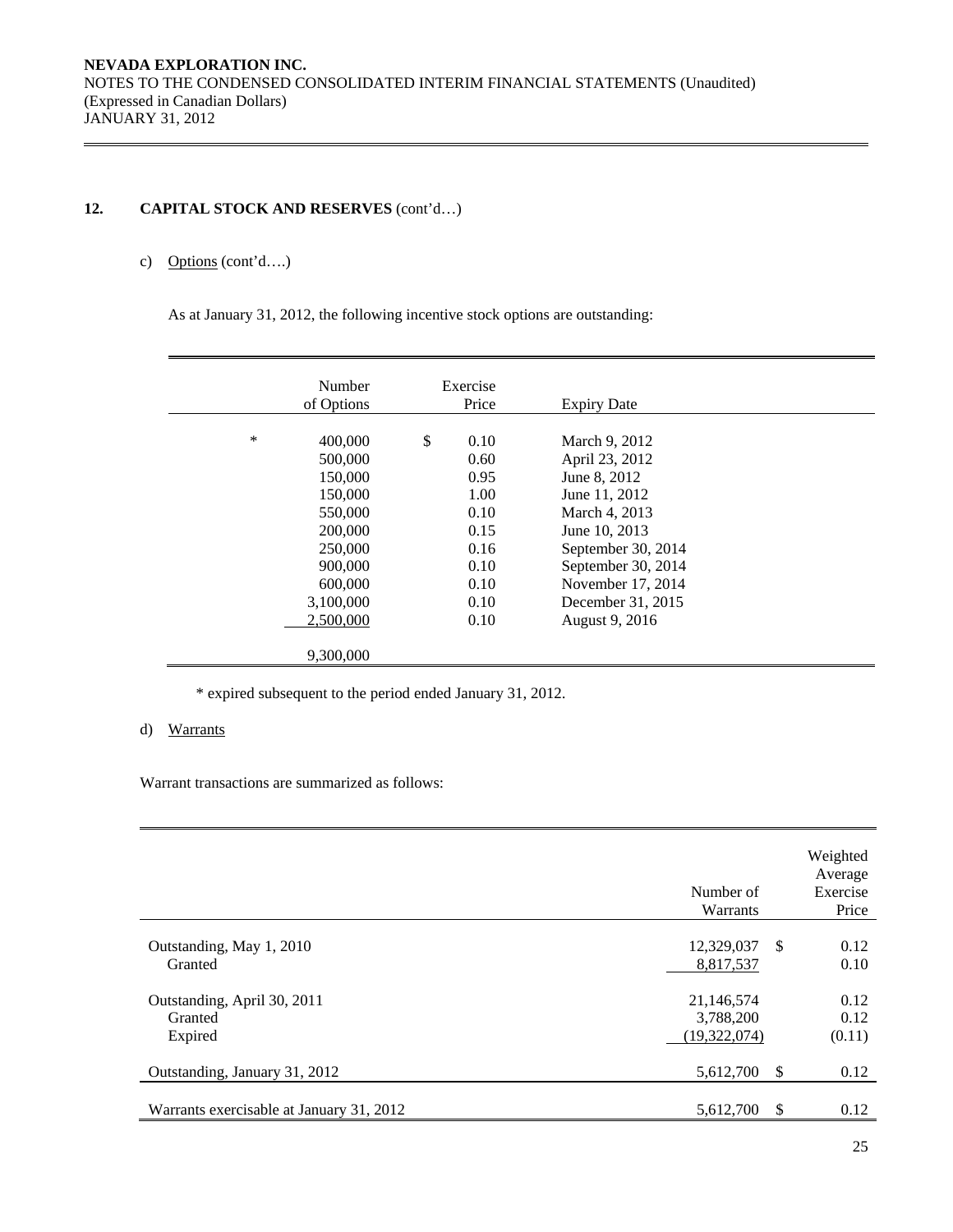## c) Options (cont'd….)

As at January 31, 2012, the following incentive stock options are outstanding:

|        | Number<br>of Options                                                                                                                   | Exercise<br>Price                                                                          | <b>Expiry Date</b>                                                                                                                                                                                         |  |
|--------|----------------------------------------------------------------------------------------------------------------------------------------|--------------------------------------------------------------------------------------------|------------------------------------------------------------------------------------------------------------------------------------------------------------------------------------------------------------|--|
| $\ast$ | 400,000<br>500,000<br>150,000<br>150,000<br>550,000<br>200,000<br>250,000<br>900,000<br>600,000<br>3,100,000<br>2,500,000<br>9,300,000 | \$<br>0.10<br>0.60<br>0.95<br>1.00<br>0.10<br>0.15<br>0.16<br>0.10<br>0.10<br>0.10<br>0.10 | March 9, 2012<br>April 23, 2012<br>June 8, 2012<br>June 11, 2012<br>March 4, 2013<br>June 10, 2013<br>September 30, 2014<br>September 30, 2014<br>November 17, 2014<br>December 31, 2015<br>August 9, 2016 |  |

\* expired subsequent to the period ended January 31, 2012.

## d) Warrants

Warrant transactions are summarized as follows:

|                                                   | Number of<br>Warrants                   |     | Weighted<br>Average<br>Exercise<br>Price |
|---------------------------------------------------|-----------------------------------------|-----|------------------------------------------|
| Outstanding, May 1, 2010<br>Granted               | 12,329,037<br>8,817,537                 | -S  | 0.12<br>0.10                             |
| Outstanding, April 30, 2011<br>Granted<br>Expired | 21,146,574<br>3,788,200<br>(19,322,074) |     | 0.12<br>0.12<br>(0.11)                   |
| Outstanding, January 31, 2012                     | 5,612,700                               | \$. | 0.12                                     |
| Warrants exercisable at January 31, 2012          | 5,612,700                               | S   | 0.12                                     |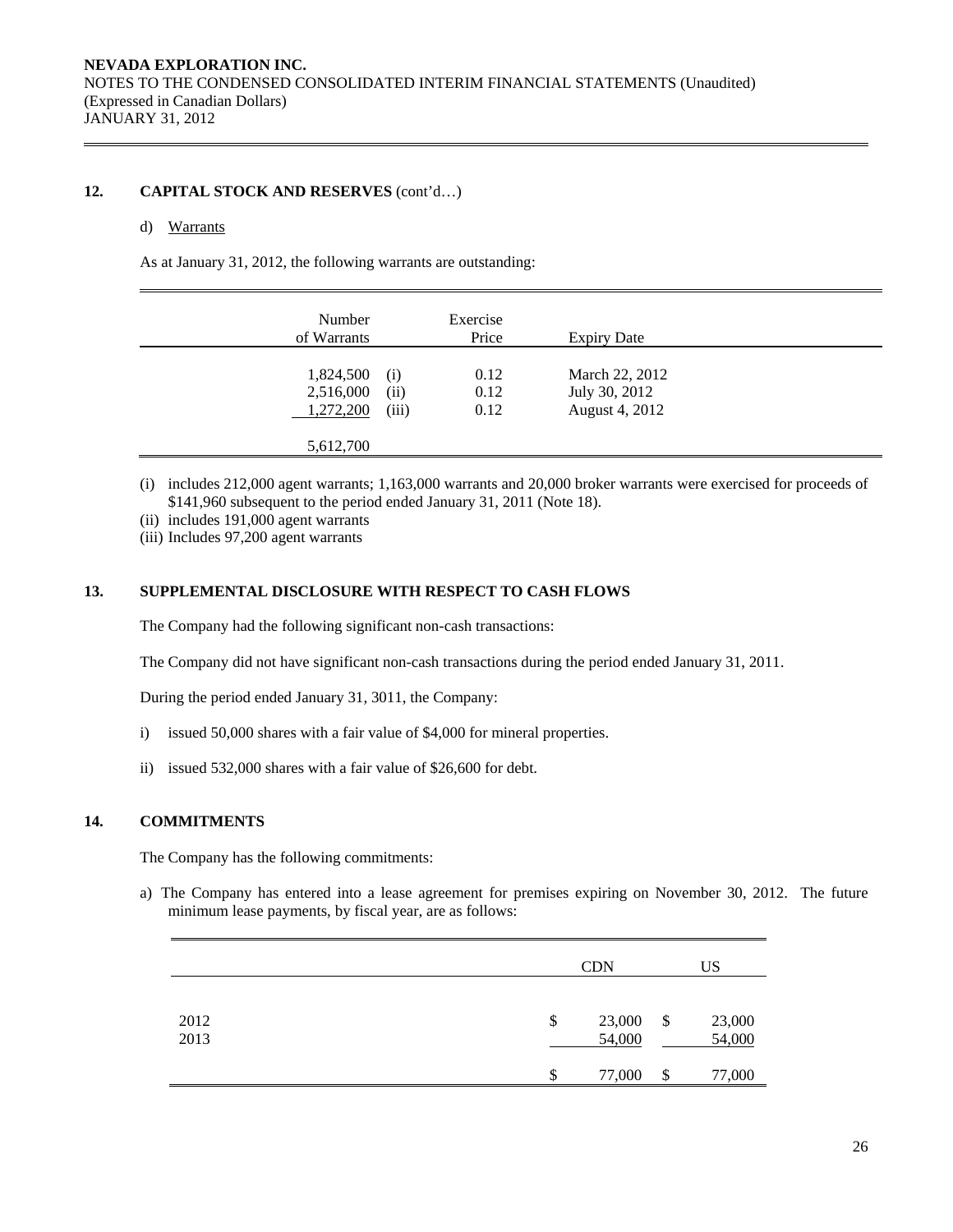## d) Warrants

As at January 31, 2012, the following warrants are outstanding:

| Number<br>of Warrants               |                      | Exercise<br>Price    | <b>Expiry Date</b>                                |  |
|-------------------------------------|----------------------|----------------------|---------------------------------------------------|--|
| 1,824,500<br>2,516,000<br>1,272,200 | (i)<br>(ii)<br>(iii) | 0.12<br>0.12<br>0.12 | March 22, 2012<br>July 30, 2012<br>August 4, 2012 |  |
| 5,612,700                           |                      |                      |                                                   |  |

- (i) includes 212,000 agent warrants; 1,163,000 warrants and 20,000 broker warrants were exercised for proceeds of \$141,960 subsequent to the period ended January 31, 2011 (Note 18).
- (ii) includes 191,000 agent warrants
- (iii) Includes 97,200 agent warrants

## **13. SUPPLEMENTAL DISCLOSURE WITH RESPECT TO CASH FLOWS**

The Company had the following significant non-cash transactions:

The Company did not have significant non-cash transactions during the period ended January 31, 2011.

During the period ended January 31, 3011, the Company:

- i) issued 50,000 shares with a fair value of \$4,000 for mineral properties.
- ii) issued 532,000 shares with a fair value of \$26,600 for debt.

## **14. COMMITMENTS**

The Company has the following commitments:

a) The Company has entered into a lease agreement for premises expiring on November 30, 2012. The future minimum lease payments, by fiscal year, are as follows:

|              |    | <b>CDN</b>       |     | US               |
|--------------|----|------------------|-----|------------------|
| 2012<br>2013 | \$ | 23,000<br>54,000 | -\$ | 23,000<br>54,000 |
|              | S  | 77,000           | S   | 77,000           |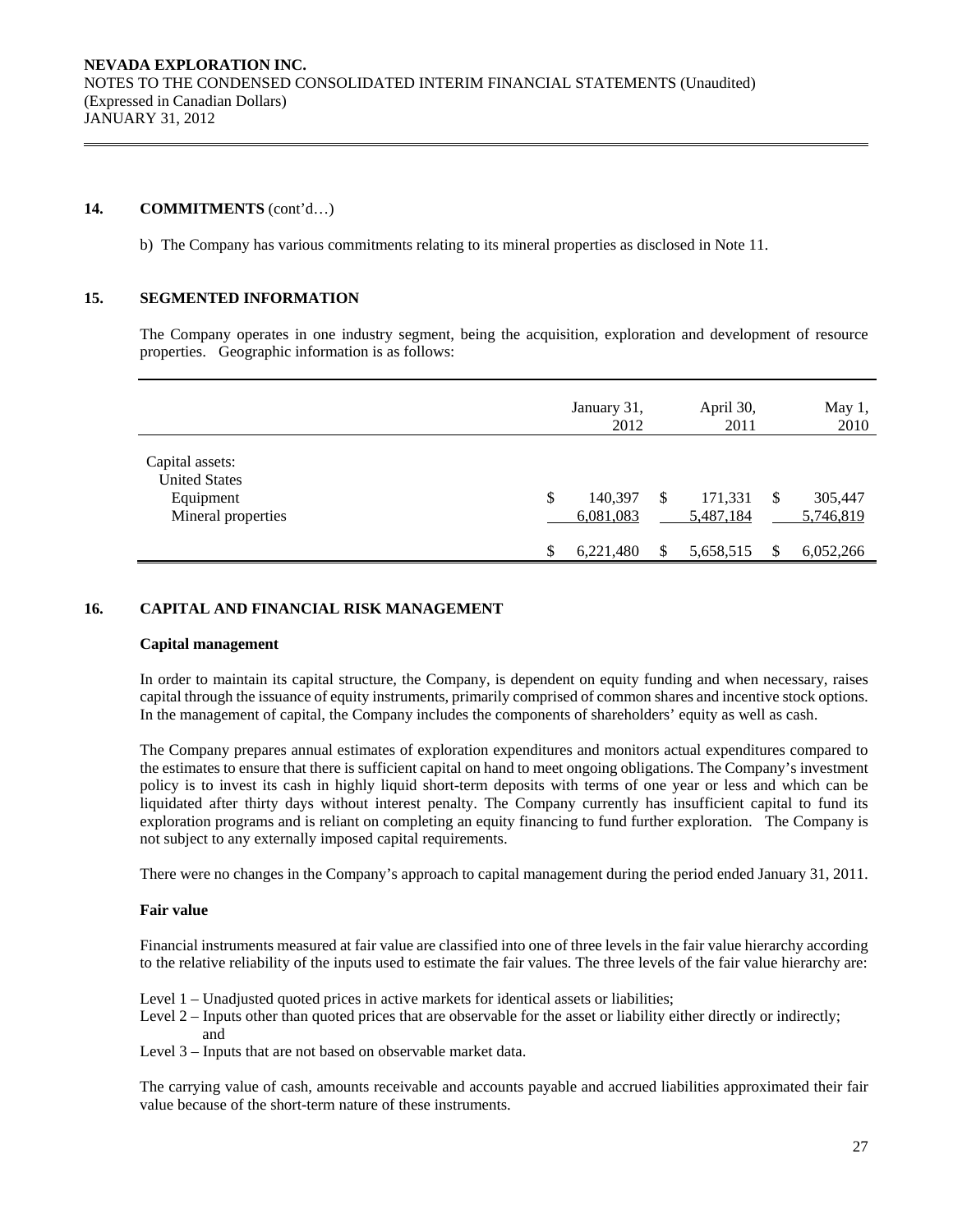## **14. COMMITMENTS** (cont'd…)

b) The Company has various commitments relating to its mineral properties as disclosed in Note 11.

#### **15. SEGMENTED INFORMATION**

The Company operates in one industry segment, being the acquisition, exploration and development of resource properties. Geographic information is as follows:

|                                                                            |    | January 31,<br>2012  |   | April 30,<br>2011    |               | May 1,<br>2010       |
|----------------------------------------------------------------------------|----|----------------------|---|----------------------|---------------|----------------------|
| Capital assets:<br><b>United States</b><br>Equipment<br>Mineral properties | \$ | 140,397<br>6,081,083 | S | 171,331<br>5,487,184 | S             | 305,447<br>5,746,819 |
|                                                                            | S  | 6,221,480            | S | 5,658,515            | <sup>\$</sup> | 6,052,266            |

## **16. CAPITAL AND FINANCIAL RISK MANAGEMENT**

#### **Capital management**

In order to maintain its capital structure, the Company, is dependent on equity funding and when necessary, raises capital through the issuance of equity instruments, primarily comprised of common shares and incentive stock options. In the management of capital, the Company includes the components of shareholders' equity as well as cash.

The Company prepares annual estimates of exploration expenditures and monitors actual expenditures compared to the estimates to ensure that there is sufficient capital on hand to meet ongoing obligations. The Company's investment policy is to invest its cash in highly liquid short-term deposits with terms of one year or less and which can be liquidated after thirty days without interest penalty. The Company currently has insufficient capital to fund its exploration programs and is reliant on completing an equity financing to fund further exploration. The Company is not subject to any externally imposed capital requirements.

There were no changes in the Company's approach to capital management during the period ended January 31, 2011.

#### **Fair value**

Financial instruments measured at fair value are classified into one of three levels in the fair value hierarchy according to the relative reliability of the inputs used to estimate the fair values. The three levels of the fair value hierarchy are:

- Level 1 Unadjusted quoted prices in active markets for identical assets or liabilities;
- Level 2 Inputs other than quoted prices that are observable for the asset or liability either directly or indirectly; and
- Level 3 Inputs that are not based on observable market data.

The carrying value of cash, amounts receivable and accounts payable and accrued liabilities approximated their fair value because of the short-term nature of these instruments.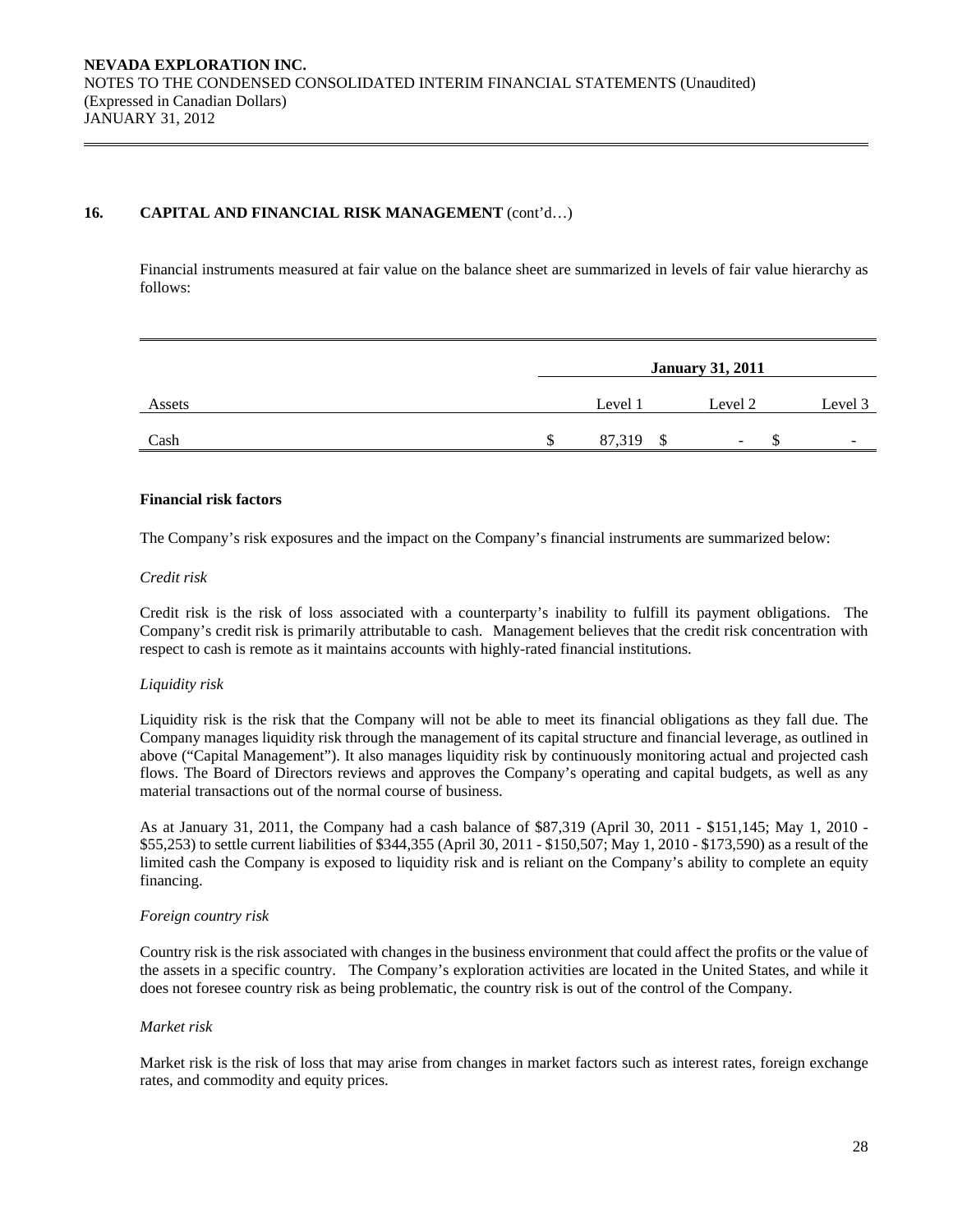## 16. CAPITAL AND FINANCIAL RISK MANAGEMENT (cont'd...)

Financial instruments measured at fair value on the balance sheet are summarized in levels of fair value hierarchy as follows:

|        | <b>January 31, 2011</b> |         |                          |                          |  |  |  |
|--------|-------------------------|---------|--------------------------|--------------------------|--|--|--|
| Assets |                         | Level 1 | Level 2                  | Level 3                  |  |  |  |
| Cash   |                         | 87,319  | $\overline{\phantom{0}}$ | $\overline{\phantom{a}}$ |  |  |  |

#### **Financial risk factors**

The Company's risk exposures and the impact on the Company's financial instruments are summarized below:

#### *Credit risk*

 Credit risk is the risk of loss associated with a counterparty's inability to fulfill its payment obligations. The Company's credit risk is primarily attributable to cash. Management believes that the credit risk concentration with respect to cash is remote as it maintains accounts with highly-rated financial institutions.

#### *Liquidity risk*

Liquidity risk is the risk that the Company will not be able to meet its financial obligations as they fall due. The Company manages liquidity risk through the management of its capital structure and financial leverage, as outlined in above ("Capital Management"). It also manages liquidity risk by continuously monitoring actual and projected cash flows. The Board of Directors reviews and approves the Company's operating and capital budgets, as well as any material transactions out of the normal course of business.

As at January 31, 2011, the Company had a cash balance of \$87,319 (April 30, 2011 - \$151,145; May 1, 2010 - \$55,253) to settle current liabilities of \$344,355 (April 30, 2011 - \$150,507; May 1, 2010 - \$173,590) as a result of the limited cash the Company is exposed to liquidity risk and is reliant on the Company's ability to complete an equity financing.

#### *Foreign country risk*

Country risk is the risk associated with changes in the business environment that could affect the profits or the value of the assets in a specific country. The Company's exploration activities are located in the United States, and while it does not foresee country risk as being problematic, the country risk is out of the control of the Company.

#### *Market risk*

Market risk is the risk of loss that may arise from changes in market factors such as interest rates, foreign exchange rates, and commodity and equity prices.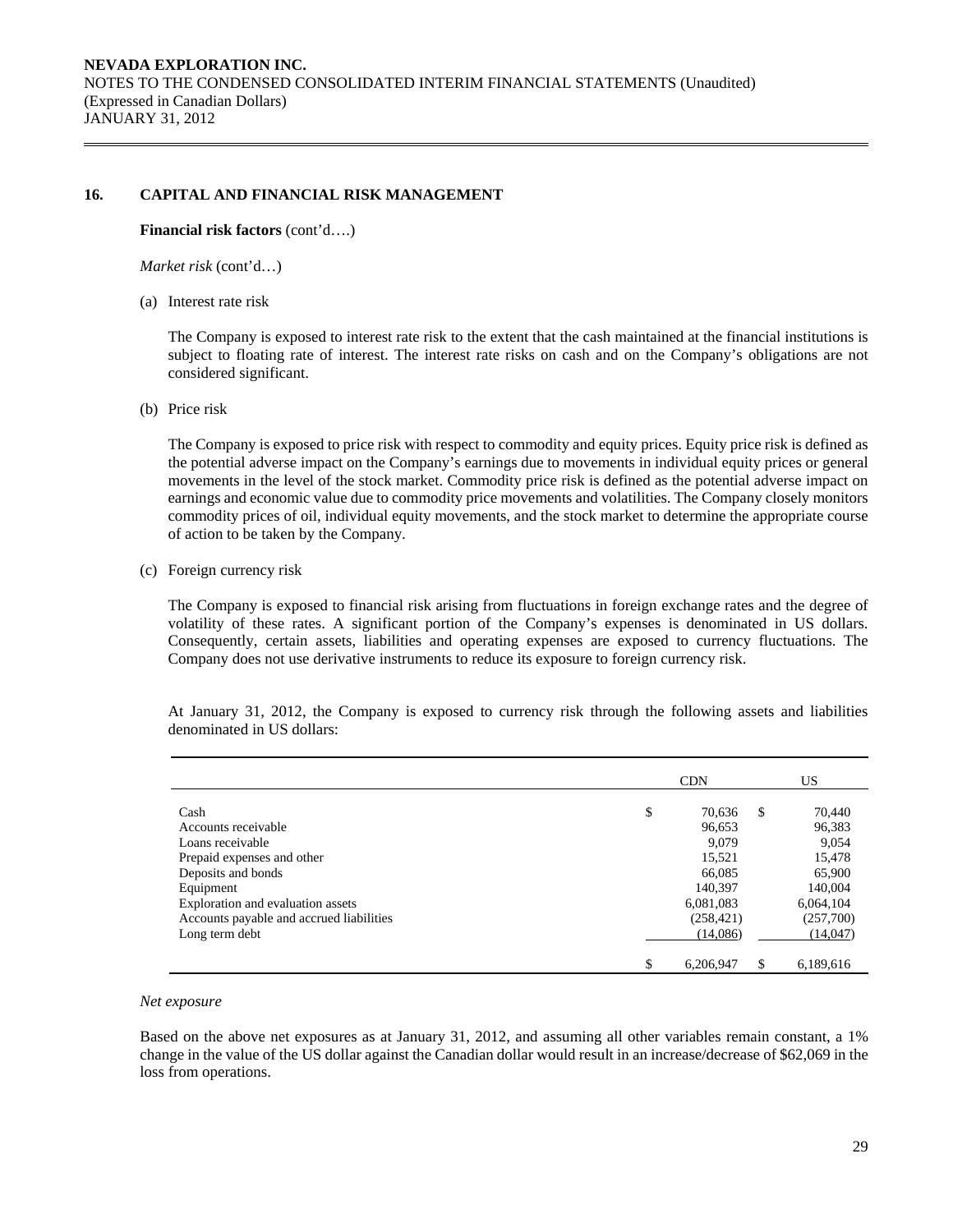## **16. CAPITAL AND FINANCIAL RISK MANAGEMENT**

**Financial risk factors** (cont'd….)

*Market risk* (cont'd…)

(a) Interest rate risk

 The Company is exposed to interest rate risk to the extent that the cash maintained at the financial institutions is subject to floating rate of interest. The interest rate risks on cash and on the Company's obligations are not considered significant.

(b) Price risk

The Company is exposed to price risk with respect to commodity and equity prices. Equity price risk is defined as the potential adverse impact on the Company's earnings due to movements in individual equity prices or general movements in the level of the stock market. Commodity price risk is defined as the potential adverse impact on earnings and economic value due to commodity price movements and volatilities. The Company closely monitors commodity prices of oil, individual equity movements, and the stock market to determine the appropriate course of action to be taken by the Company.

(c) Foreign currency risk

The Company is exposed to financial risk arising from fluctuations in foreign exchange rates and the degree of volatility of these rates. A significant portion of the Company's expenses is denominated in US dollars. Consequently, certain assets, liabilities and operating expenses are exposed to currency fluctuations. The Company does not use derivative instruments to reduce its exposure to foreign currency risk.

CDN US Cash **\$** 70,636 \$ 70,440 Accounts receivable 96,383 96,383 96,383 Loans receivable 9,079 9,054 Prepaid expenses and other 15,478 15,478 Deposits and bonds 66,085 65,900 Equipment 140,094 140,004 Exploration and evaluation assets 6,081,083 6,064,104 Accounts payable and accrued liabilities (258,421) (257,700) Long term debt (14,086) (14,047) \$ 6,206,947 \$ 6,189,616

At January 31, 2012, the Company is exposed to currency risk through the following assets and liabilities denominated in US dollars:

#### *Net exposure*

Based on the above net exposures as at January 31, 2012, and assuming all other variables remain constant, a 1% change in the value of the US dollar against the Canadian dollar would result in an increase/decrease of \$62,069 in the loss from operations.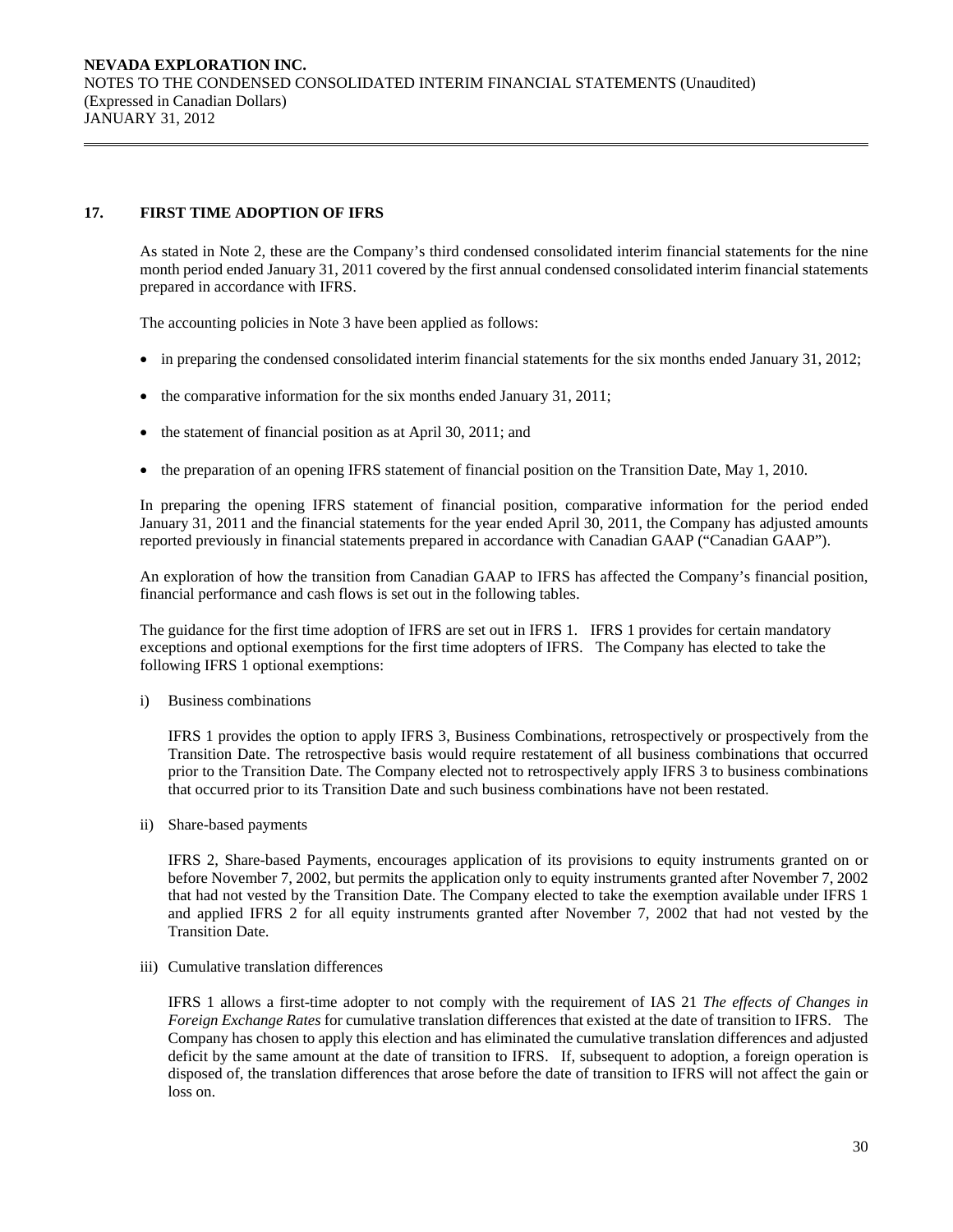## **17. FIRST TIME ADOPTION OF IFRS**

 As stated in Note 2, these are the Company's third condensed consolidated interim financial statements for the nine month period ended January 31, 2011 covered by the first annual condensed consolidated interim financial statements prepared in accordance with IFRS.

The accounting policies in Note 3 have been applied as follows:

- in preparing the condensed consolidated interim financial statements for the six months ended January 31, 2012;
- the comparative information for the six months ended January 31, 2011;
- the statement of financial position as at April 30, 2011; and
- the preparation of an opening IFRS statement of financial position on the Transition Date, May 1, 2010.

In preparing the opening IFRS statement of financial position, comparative information for the period ended January 31, 2011 and the financial statements for the year ended April 30, 2011, the Company has adjusted amounts reported previously in financial statements prepared in accordance with Canadian GAAP ("Canadian GAAP").

 An exploration of how the transition from Canadian GAAP to IFRS has affected the Company's financial position, financial performance and cash flows is set out in the following tables.

The guidance for the first time adoption of IFRS are set out in IFRS 1. IFRS 1 provides for certain mandatory exceptions and optional exemptions for the first time adopters of IFRS. The Company has elected to take the following IFRS 1 optional exemptions:

i) Business combinations

IFRS 1 provides the option to apply IFRS 3, Business Combinations, retrospectively or prospectively from the Transition Date. The retrospective basis would require restatement of all business combinations that occurred prior to the Transition Date. The Company elected not to retrospectively apply IFRS 3 to business combinations that occurred prior to its Transition Date and such business combinations have not been restated.

ii) Share-based payments

IFRS 2, Share-based Payments, encourages application of its provisions to equity instruments granted on or before November 7, 2002, but permits the application only to equity instruments granted after November 7, 2002 that had not vested by the Transition Date. The Company elected to take the exemption available under IFRS 1 and applied IFRS 2 for all equity instruments granted after November 7, 2002 that had not vested by the Transition Date.

iii) Cumulative translation differences

IFRS 1 allows a first-time adopter to not comply with the requirement of IAS 21 *The effects of Changes in Foreign Exchange Rates* for cumulative translation differences that existed at the date of transition to IFRS. The Company has chosen to apply this election and has eliminated the cumulative translation differences and adjusted deficit by the same amount at the date of transition to IFRS. If, subsequent to adoption, a foreign operation is disposed of, the translation differences that arose before the date of transition to IFRS will not affect the gain or loss on.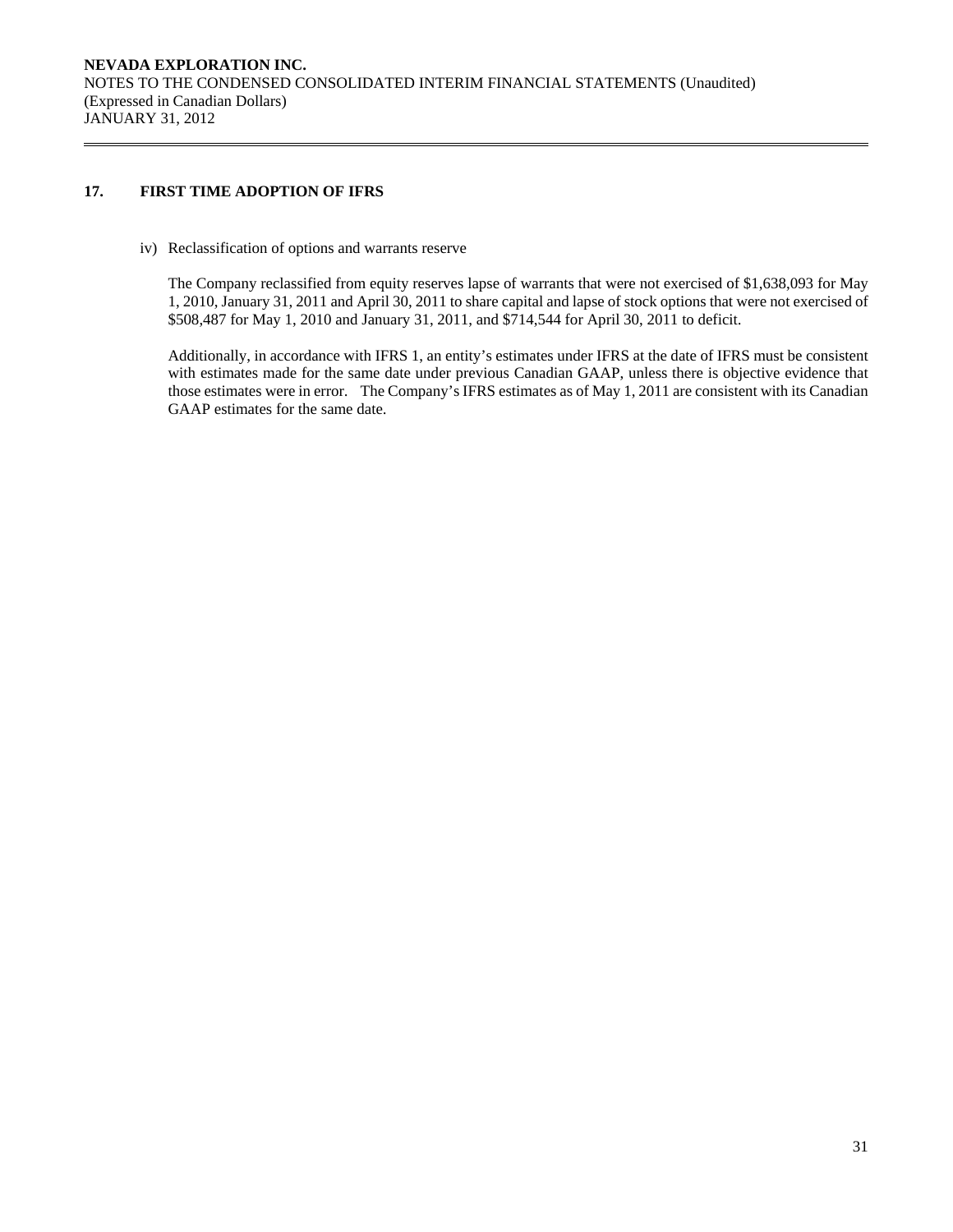## **17. FIRST TIME ADOPTION OF IFRS**

iv) Reclassification of options and warrants reserve

The Company reclassified from equity reserves lapse of warrants that were not exercised of \$1,638,093 for May 1, 2010, January 31, 2011 and April 30, 2011 to share capital and lapse of stock options that were not exercised of \$508,487 for May 1, 2010 and January 31, 2011, and \$714,544 for April 30, 2011 to deficit.

Additionally, in accordance with IFRS 1, an entity's estimates under IFRS at the date of IFRS must be consistent with estimates made for the same date under previous Canadian GAAP, unless there is objective evidence that those estimates were in error. The Company's IFRS estimates as of May 1, 2011 are consistent with its Canadian GAAP estimates for the same date.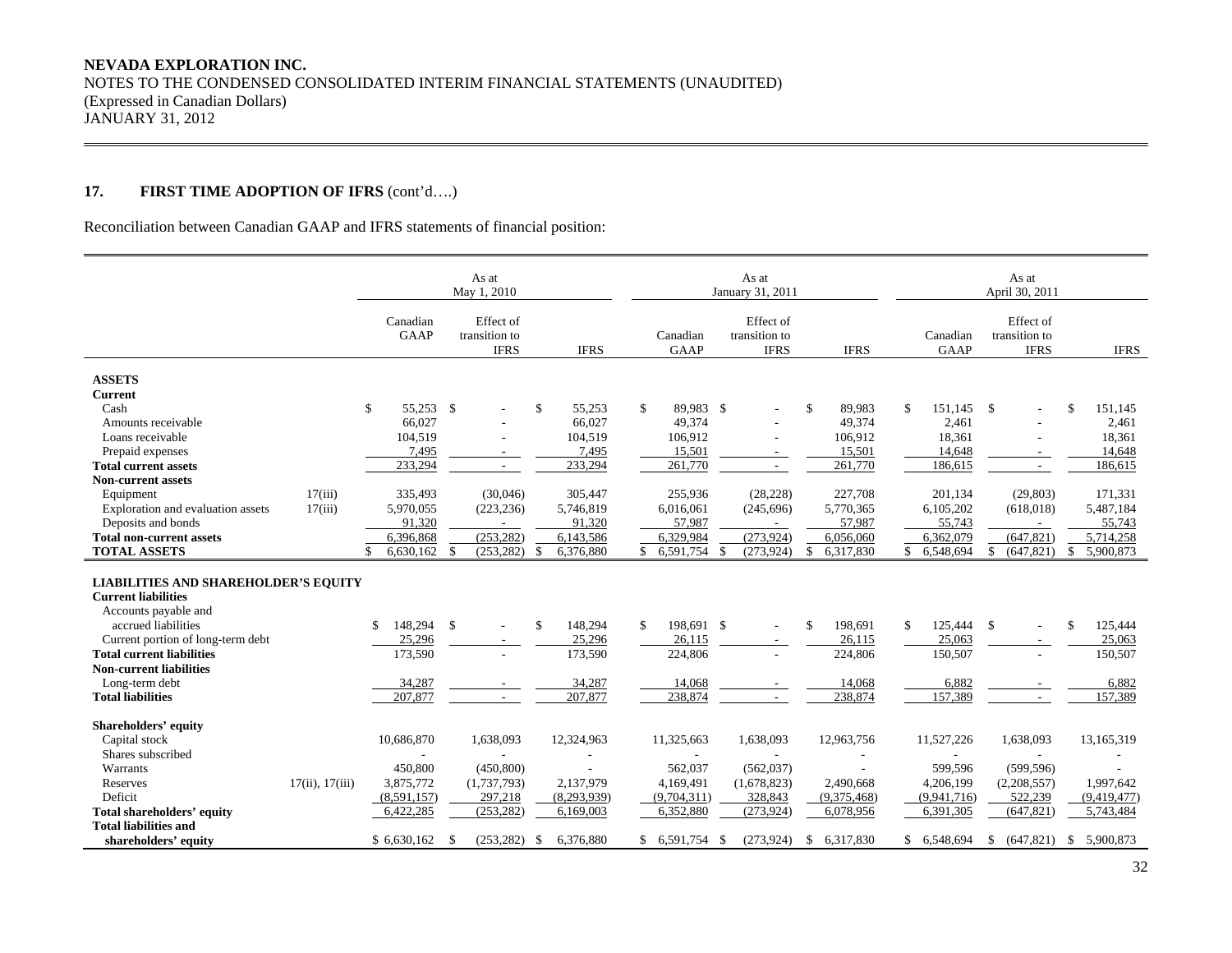## **17. FIRST TIME ADOPTION OF IFRS** (cont'd….)

Reconciliation between Canadian GAAP and IFRS statements of financial position:

|                                                                                                   |                 | As at<br>May 1, 2010 |                                           |                   |              | As at<br>January 31, 2011 |                                           |                 |                  | As at<br>April 30, 2011                   |    |                          |  |
|---------------------------------------------------------------------------------------------------|-----------------|----------------------|-------------------------------------------|-------------------|--------------|---------------------------|-------------------------------------------|-----------------|------------------|-------------------------------------------|----|--------------------------|--|
|                                                                                                   |                 | Canadian<br>GAAP     | Effect of<br>transition to<br><b>IFRS</b> | <b>IFRS</b>       |              | Canadian<br><b>GAAP</b>   | Effect of<br>transition to<br><b>IFRS</b> | <b>IFRS</b>     | Canadian<br>GAAP | Effect of<br>transition to<br><b>IFRS</b> |    | <b>IFRS</b>              |  |
|                                                                                                   |                 |                      |                                           |                   |              |                           |                                           |                 |                  |                                           |    |                          |  |
| <b>ASSETS</b><br><b>Current</b>                                                                   |                 |                      |                                           |                   |              |                           |                                           |                 |                  |                                           |    |                          |  |
| Cash                                                                                              |                 | \$<br>55.253 \$      |                                           | \$<br>55,253      | $\mathbf{s}$ | 89,983 \$                 | $\overline{\phantom{a}}$                  | \$<br>89,983    | \$<br>151,145    | $\mathbf{s}$                              | \$ | 151,145                  |  |
| Amounts receivable                                                                                |                 | 66,027               |                                           | 66,027            |              | 49,374                    |                                           | 49,374          | 2,461            |                                           |    | 2,461                    |  |
| Loans receivable                                                                                  |                 | 104,519              |                                           | 104,519           |              | 106,912                   |                                           | 106,912         | 18,361           |                                           |    | 18,361                   |  |
| Prepaid expenses                                                                                  |                 | 7.495                | $\sim$                                    | 7.495             |              | 15.501                    | $\sim$                                    | 15,501          | 14.648           | $\sim$                                    |    | 14.648                   |  |
| <b>Total current assets</b>                                                                       |                 | 233,294              |                                           | 233,294           |              | 261,770                   | ٠                                         | 261,770         | 186,615          |                                           |    | 186,615                  |  |
| <b>Non-current assets</b>                                                                         |                 |                      |                                           |                   |              |                           |                                           |                 |                  |                                           |    |                          |  |
| Equipment                                                                                         | 17(iii)         | 335,493              | (30,046)                                  | 305,447           |              | 255,936                   | (28, 228)                                 | 227,708         | 201,134          | (29, 803)                                 |    | 171,331                  |  |
| Exploration and evaluation assets                                                                 | 17(iii)         | 5,970,055            | (223, 236)                                | 5,746,819         |              | 6,016,061                 | (245, 696)                                | 5,770,365       | 6,105,202        | (618, 018)                                |    | 5,487,184                |  |
| Deposits and bonds                                                                                |                 | 91.320               |                                           | 91.320            |              | 57.987                    | $\overline{\phantom{a}}$                  | 57,987          | 55,743           |                                           |    | 55,743                   |  |
| <b>Total non-current assets</b>                                                                   |                 | 6,396,868            | (253, 282)                                | 6,143,586         |              | 6,329,984                 | (273, 924)                                | 6,056,060       | 6,362,079        | (647, 821)                                |    | 5,714,258                |  |
| <b>TOTAL ASSETS</b>                                                                               |                 | $6,630,162$ \$       | $(253, 282)$ \$                           | 6,376,880         |              | 6,591,754                 | (273, 924)<br>- \$                        | \$<br>6,317,830 | 6,548,694<br>\$  | (647, 821)<br>\$                          | \$ | 5,900,873                |  |
| <b>LIABILITIES AND SHAREHOLDER'S EQUITY</b><br><b>Current liabilities</b><br>Accounts payable and |                 |                      |                                           |                   |              |                           |                                           |                 |                  |                                           |    |                          |  |
| accrued liabilities                                                                               |                 | 148,294<br>\$        | $\mathbf{s}$                              | 148,294<br>\$     | \$           | 198,691 \$                | $\mathbf{r}$                              | \$<br>198,691   | \$               | 125,444 \$<br>$\overline{\phantom{a}}$    | \$ | 125,444                  |  |
| Current portion of long-term debt                                                                 |                 | 25,296               |                                           | 25,296            |              | 26,115                    |                                           | 26,115          | 25,063           |                                           |    | 25,063                   |  |
| <b>Total current liabilities</b>                                                                  |                 | 173,590              |                                           | 173,590           |              | 224,806                   |                                           | 224,806         | 150,507          |                                           |    | 150,507                  |  |
| <b>Non-current liabilities</b>                                                                    |                 |                      |                                           |                   |              |                           |                                           |                 |                  |                                           |    |                          |  |
| Long-term debt                                                                                    |                 | 34,287               |                                           | 34,287            |              | 14,068                    |                                           | 14,068          | 6,882            |                                           |    | 6,882                    |  |
| <b>Total liabilities</b>                                                                          |                 | 207,877              |                                           | 207,877           |              | 238,874                   |                                           | 238,874         | 157,389          |                                           |    | 157,389                  |  |
| Shareholders' equity                                                                              |                 |                      |                                           |                   |              |                           |                                           |                 |                  |                                           |    |                          |  |
| Capital stock                                                                                     |                 | 10,686,870           | 1,638,093                                 | 12,324,963        |              | 11,325,663                | 1,638,093                                 | 12,963,756      | 11,527,226       | 1,638,093                                 |    | 13,165,319               |  |
| Shares subscribed                                                                                 |                 |                      |                                           |                   |              |                           |                                           |                 |                  |                                           |    |                          |  |
| Warrants                                                                                          |                 | 450,800              | (450, 800)                                |                   |              | 562,037                   | (562, 037)                                |                 | 599.596          | (599, 596)                                |    |                          |  |
| Reserves                                                                                          | 17(ii), 17(iii) | 3,875,772            | (1,737,793)                               | 2,137,979         |              | 4,169,491                 | (1,678,823)                               | 2,490,668       | 4,206,199        | (2,208,557)                               |    | 1,997,642                |  |
| Deficit                                                                                           |                 | (8,591,157)          | 297,218                                   | (8,293,939)       |              | (9,704,311)               | 328,843                                   | (9,375,468)     | (9,941,716)      | 522,239                                   |    | (9,419,477)              |  |
| <b>Total shareholders' equity</b>                                                                 |                 | 6,422,285            | (253, 282)                                | 6,169,003         |              | 6,352,880                 | (273,924)                                 | 6,078,956       | 6,391,305        | (647, 821)                                |    | 5,743,484                |  |
| <b>Total liabilities and</b>                                                                      |                 |                      |                                           |                   |              |                           |                                           |                 |                  |                                           |    |                          |  |
| shareholders' equity                                                                              |                 | \$6,630,162          | (253, 282)<br>-S                          | 6,376,880<br>- \$ | \$           | 6,591,754 \$              | (273,924)                                 | \$ 6,317,830    | \$ 6,548,694     | \$                                        |    | $(647,821)$ \$ 5,900,873 |  |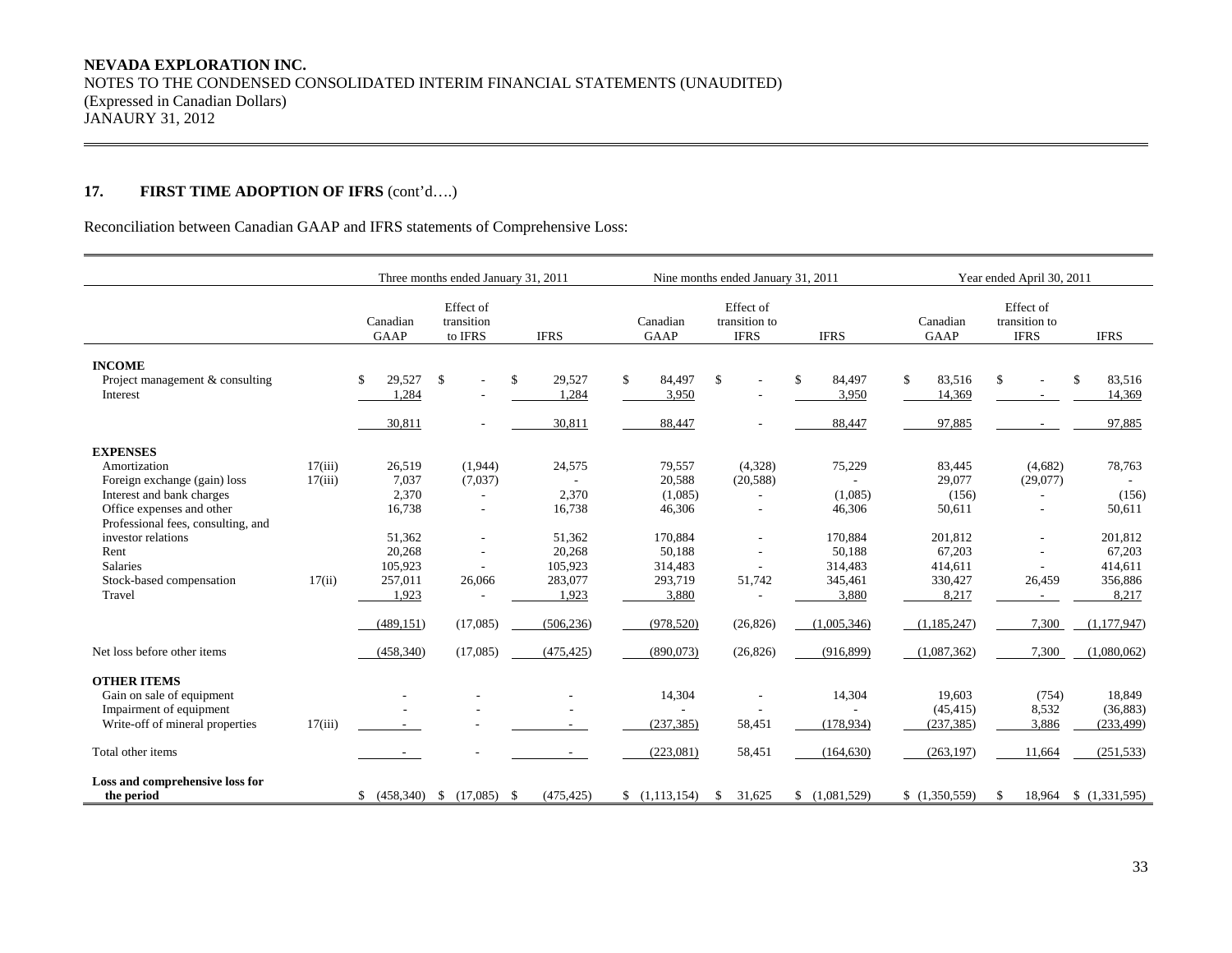## **17. FIRST TIME ADOPTION OF IFRS** (cont'd….)

Reconciliation between Canadian GAAP and IFRS statements of Comprehensive Loss:

|                                                                                                                                                                                                                                                        |                              |                                                                                       | Three months ended January 31, 2011                                                                                      |                                                                              |                                                                                           | Nine months ended January 31, 2011                                                 |                                                                                 | Year ended April 30, 2011                                                               |                                                                                                 |                                                                               |  |
|--------------------------------------------------------------------------------------------------------------------------------------------------------------------------------------------------------------------------------------------------------|------------------------------|---------------------------------------------------------------------------------------|--------------------------------------------------------------------------------------------------------------------------|------------------------------------------------------------------------------|-------------------------------------------------------------------------------------------|------------------------------------------------------------------------------------|---------------------------------------------------------------------------------|-----------------------------------------------------------------------------------------|-------------------------------------------------------------------------------------------------|-------------------------------------------------------------------------------|--|
|                                                                                                                                                                                                                                                        |                              | Canadian<br><b>GAAP</b>                                                               | Effect of<br>transition<br>to IFRS                                                                                       | <b>IFRS</b>                                                                  | Canadian<br>GAAP                                                                          | Effect of<br>transition to<br><b>IFRS</b>                                          | <b>IFRS</b>                                                                     | Canadian<br><b>GAAP</b>                                                                 | Effect of<br>transition to<br><b>IFRS</b>                                                       | <b>IFRS</b>                                                                   |  |
| <b>INCOME</b><br>Project management & consulting<br>Interest                                                                                                                                                                                           |                              | 29,527<br>\$<br>1,284                                                                 | $\mathbb{S}$<br>$\overline{\phantom{a}}$                                                                                 | \$<br>29,527<br>1,284                                                        | \$<br>84,497<br>3,950                                                                     | \$<br>$\overline{a}$                                                               | \$<br>84,497<br>3.950                                                           | $\mathbf{\hat{S}}$<br>83,516<br>14,369                                                  | \$<br>$\overline{\phantom{a}}$<br>$\sim$                                                        | \$<br>83,516<br>14,369                                                        |  |
|                                                                                                                                                                                                                                                        |                              | 30,811                                                                                |                                                                                                                          | 30,811                                                                       | 88,447                                                                                    |                                                                                    | 88,447                                                                          | 97,885                                                                                  |                                                                                                 | 97,885                                                                        |  |
| <b>EXPENSES</b><br>Amortization<br>Foreign exchange (gain) loss<br>Interest and bank charges<br>Office expenses and other<br>Professional fees, consulting, and<br>investor relations<br>Rent<br><b>Salaries</b><br>Stock-based compensation<br>Travel | 17(iii)<br>17(iii)<br>17(ii) | 26,519<br>7,037<br>2,370<br>16,738<br>51,362<br>20,268<br>105,923<br>257,011<br>1,923 | (1,944)<br>(7,037)<br>$\overline{\phantom{a}}$<br>$\overline{\phantom{a}}$<br>$\overline{a}$<br>$\overline{a}$<br>26,066 | 24,575<br>2,370<br>16,738<br>51,362<br>20,268<br>105.923<br>283,077<br>1,923 | 79,557<br>20,588<br>(1,085)<br>46,306<br>170,884<br>50,188<br>314,483<br>293,719<br>3,880 | (4,328)<br>(20, 588)<br>$\overline{\phantom{a}}$<br>$\overline{a}$<br>L.<br>51,742 | 75,229<br>(1,085)<br>46,306<br>170,884<br>50,188<br>314,483<br>345,461<br>3,880 | 83,445<br>29,077<br>(156)<br>50,611<br>201,812<br>67,203<br>414,611<br>330,427<br>8,217 | (4,682)<br>(29,077)<br>$\overline{\phantom{a}}$<br>$\overline{\phantom{a}}$<br>$\sim$<br>26,459 | 78,763<br>(156)<br>50,611<br>201,812<br>67,203<br>414,611<br>356,886<br>8,217 |  |
| Net loss before other items                                                                                                                                                                                                                            |                              | (489, 151)<br>(458, 340)                                                              | (17,085)<br>(17,085)                                                                                                     | (506, 236)<br>(475, 425)                                                     | (978, 520)<br>(890,073)                                                                   | (26, 826)<br>(26, 826)                                                             | (1,005,346)<br>(916, 899)                                                       | (1,185,247)<br>(1,087,362)                                                              | 7,300<br>7,300                                                                                  | (1,177,947)<br>(1,080,062)                                                    |  |
| <b>OTHER ITEMS</b>                                                                                                                                                                                                                                     |                              |                                                                                       |                                                                                                                          |                                                                              |                                                                                           |                                                                                    |                                                                                 |                                                                                         |                                                                                                 |                                                                               |  |
| Gain on sale of equipment<br>Impairment of equipment<br>Write-off of mineral properties                                                                                                                                                                | 17(iii)                      |                                                                                       |                                                                                                                          |                                                                              | 14,304<br>(237, 385)                                                                      | 58,451                                                                             | 14,304<br>(178, 934)                                                            | 19,603<br>(45, 415)<br>(237, 385)                                                       | (754)<br>8,532<br>3,886                                                                         | 18,849<br>(36, 883)<br>(233, 499)                                             |  |
| Total other items                                                                                                                                                                                                                                      |                              | $\sim$                                                                                |                                                                                                                          |                                                                              | (223,081)                                                                                 | 58,451                                                                             | (164, 630)                                                                      | (263.197)                                                                               | 11.664                                                                                          | (251, 533)                                                                    |  |
| Loss and comprehensive loss for<br>the period                                                                                                                                                                                                          |                              |                                                                                       | $$$ (458,340) \, \$ (17,085) \, \,                                                                                       | (475, 425)                                                                   | (1,113,154)                                                                               | 31,625<br>- \$                                                                     | \$(1,081,529)                                                                   | \$(1,350,559)                                                                           | \$                                                                                              | 18,964 \$ (1,331,595)                                                         |  |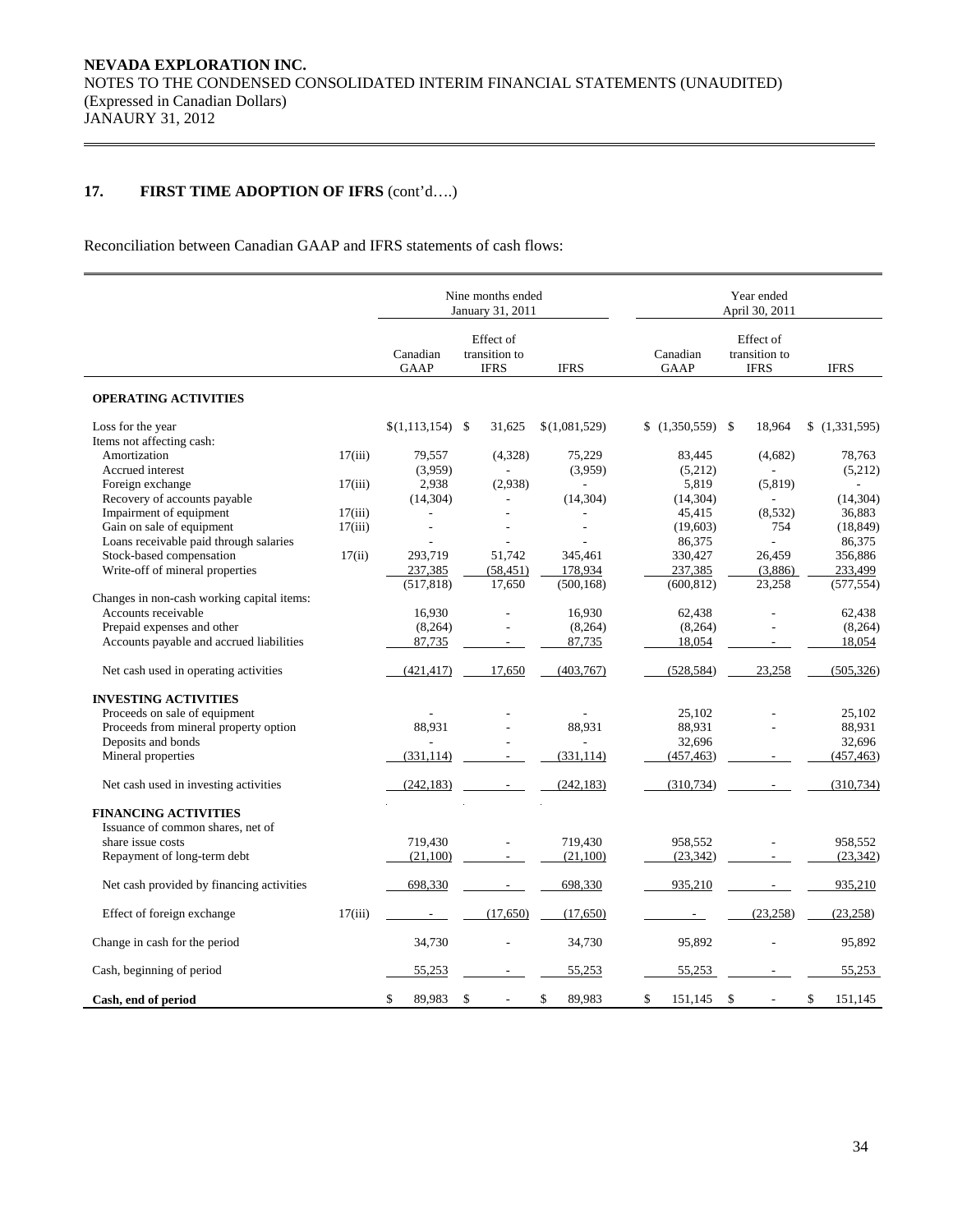## **17. FIRST TIME ADOPTION OF IFRS** (cont'd….)

Reconciliation between Canadian GAAP and IFRS statements of cash flows:

|                                            |         |                         | Nine months ended<br>January 31, 2011     |                |                         | Year ended<br>April 30, 2011              |               |  |  |  |  |
|--------------------------------------------|---------|-------------------------|-------------------------------------------|----------------|-------------------------|-------------------------------------------|---------------|--|--|--|--|
|                                            |         | Canadian<br><b>GAAP</b> | Effect of<br>transition to<br><b>IFRS</b> | <b>IFRS</b>    | Canadian<br><b>GAAP</b> | Effect of<br>transition to<br><b>IFRS</b> | <b>IFRS</b>   |  |  |  |  |
| <b>OPERATING ACTIVITIES</b>                |         |                         |                                           |                |                         |                                           |               |  |  |  |  |
| Loss for the year                          |         | $$(1,113,154)$ \;       | 31,625                                    | \$(1,081,529)  | $$(1,350,559)$ \\$      | 18,964                                    | (1,331,595)   |  |  |  |  |
| Items not affecting cash:                  |         |                         |                                           |                |                         |                                           |               |  |  |  |  |
| Amortization                               | 17(iii) | 79,557                  | (4,328)                                   | 75,229         | 83,445                  | (4,682)                                   | 78,763        |  |  |  |  |
| Accrued interest                           |         | (3,959)                 |                                           | (3.959)        | (5,212)                 |                                           | (5,212)       |  |  |  |  |
| Foreign exchange                           | 17(iii) | 2,938                   | (2,938)                                   |                | 5,819                   | (5, 819)                                  |               |  |  |  |  |
| Recovery of accounts payable               |         | (14, 304)               |                                           | (14, 304)      | (14, 304)               |                                           | (14, 304)     |  |  |  |  |
| Impairment of equipment                    | 17(iii) |                         |                                           |                | 45,415                  | (8, 532)                                  | 36,883        |  |  |  |  |
|                                            |         |                         |                                           |                |                         |                                           |               |  |  |  |  |
| Gain on sale of equipment                  | 17(iii) | L,                      |                                           | $\overline{a}$ | (19,603)                | 754                                       | (18, 849)     |  |  |  |  |
| Loans receivable paid through salaries     |         |                         |                                           |                | 86,375                  |                                           | 86,375        |  |  |  |  |
| Stock-based compensation                   | 17(ii)  | 293,719                 | 51,742                                    | 345,461        | 330,427                 | 26,459                                    | 356,886       |  |  |  |  |
| Write-off of mineral properties            |         | 237,385                 | (58, 451)                                 | 178,934        | 237,385                 | (3,886)                                   | 233,499       |  |  |  |  |
|                                            |         | (517, 818)              | 17,650                                    | (500, 168)     | (600, 812)              | 23,258                                    | (577, 554)    |  |  |  |  |
| Changes in non-cash working capital items: |         |                         |                                           |                |                         |                                           |               |  |  |  |  |
| Accounts receivable                        |         | 16,930                  |                                           | 16,930         | 62,438                  | ÷.                                        | 62.438        |  |  |  |  |
| Prepaid expenses and other                 |         | (8, 264)                |                                           | (8, 264)       | (8, 264)                |                                           | (8, 264)      |  |  |  |  |
| Accounts payable and accrued liabilities   |         | 87,735                  |                                           | 87,735         | 18,054                  |                                           | 18,054        |  |  |  |  |
|                                            |         |                         |                                           |                |                         |                                           |               |  |  |  |  |
| Net cash used in operating activities      |         | (421, 417)              | 17,650                                    | (403, 767)     | (528, 584)              | 23,258                                    | (505, 326)    |  |  |  |  |
|                                            |         |                         |                                           |                |                         |                                           |               |  |  |  |  |
| <b>INVESTING ACTIVITIES</b>                |         |                         |                                           |                |                         |                                           |               |  |  |  |  |
| Proceeds on sale of equipment              |         |                         |                                           |                | 25,102                  |                                           | 25,102        |  |  |  |  |
| Proceeds from mineral property option      |         | 88,931                  |                                           | 88,931         | 88,931                  |                                           | 88,931        |  |  |  |  |
| Deposits and bonds                         |         |                         |                                           |                | 32,696                  |                                           | 32,696        |  |  |  |  |
| Mineral properties                         |         | (331, 114)              |                                           | (331, 114)     | (457, 463)              |                                           | (457, 463)    |  |  |  |  |
| Net cash used in investing activities      |         | (242, 183)              |                                           | (242, 183)     | (310, 734)              |                                           | (310, 734)    |  |  |  |  |
|                                            |         |                         |                                           |                |                         |                                           |               |  |  |  |  |
| <b>FINANCING ACTIVITIES</b>                |         |                         |                                           |                |                         |                                           |               |  |  |  |  |
| Issuance of common shares, net of          |         |                         |                                           |                |                         |                                           |               |  |  |  |  |
| share issue costs                          |         | 719,430                 |                                           | 719,430        | 958,552                 |                                           | 958,552       |  |  |  |  |
| Repayment of long-term debt                |         | (21,100)                |                                           | (21,100)       | (23, 342)               |                                           | (23, 342)     |  |  |  |  |
| Net cash provided by financing activities  |         | 698,330                 |                                           | 698,330        | 935,210                 |                                           | 935,210       |  |  |  |  |
|                                            |         |                         |                                           |                |                         |                                           |               |  |  |  |  |
| Effect of foreign exchange                 | 17(iii) | $\overline{a}$          | (17,650)                                  | (17,650)       | $\sim$                  | (23, 258)                                 | (23, 258)     |  |  |  |  |
| Change in cash for the period              |         | 34,730                  |                                           | 34,730         | 95,892                  |                                           | 95,892        |  |  |  |  |
| Cash, beginning of period                  |         | 55,253                  |                                           | 55,253         | 55,253                  |                                           | 55,253        |  |  |  |  |
| Cash, end of period                        |         | \$<br>89,983            | \$<br>$\overline{\phantom{a}}$            | \$<br>89,983   | \$<br>151,145           | $\mathcal{S}$<br>$\overline{a}$           | \$<br>151,145 |  |  |  |  |